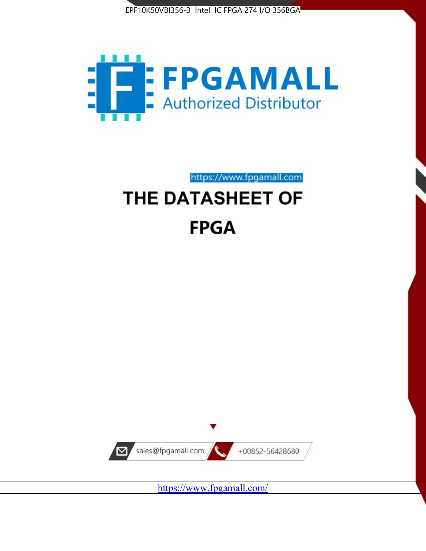



# https://www.fpgamall.com THE DATASHEET OF

## **FPGA**



<https://www.fpgamall.com/>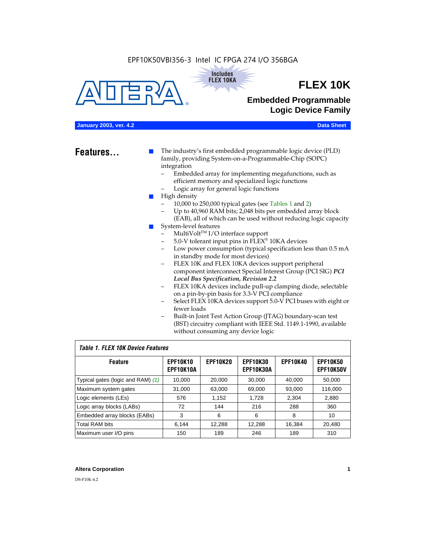#### EPF10K50VBI356-3 Intel IC FPGA 274 I/O 356BGA





## **FLEX 10K**

## **Embedded Programmable Logic Device Family**

#### **January 2003, ver. 4.2 Data Sheet**

**Features...** ■ The industry's first embedded programmable logic device (PLD) family, providing System-on-a-Programmable-Chip (SOPC) integration

- Embedded array for implementing megafunctions, such as efficient memory and specialized logic functions
- Logic array for general logic functions
- High density
	- 10,000 to 250,000 typical gates (see Tables 1 and 2)
	- Up to 40,960 RAM bits; 2,048 bits per embedded array block (EAB), all of which can be used without reducing logic capacity
- System-level features
	- $MultiVolt<sup>TM</sup> I/O interface support$
	- 5.0-V tolerant input pins in FLEX® 10KA devices
	- Low power consumption (typical specification less than 0.5 mA in standby mode for most devices)
	- FLEX 10K and FLEX 10KA devices support peripheral component interconnect Special Interest Group (PCI SIG) *PCI Local Bus Specification, Revision 2.2*
	- FLEX 10KA devices include pull-up clamping diode, selectable on a pin-by-pin basis for 3.3-V PCI compliance
	- Select FLEX 10KA devices support 5.0-V PCI buses with eight or fewer loads
	- Built-in Joint Test Action Group (JTAG) boundary-scan test (BST) circuitry compliant with IEEE Std. 1149.1-1990, available without consuming any device logic

#### *Table 1. FLEX 10K Device Features*

| <b>Feature</b>                    | <b>EPF10K10</b><br>EPF10K10A | <b>EPF10K20</b> | <b>EPF10K30</b><br><b>EPF10K30A</b> | <b>EPF10K40</b> | <b>EPF10K50</b><br><b>EPF10K50V</b> |
|-----------------------------------|------------------------------|-----------------|-------------------------------------|-----------------|-------------------------------------|
| Typical gates (logic and RAM) (1) | 10,000                       | 20,000          | 30,000                              | 40,000          | 50,000                              |
| Maximum system gates              | 31,000                       | 63,000          | 69,000                              | 93,000          | 116,000                             |
| Logic elements (LEs)              | 576                          | 1,152           | 1,728                               | 2,304           | 2,880                               |
| Logic array blocks (LABs)         | 72                           | 144             | 216                                 | 288             | 360                                 |
| Embedded array blocks (EABs)      | 3                            | 6               | 6                                   | 8               | 10                                  |
| <b>Total RAM bits</b>             | 6.144                        | 12,288          | 12,288                              | 16,384          | 20,480                              |
| Maximum user I/O pins             | 150                          | 189             | 246                                 | 189             | 310                                 |

#### **Altera Corporation 1**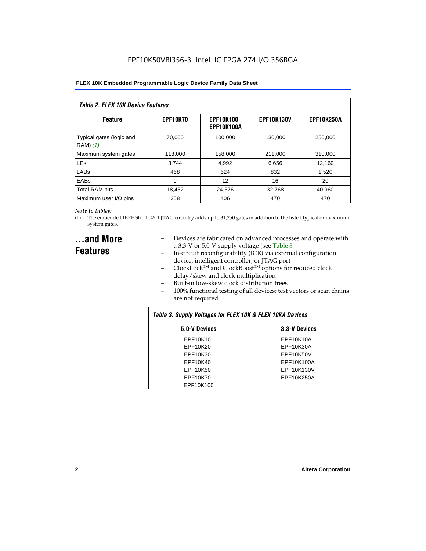| Table 2. FLEX 10K Device Features    |                 |                                |                   |                   |  |
|--------------------------------------|-----------------|--------------------------------|-------------------|-------------------|--|
| <b>Feature</b>                       | <b>EPF10K70</b> | <b>EPF10K100</b><br>EPF10K100A | <b>EPF10K130V</b> | <b>EPF10K250A</b> |  |
| Typical gates (logic and<br>RAM) (1) | 70.000          | 100.000                        | 130,000           | 250,000           |  |
| Maximum system gates                 | 118,000         | 158,000                        | 211,000           | 310,000           |  |
| <b>LEs</b>                           | 3.744           | 4,992                          | 6,656             | 12,160            |  |
| LABs                                 | 468             | 624                            | 832               | 1,520             |  |
| EABs                                 | 9               | 12                             | 16                | 20                |  |
| <b>Total RAM bits</b>                | 18,432          | 24.576                         | 32.768            | 40,960            |  |
| Maximum user I/O pins                | 358             | 406                            | 470               | 470               |  |

#### *Note to tables:*

(1) The embedded IEEE Std. 1149.1 JTAG circuitry adds up to 31,250 gates in addition to the listed typical or maximum system gates.

## **...and More Features**

- Devices are fabricated on advanced processes and operate with a 3.3-V or 5.0-V supply voltage (see Table 3
- In-circuit reconfigurability (ICR) via external configuration device, intelligent controller, or JTAG port
- ClockLockTM and ClockBoostTM options for reduced clock delay/skew and clock multiplication
- Built-in low-skew clock distribution trees
- 100% functional testing of all devices; test vectors or scan chains are not required

| Table 3. Supply Voltages for FLEX 10K & FLEX 10KA Devices |               |  |  |  |
|-----------------------------------------------------------|---------------|--|--|--|
| 5.0-V Devices                                             | 3.3-V Devices |  |  |  |
| EPF10K10                                                  | EPF10K10A     |  |  |  |
| EPF10K20                                                  | EPF10K30A     |  |  |  |
| EPF10K30                                                  | EPF10K50V     |  |  |  |
| EPF10K40                                                  | EPF10K100A    |  |  |  |
| EPF10K50                                                  | EPF10K130V    |  |  |  |
| EPF10K70                                                  | EPF10K250A    |  |  |  |
| EPF10K100                                                 |               |  |  |  |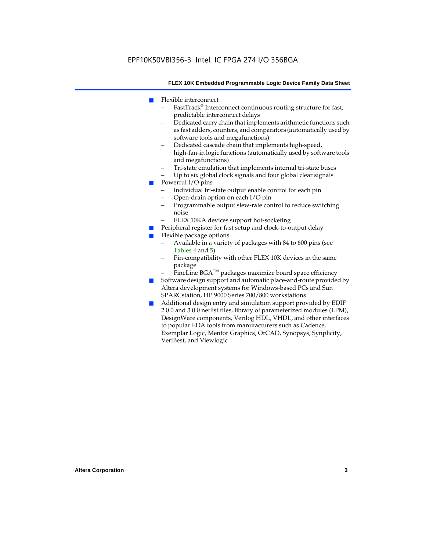- Flexible interconnect
	- FastTrack® Interconnect continuous routing structure for fast, predictable interconnect delays
	- Dedicated carry chain that implements arithmetic functions such as fast adders, counters, and comparators (automatically used by software tools and megafunctions)
	- Dedicated cascade chain that implements high-speed, high-fan-in logic functions (automatically used by software tools and megafunctions)
	- Tri-state emulation that implements internal tri-state buses
	- Up to six global clock signals and four global clear signals
- Powerful I/O pins
	- Individual tri-state output enable control for each pin
	- Open-drain option on each I/O pin
	- Programmable output slew-rate control to reduce switching noise
	- FLEX 10KA devices support hot-socketing
- Peripheral register for fast setup and clock-to-output delay
- Flexible package options
	- Available in a variety of packages with 84 to 600 pins (see Tables 4 and 5)
	- Pin-compatibility with other FLEX 10K devices in the same package
	- FineLine BGA<sup>TM</sup> packages maximize board space efficiency
- Software design support and automatic place-and-route provided by Altera development systems for Windows-based PCs and Sun SPARCstation, HP 9000 Series 700/800 workstations
- Additional design entry and simulation support provided by EDIF 2 0 0 and 3 0 0 netlist files, library of parameterized modules (LPM), DesignWare components, Verilog HDL, VHDL, and other interfaces to popular EDA tools from manufacturers such as Cadence, Exemplar Logic, Mentor Graphics, OrCAD, Synopsys, Synplicity, VeriBest, and Viewlogic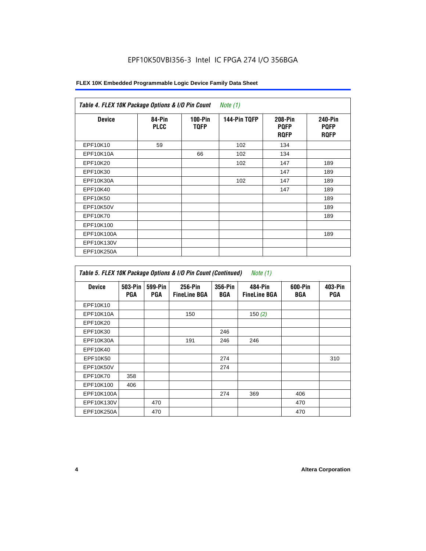### EPF10K50VBI356-3 Intel IC FPGA 274 I/O 356BGA

#### **FLEX 10K Embedded Programmable Logic Device Family Data Sheet**

| <b>Device</b> | 84-Pin<br><b>PLCC</b> | $100-Pin$<br><b>TQFP</b> | 144-Pin TQFP | 208-Pin<br><b>PQFP</b><br><b>ROFP</b> | <b>240-Pin</b><br><b>PQFP</b><br><b>RQFP</b> |
|---------------|-----------------------|--------------------------|--------------|---------------------------------------|----------------------------------------------|
| EPF10K10      | 59                    |                          | 102          | 134                                   |                                              |
| EPF10K10A     |                       | 66                       | 102          | 134                                   |                                              |
| EPF10K20      |                       |                          | 102          | 147                                   | 189                                          |
| EPF10K30      |                       |                          |              | 147                                   | 189                                          |
| EPF10K30A     |                       |                          | 102          | 147                                   | 189                                          |
| EPF10K40      |                       |                          |              | 147                                   | 189                                          |
| EPF10K50      |                       |                          |              |                                       | 189                                          |
| EPF10K50V     |                       |                          |              |                                       | 189                                          |
| EPF10K70      |                       |                          |              |                                       | 189                                          |
| EPF10K100     |                       |                          |              |                                       |                                              |
| EPF10K100A    |                       |                          |              |                                       | 189                                          |
| EPF10K130V    |                       |                          |              |                                       |                                              |
| EPF10K250A    |                       |                          |              |                                       |                                              |

| Table 5. FLEX 10K Package Options & I/O Pin Count (Continued)<br>Note $(1)$ |                       |                       |                                |                       |                                |                |                       |
|-----------------------------------------------------------------------------|-----------------------|-----------------------|--------------------------------|-----------------------|--------------------------------|----------------|-----------------------|
| <b>Device</b>                                                               | 503-Pin<br><b>PGA</b> | 599-Pin<br><b>PGA</b> | 256-Pin<br><b>FineLine BGA</b> | 356-Pin<br><b>BGA</b> | 484-Pin<br><b>FineLine BGA</b> | 600-Pin<br>BGA | 403-Pin<br><b>PGA</b> |
| EPF10K10                                                                    |                       |                       |                                |                       |                                |                |                       |
| EPF10K10A                                                                   |                       |                       | 150                            |                       | 150 $(2)$                      |                |                       |
| EPF10K20                                                                    |                       |                       |                                |                       |                                |                |                       |
| EPF10K30                                                                    |                       |                       |                                | 246                   |                                |                |                       |
| EPF10K30A                                                                   |                       |                       | 191                            | 246                   | 246                            |                |                       |
| EPF10K40                                                                    |                       |                       |                                |                       |                                |                |                       |
| EPF10K50                                                                    |                       |                       |                                | 274                   |                                |                | 310                   |
| EPF10K50V                                                                   |                       |                       |                                | 274                   |                                |                |                       |
| EPF10K70                                                                    | 358                   |                       |                                |                       |                                |                |                       |
| EPF10K100                                                                   | 406                   |                       |                                |                       |                                |                |                       |
| EPF10K100A                                                                  |                       |                       |                                | 274                   | 369                            | 406            |                       |
| EPF10K130V                                                                  |                       | 470                   |                                |                       |                                | 470            |                       |
| EPF10K250A                                                                  |                       | 470                   |                                |                       |                                | 470            |                       |

 $\mathbf{r}$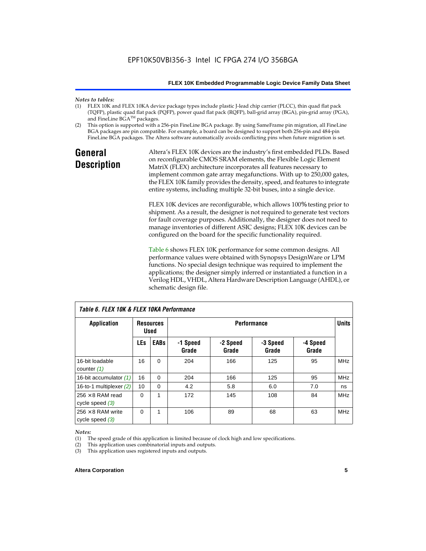## *Notes to tables:*

- FLEX 10K and FLEX 10KA device package types include plastic J-lead chip carrier (PLCC), thin quad flat pack (TQFP), plastic quad flat pack (PQFP), power quad flat pack (RQFP), ball-grid array (BGA), pin-grid array (PGA), and FineLine BGA™ packages.
- (2) This option is supported with a 256-pin FineLine BGA package. By using SameFrame pin migration, all FineLine BGA packages are pin compatible. For example, a board can be designed to support both 256-pin and 484-pin FineLine BGA packages. The Altera software automatically avoids conflicting pins when future migration is set.

## **General Description**

Altera's FLEX 10K devices are the industry's first embedded PLDs. Based on reconfigurable CMOS SRAM elements, the Flexible Logic Element MatriX (FLEX) architecture incorporates all features necessary to implement common gate array megafunctions. With up to 250,000 gates, the FLEX 10K family provides the density, speed, and features to integrate entire systems, including multiple 32-bit buses, into a single device.

FLEX 10K devices are reconfigurable, which allows 100% testing prior to shipment. As a result, the designer is not required to generate test vectors for fault coverage purposes. Additionally, the designer does not need to manage inventories of different ASIC designs; FLEX 10K devices can be configured on the board for the specific functionality required.

Table 6 shows FLEX 10K performance for some common designs. All performance values were obtained with Synopsys DesignWare or LPM functions. No special design technique was required to implement the applications; the designer simply inferred or instantiated a function in a Verilog HDL, VHDL, Altera Hardware Description Language (AHDL), or schematic design file.

| TADIE D. FLEA TUN & FLEA TUNA FEITUITITAIICE  |                                                       |             |                   |                   |                   |                   |            |
|-----------------------------------------------|-------------------------------------------------------|-------------|-------------------|-------------------|-------------------|-------------------|------------|
| Application                                   | <b>Performance</b><br><b>Resources</b><br><b>Used</b> |             |                   |                   |                   | <b>Units</b>      |            |
|                                               | <b>LEs</b>                                            | <b>EABs</b> | -1 Speed<br>Grade | -2 Speed<br>Grade | -3 Speed<br>Grade | -4 Speed<br>Grade |            |
| 16-bit loadable<br>counter $(1)$              | 16                                                    | $\Omega$    | 204               | 166               | 125               | 95                | <b>MHz</b> |
| 16-bit accumulator (1)                        | 16                                                    | $\Omega$    | 204               | 166               | 125               | 95                | <b>MHz</b> |
| 16-to-1 multiplexer $(2)$                     | 10                                                    | $\Omega$    | 4.2               | 5.8               | 6.0               | 7.0               | ns         |
| $256 \times 8$ RAM read<br>cycle speed $(3)$  | $\Omega$                                              | 1           | 172               | 145               | 108               | 84                | <b>MHz</b> |
| $256 \times 8$ RAM write<br>cycle speed $(3)$ | 0                                                     | 1           | 106               | 89                | 68                | 63                | <b>MHz</b> |

*Table 6. FLEX 10K & FLEX 10KA Performance*

#### *Notes:*

(1) The speed grade of this application is limited because of clock high and low specifications.

(2) This application uses combinatorial inputs and outputs.

(3) This application uses registered inputs and outputs.

#### **Altera Corporation 5**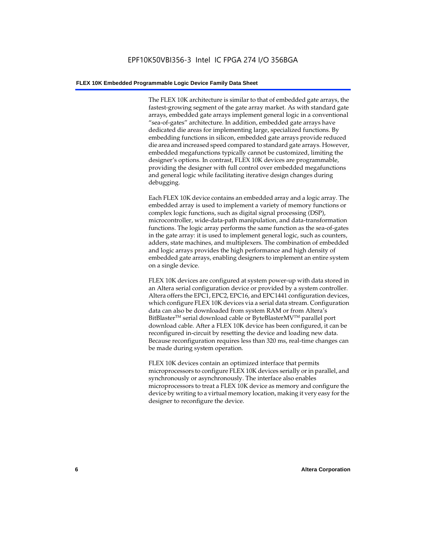The FLEX 10K architecture is similar to that of embedded gate arrays, the fastest-growing segment of the gate array market. As with standard gate arrays, embedded gate arrays implement general logic in a conventional "sea-of-gates" architecture. In addition, embedded gate arrays have dedicated die areas for implementing large, specialized functions. By embedding functions in silicon, embedded gate arrays provide reduced die area and increased speed compared to standard gate arrays. However, embedded megafunctions typically cannot be customized, limiting the designer's options. In contrast, FLEX 10K devices are programmable, providing the designer with full control over embedded megafunctions and general logic while facilitating iterative design changes during debugging.

Each FLEX 10K device contains an embedded array and a logic array. The embedded array is used to implement a variety of memory functions or complex logic functions, such as digital signal processing (DSP), microcontroller, wide-data-path manipulation, and data-transformation functions. The logic array performs the same function as the sea-of-gates in the gate array: it is used to implement general logic, such as counters, adders, state machines, and multiplexers. The combination of embedded and logic arrays provides the high performance and high density of embedded gate arrays, enabling designers to implement an entire system on a single device.

FLEX 10K devices are configured at system power-up with data stored in an Altera serial configuration device or provided by a system controller. Altera offers the EPC1, EPC2, EPC16, and EPC1441 configuration devices, which configure FLEX 10K devices via a serial data stream. Configuration data can also be downloaded from system RAM or from Altera's BitBlaster<sup>™</sup> serial download cable or ByteBlasterMV<sup>™</sup> parallel port download cable. After a FLEX 10K device has been configured, it can be reconfigured in-circuit by resetting the device and loading new data. Because reconfiguration requires less than 320 ms, real-time changes can be made during system operation.

FLEX 10K devices contain an optimized interface that permits microprocessors to configure FLEX 10K devices serially or in parallel, and synchronously or asynchronously. The interface also enables microprocessors to treat a FLEX 10K device as memory and configure the device by writing to a virtual memory location, making it very easy for the designer to reconfigure the device.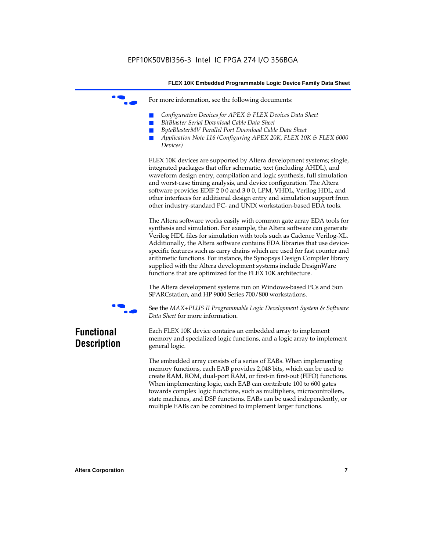For more information, see the following documents:

- *Configuration Devices for APEX & FLEX Devices Data Sheet*
- $BitBlaster$  Serial Download Cable Data Sheet
- *ByteBlasterMV Parallel Port Download Cable Data Sheet*
- *Application Note 116 (Configuring APEX 20K, FLEX 10K & FLEX 6000 Devices)*

FLEX 10K devices are supported by Altera development systems; single, integrated packages that offer schematic, text (including AHDL), and waveform design entry, compilation and logic synthesis, full simulation and worst-case timing analysis, and device configuration. The Altera software provides EDIF 2 0 0 and 3 0 0, LPM, VHDL, Verilog HDL, and other interfaces for additional design entry and simulation support from other industry-standard PC- and UNIX workstation-based EDA tools.

The Altera software works easily with common gate array EDA tools for synthesis and simulation. For example, the Altera software can generate Verilog HDL files for simulation with tools such as Cadence Verilog-XL. Additionally, the Altera software contains EDA libraries that use devicespecific features such as carry chains which are used for fast counter and arithmetic functions. For instance, the Synopsys Design Compiler library supplied with the Altera development systems include DesignWare functions that are optimized for the FLEX 10K architecture.

The Altera development systems run on Windows-based PCs and Sun SPARCstation, and HP 9000 Series 700/800 workstations.



f See the *MAX+PLUS II Programmable Logic Development System & Software Data Sheet* for more information.

## **Functional Description**

Each FLEX 10K device contains an embedded array to implement memory and specialized logic functions, and a logic array to implement general logic.

The embedded array consists of a series of EABs. When implementing memory functions, each EAB provides 2,048 bits, which can be used to create RAM, ROM, dual-port RAM, or first-in first-out (FIFO) functions. When implementing logic, each EAB can contribute 100 to 600 gates towards complex logic functions, such as multipliers, microcontrollers, state machines, and DSP functions. EABs can be used independently, or multiple EABs can be combined to implement larger functions.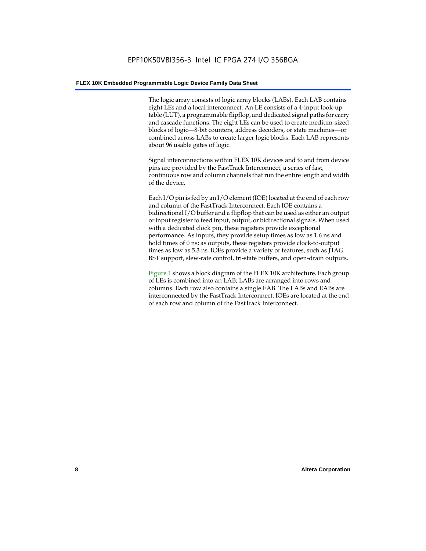The logic array consists of logic array blocks (LABs). Each LAB contains eight LEs and a local interconnect. An LE consists of a 4-input look-up table (LUT), a programmable flipflop, and dedicated signal paths for carry and cascade functions. The eight LEs can be used to create medium-sized blocks of logic—8-bit counters, address decoders, or state machines—or combined across LABs to create larger logic blocks. Each LAB represents about 96 usable gates of logic.

Signal interconnections within FLEX 10K devices and to and from device pins are provided by the FastTrack Interconnect, a series of fast, continuous row and column channels that run the entire length and width of the device.

Each I/O pin is fed by an I/O element (IOE) located at the end of each row and column of the FastTrack Interconnect. Each IOE contains a bidirectional I/O buffer and a flipflop that can be used as either an output or input register to feed input, output, or bidirectional signals. When used with a dedicated clock pin, these registers provide exceptional performance. As inputs, they provide setup times as low as 1.6 ns and hold times of 0 ns; as outputs, these registers provide clock-to-output times as low as 5.3 ns. IOEs provide a variety of features, such as JTAG BST support, slew-rate control, tri-state buffers, and open-drain outputs.

Figure 1 shows a block diagram of the FLEX 10K architecture. Each group of LEs is combined into an LAB; LABs are arranged into rows and columns. Each row also contains a single EAB. The LABs and EABs are interconnected by the FastTrack Interconnect. IOEs are located at the end of each row and column of the FastTrack Interconnect.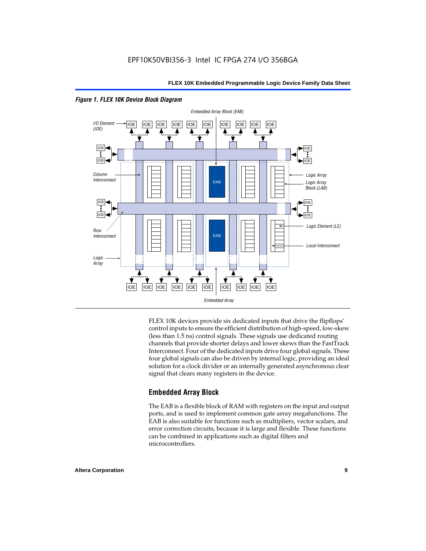



FLEX 10K devices provide six dedicated inputs that drive the flipflops' control inputs to ensure the efficient distribution of high-speed, low-skew (less than 1.5 ns) control signals. These signals use dedicated routing channels that provide shorter delays and lower skews than the FastTrack Interconnect. Four of the dedicated inputs drive four global signals. These four global signals can also be driven by internal logic, providing an ideal solution for a clock divider or an internally generated asynchronous clear signal that clears many registers in the device.

#### **Embedded Array Block**

The EAB is a flexible block of RAM with registers on the input and output ports, and is used to implement common gate array megafunctions. The EAB is also suitable for functions such as multipliers, vector scalars, and error correction circuits, because it is large and flexible. These functions can be combined in applications such as digital filters and microcontrollers.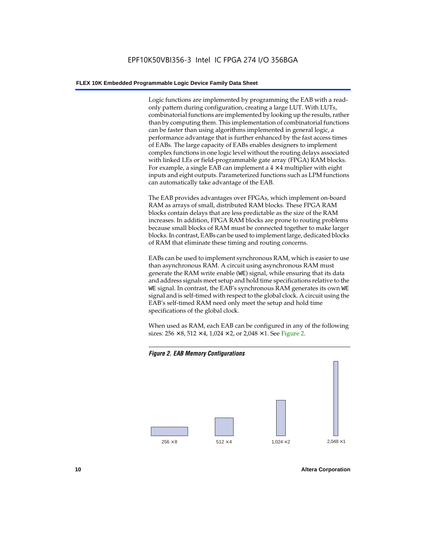Logic functions are implemented by programming the EAB with a readonly pattern during configuration, creating a large LUT. With LUTs, combinatorial functions are implemented by looking up the results, rather than by computing them. This implementation of combinatorial functions can be faster than using algorithms implemented in general logic, a performance advantage that is further enhanced by the fast access times of EABs. The large capacity of EABs enables designers to implement complex functions in one logic level without the routing delays associated with linked LEs or field-programmable gate array (FPGA) RAM blocks. For example, a single EAB can implement a  $4 \times 4$  multiplier with eight inputs and eight outputs. Parameterized functions such as LPM functions can automatically take advantage of the EAB.

The EAB provides advantages over FPGAs, which implement on-board RAM as arrays of small, distributed RAM blocks. These FPGA RAM blocks contain delays that are less predictable as the size of the RAM increases. In addition, FPGA RAM blocks are prone to routing problems because small blocks of RAM must be connected together to make larger blocks. In contrast, EABs can be used to implement large, dedicated blocks of RAM that eliminate these timing and routing concerns.

EABs can be used to implement synchronous RAM, which is easier to use than asynchronous RAM. A circuit using asynchronous RAM must generate the RAM write enable (WE) signal, while ensuring that its data and address signals meet setup and hold time specifications relative to the WE signal. In contrast, the EAB's synchronous RAM generates its own WE signal and is self-timed with respect to the global clock. A circuit using the EAB's self-timed RAM need only meet the setup and hold time specifications of the global clock.

When used as RAM, each EAB can be configured in any of the following sizes:  $256 \times 8$ ,  $512 \times 4$ ,  $1,024 \times 2$ , or  $2,048 \times 1$ . See Figure 2.



**10 Altera Corporation**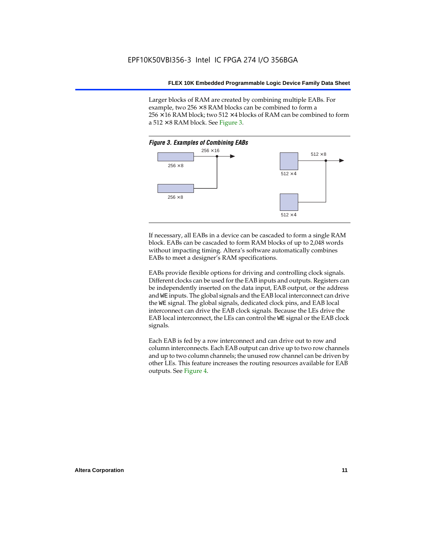Larger blocks of RAM are created by combining multiple EABs. For example, two  $256 \times 8$  RAM blocks can be combined to form a  $256 \times 16$  RAM block; two 512  $\times$  4 blocks of RAM can be combined to form a  $512 \times 8$  RAM block. See Figure 3.



If necessary, all EABs in a device can be cascaded to form a single RAM block. EABs can be cascaded to form RAM blocks of up to 2,048 words without impacting timing. Altera's software automatically combines EABs to meet a designer's RAM specifications.

EABs provide flexible options for driving and controlling clock signals. Different clocks can be used for the EAB inputs and outputs. Registers can be independently inserted on the data input, EAB output, or the address and WE inputs. The global signals and the EAB local interconnect can drive the WE signal. The global signals, dedicated clock pins, and EAB local interconnect can drive the EAB clock signals. Because the LEs drive the EAB local interconnect, the LEs can control the WE signal or the EAB clock signals.

Each EAB is fed by a row interconnect and can drive out to row and column interconnects. Each EAB output can drive up to two row channels and up to two column channels; the unused row channel can be driven by other LEs. This feature increases the routing resources available for EAB outputs. See Figure 4.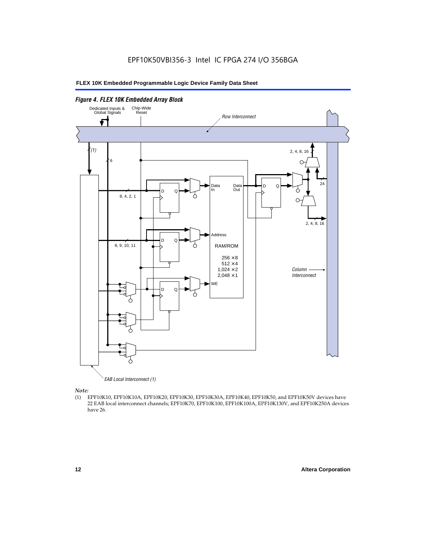

EAB Local Interconnect (1)

*Note:*<br>(1) **H** 

(1) EPF10K10, EPF10K10A, EPF10K20, EPF10K30, EPF10K30A, EPF10K40, EPF10K50, and EPF10K50V devices have 22 EAB local interconnect channels; EPF10K70, EPF10K100, EPF10K100A, EPF10K130V, and EPF10K250A devices have 26.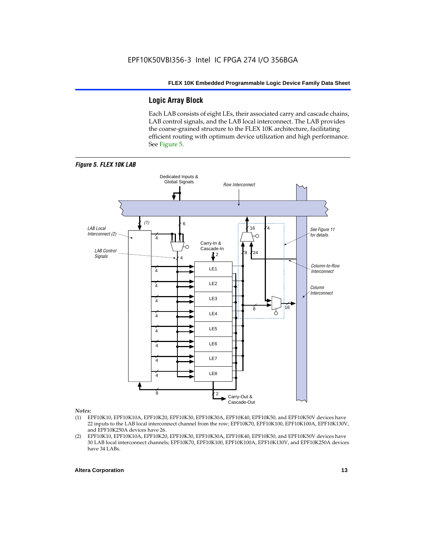### **Logic Array Block**

Each LAB consists of eight LEs, their associated carry and cascade chains, LAB control signals, and the LAB local interconnect. The LAB provides the coarse-grained structure to the FLEX 10K architecture, facilitating efficient routing with optimum device utilization and high performance. See Figure 5.



#### *Notes:*

- (1) EPF10K10, EPF10K10A, EPF10K20, EPF10K30, EPF10K30A, EPF10K40, EPF10K50, and EPF10K50V devices have 22 inputs to the LAB local interconnect channel from the row; EPF10K70, EPF10K100, EPF10K100A, EPF10K130V, and EPF10K250A devices have 26.
- (2) EPF10K10, EPF10K10A, EPF10K20, EPF10K30, EPF10K30A, EPF10K40, EPF10K50, and EPF10K50V devices have 30 LAB local interconnect channels; EPF10K70, EPF10K100, EPF10K100A, EPF10K130V, and EPF10K250A devices have 34 LABs.

#### **Altera Corporation 13 13**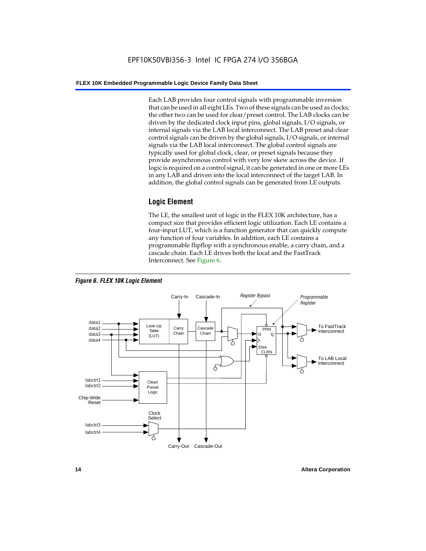Each LAB provides four control signals with programmable inversion that can be used in all eight LEs. Two of these signals can be used as clocks; the other two can be used for clear/preset control. The LAB clocks can be driven by the dedicated clock input pins, global signals, I/O signals, or internal signals via the LAB local interconnect. The LAB preset and clear control signals can be driven by the global signals, I/O signals, or internal signals via the LAB local interconnect. The global control signals are typically used for global clock, clear, or preset signals because they provide asynchronous control with very low skew across the device. If logic is required on a control signal, it can be generated in one or more LEs in any LAB and driven into the local interconnect of the target LAB. In addition, the global control signals can be generated from LE outputs.

#### **Logic Element**

The LE, the smallest unit of logic in the FLEX 10K architecture, has a compact size that provides efficient logic utilization. Each LE contains a four-input LUT, which is a function generator that can quickly compute any function of four variables. In addition, each LE contains a programmable flipflop with a synchronous enable, a carry chain, and a cascade chain. Each LE drives both the local and the FastTrack Interconnect. See Figure 6.



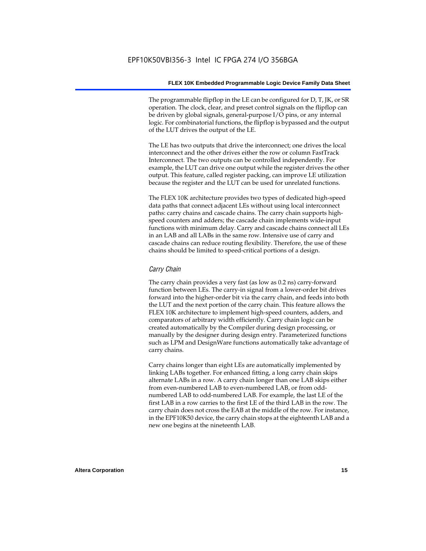The programmable flipflop in the LE can be configured for D, T, JK, or SR operation. The clock, clear, and preset control signals on the flipflop can be driven by global signals, general-purpose I/O pins, or any internal logic. For combinatorial functions, the flipflop is bypassed and the output of the LUT drives the output of the LE.

The LE has two outputs that drive the interconnect; one drives the local interconnect and the other drives either the row or column FastTrack Interconnect. The two outputs can be controlled independently. For example, the LUT can drive one output while the register drives the other output. This feature, called register packing, can improve LE utilization because the register and the LUT can be used for unrelated functions.

The FLEX 10K architecture provides two types of dedicated high-speed data paths that connect adjacent LEs without using local interconnect paths: carry chains and cascade chains. The carry chain supports highspeed counters and adders; the cascade chain implements wide-input functions with minimum delay. Carry and cascade chains connect all LEs in an LAB and all LABs in the same row. Intensive use of carry and cascade chains can reduce routing flexibility. Therefore, the use of these chains should be limited to speed-critical portions of a design.

#### *Carry Chain*

The carry chain provides a very fast (as low as 0.2 ns) carry-forward function between LEs. The carry-in signal from a lower-order bit drives forward into the higher-order bit via the carry chain, and feeds into both the LUT and the next portion of the carry chain. This feature allows the FLEX 10K architecture to implement high-speed counters, adders, and comparators of arbitrary width efficiently. Carry chain logic can be created automatically by the Compiler during design processing, or manually by the designer during design entry. Parameterized functions such as LPM and DesignWare functions automatically take advantage of carry chains.

Carry chains longer than eight LEs are automatically implemented by linking LABs together. For enhanced fitting, a long carry chain skips alternate LABs in a row. A carry chain longer than one LAB skips either from even-numbered LAB to even-numbered LAB, or from oddnumbered LAB to odd-numbered LAB. For example, the last LE of the first LAB in a row carries to the first LE of the third LAB in the row. The carry chain does not cross the EAB at the middle of the row. For instance, in the EPF10K50 device, the carry chain stops at the eighteenth LAB and a new one begins at the nineteenth LAB.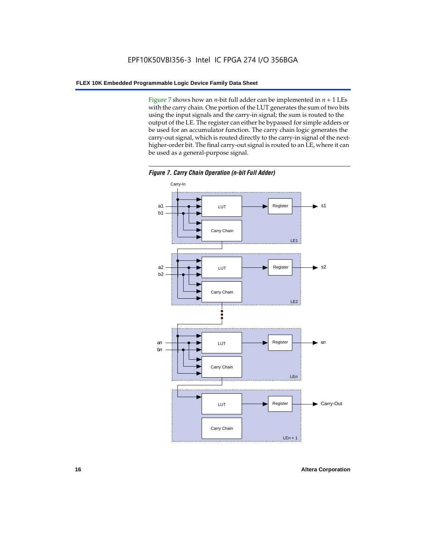Figure 7 shows how an *n*-bit full adder can be implemented in  $n + 1$  LEs with the carry chain. One portion of the LUT generates the sum of two bits using the input signals and the carry-in signal; the sum is routed to the output of the LE. The register can either be bypassed for simple adders or be used for an accumulator function. The carry chain logic generates the carry-out signal, which is routed directly to the carry-in signal of the nexthigher-order bit. The final carry-out signal is routed to an LE, where it can be used as a general-purpose signal.



*Figure 7. Carry Chain Operation (n-bit Full Adder)*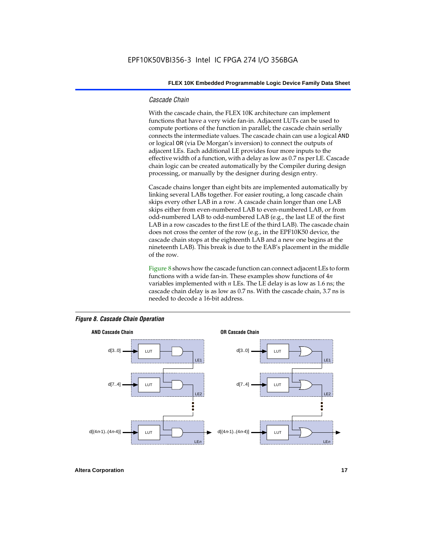#### *Cascade Chain*

With the cascade chain, the FLEX 10K architecture can implement functions that have a very wide fan-in. Adjacent LUTs can be used to compute portions of the function in parallel; the cascade chain serially connects the intermediate values. The cascade chain can use a logical AND or logical OR (via De Morgan's inversion) to connect the outputs of adjacent LEs. Each additional LE provides four more inputs to the effective width of a function, with a delay as low as 0.7 ns per LE. Cascade chain logic can be created automatically by the Compiler during design processing, or manually by the designer during design entry.

Cascade chains longer than eight bits are implemented automatically by linking several LABs together. For easier routing, a long cascade chain skips every other LAB in a row. A cascade chain longer than one LAB skips either from even-numbered LAB to even-numbered LAB, or from odd-numbered LAB to odd-numbered LAB (e.g., the last LE of the first LAB in a row cascades to the first LE of the third LAB). The cascade chain does not cross the center of the row (e.g., in the EPF10K50 device, the cascade chain stops at the eighteenth LAB and a new one begins at the nineteenth LAB). This break is due to the EAB's placement in the middle of the row.

Figure 8 shows how the cascade function can connect adjacent LEs to form functions with a wide fan-in. These examples show functions of 4*n* variables implemented with *n* LEs. The LE delay is as low as 1.6 ns; the cascade chain delay is as low as 0.7 ns. With the cascade chain, 3.7 ns is needed to decode a 16-bit address.



#### *Figure 8. Cascade Chain Operation*

**Altera Corporation 17 17**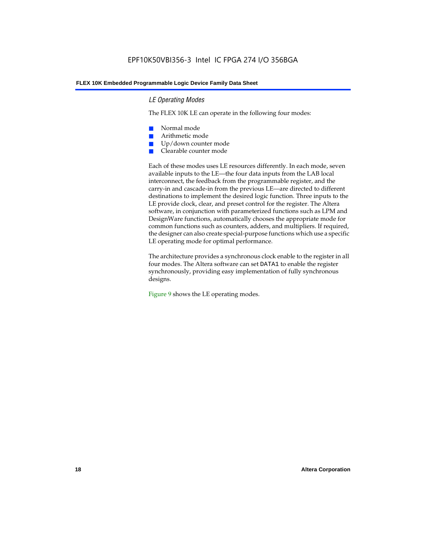#### *LE Operating Modes*

The FLEX 10K LE can operate in the following four modes:

- Normal mode
- Arithmetic mode
- Up/down counter mode
- Clearable counter mode

Each of these modes uses LE resources differently. In each mode, seven available inputs to the LE—the four data inputs from the LAB local interconnect, the feedback from the programmable register, and the carry-in and cascade-in from the previous LE—are directed to different destinations to implement the desired logic function. Three inputs to the LE provide clock, clear, and preset control for the register. The Altera software, in conjunction with parameterized functions such as LPM and DesignWare functions, automatically chooses the appropriate mode for common functions such as counters, adders, and multipliers. If required, the designer can also create special-purpose functions which use a specific LE operating mode for optimal performance.

The architecture provides a synchronous clock enable to the register in all four modes. The Altera software can set DATA1 to enable the register synchronously, providing easy implementation of fully synchronous designs.

Figure 9 shows the LE operating modes.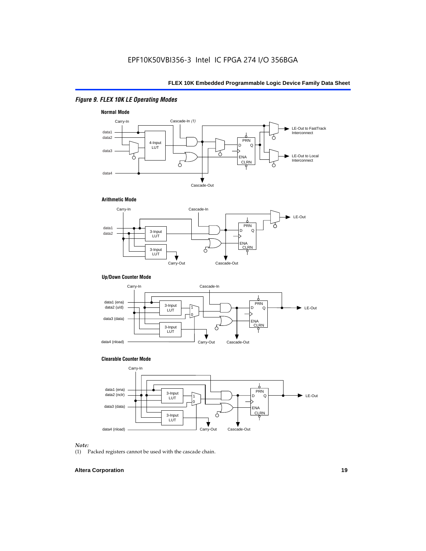### *Figure 9. FLEX 10K LE Operating Modes*







#### **Up/Down Counter Mode**



#### **Clearable Counter Mode**



#### *Note:*

(1) Packed registers cannot be used with the cascade chain.

#### **Altera Corporation 19**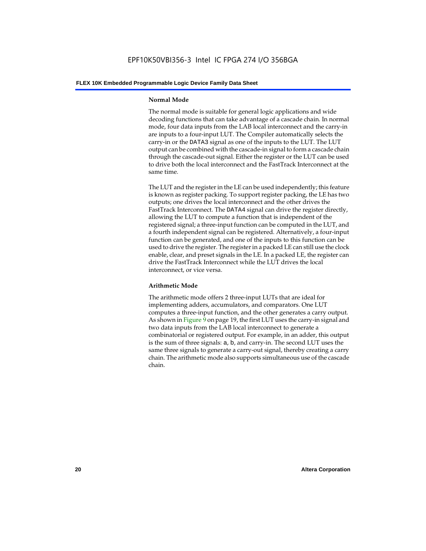#### **Normal Mode**

The normal mode is suitable for general logic applications and wide decoding functions that can take advantage of a cascade chain. In normal mode, four data inputs from the LAB local interconnect and the carry-in are inputs to a four-input LUT. The Compiler automatically selects the carry-in or the DATA3 signal as one of the inputs to the LUT. The LUT output can be combined with the cascade-in signal to form a cascade chain through the cascade-out signal. Either the register or the LUT can be used to drive both the local interconnect and the FastTrack Interconnect at the same time.

The LUT and the register in the LE can be used independently; this feature is known as register packing. To support register packing, the LE has two outputs; one drives the local interconnect and the other drives the FastTrack Interconnect. The DATA4 signal can drive the register directly, allowing the LUT to compute a function that is independent of the registered signal; a three-input function can be computed in the LUT, and a fourth independent signal can be registered. Alternatively, a four-input function can be generated, and one of the inputs to this function can be used to drive the register. The register in a packed LE can still use the clock enable, clear, and preset signals in the LE. In a packed LE, the register can drive the FastTrack Interconnect while the LUT drives the local interconnect, or vice versa.

#### **Arithmetic Mode**

The arithmetic mode offers 2 three-input LUTs that are ideal for implementing adders, accumulators, and comparators. One LUT computes a three-input function, and the other generates a carry output. As shown in Figure 9 on page 19, the first LUT uses the carry-in signal and two data inputs from the LAB local interconnect to generate a combinatorial or registered output. For example, in an adder, this output is the sum of three signals: a, b, and carry-in. The second LUT uses the same three signals to generate a carry-out signal, thereby creating a carry chain. The arithmetic mode also supports simultaneous use of the cascade chain.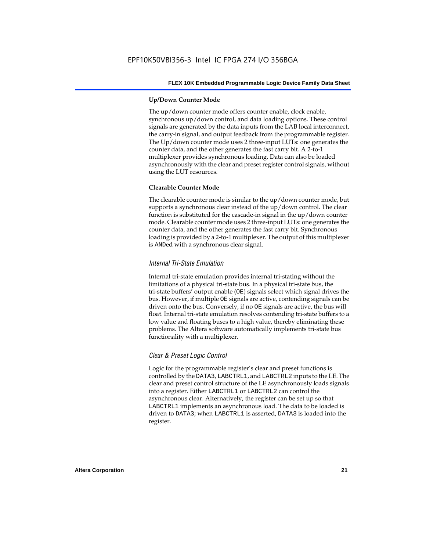#### **Up/Down Counter Mode**

The up/down counter mode offers counter enable, clock enable, synchronous up/down control, and data loading options. These control signals are generated by the data inputs from the LAB local interconnect, the carry-in signal, and output feedback from the programmable register. The Up/down counter mode uses 2 three-input LUTs: one generates the counter data, and the other generates the fast carry bit. A 2-to-1 multiplexer provides synchronous loading. Data can also be loaded asynchronously with the clear and preset register control signals, without using the LUT resources.

#### **Clearable Counter Mode**

The clearable counter mode is similar to the up/down counter mode, but supports a synchronous clear instead of the up/down control. The clear function is substituted for the cascade-in signal in the up/down counter mode. Clearable counter mode uses 2 three-input LUTs: one generates the counter data, and the other generates the fast carry bit. Synchronous loading is provided by a 2-to-1 multiplexer. The output of this multiplexer is ANDed with a synchronous clear signal.

#### *Internal Tri-State Emulation*

Internal tri-state emulation provides internal tri-stating without the limitations of a physical tri-state bus. In a physical tri-state bus, the tri-state buffers' output enable (OE) signals select which signal drives the bus. However, if multiple OE signals are active, contending signals can be driven onto the bus. Conversely, if no OE signals are active, the bus will float. Internal tri-state emulation resolves contending tri-state buffers to a low value and floating buses to a high value, thereby eliminating these problems. The Altera software automatically implements tri-state bus functionality with a multiplexer.

#### *Clear & Preset Logic Control*

Logic for the programmable register's clear and preset functions is controlled by the DATA3, LABCTRL1, and LABCTRL2 inputs to the LE. The clear and preset control structure of the LE asynchronously loads signals into a register. Either LABCTRL1 or LABCTRL2 can control the asynchronous clear. Alternatively, the register can be set up so that LABCTRL1 implements an asynchronous load. The data to be loaded is driven to DATA3; when LABCTRL1 is asserted, DATA3 is loaded into the register.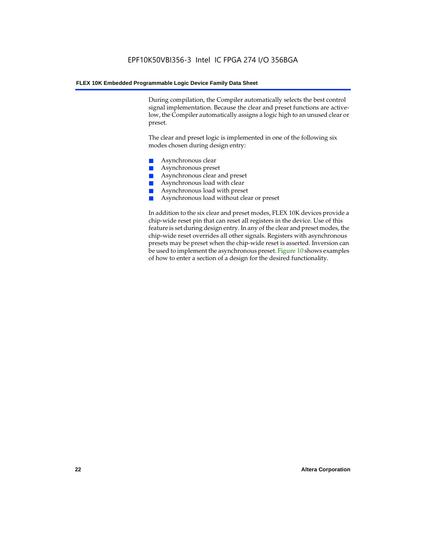During compilation, the Compiler automatically selects the best control signal implementation. Because the clear and preset functions are activelow, the Compiler automatically assigns a logic high to an unused clear or preset.

The clear and preset logic is implemented in one of the following six modes chosen during design entry:

- Asynchronous clear
- Asynchronous preset
- Asynchronous clear and preset
- Asynchronous load with clear
- Asynchronous load with preset
- Asynchronous load without clear or preset

In addition to the six clear and preset modes, FLEX 10K devices provide a chip-wide reset pin that can reset all registers in the device. Use of this feature is set during design entry. In any of the clear and preset modes, the chip-wide reset overrides all other signals. Registers with asynchronous presets may be preset when the chip-wide reset is asserted. Inversion can be used to implement the asynchronous preset. Figure 10 shows examples of how to enter a section of a design for the desired functionality.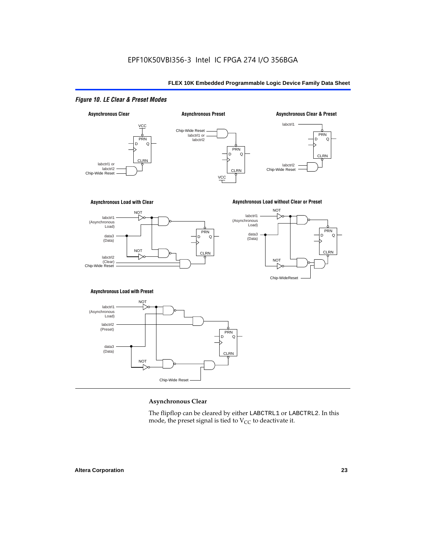#### *Figure 10. LE Clear & Preset Modes*



#### **Asynchronous Clear**

The flipflop can be cleared by either LABCTRL1 or LABCTRL2. In this mode, the preset signal is tied to  $V_{CC}$  to deactivate it.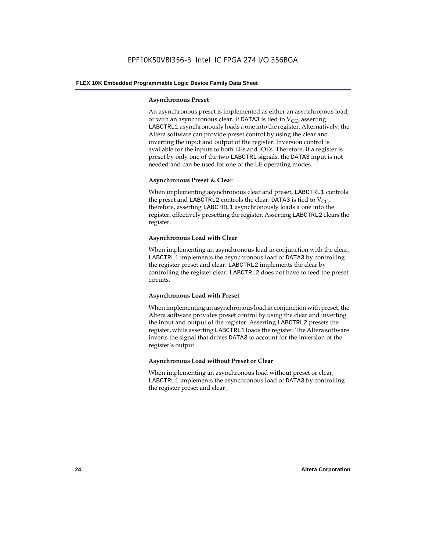#### **Asynchronous Preset**

An asynchronous preset is implemented as either an asynchronous load, or with an asynchronous clear. If DATA3 is tied to  $V_{CC}$ , asserting LABCTRL1 asynchronously loads a one into the register. Alternatively, the Altera software can provide preset control by using the clear and inverting the input and output of the register. Inversion control is available for the inputs to both LEs and IOEs. Therefore, if a register is preset by only one of the two LABCTRL signals, the DATA3 input is not needed and can be used for one of the LE operating modes.

#### **Asynchronous Preset & Clear**

When implementing asynchronous clear and preset, LABCTRL1 controls the preset and LABCTRL2 controls the clear. DATA3 is tied to  $V_{CC}$ , therefore, asserting LABCTRL1 asynchronously loads a one into the register, effectively presetting the register. Asserting LABCTRL2 clears the register.

#### **Asynchronous Load with Clear**

When implementing an asynchronous load in conjunction with the clear, LABCTRL1 implements the asynchronous load of DATA3 by controlling the register preset and clear. LABCTRL2 implements the clear by controlling the register clear; LABCTRL2 does not have to feed the preset circuits.

#### **Asynchronous Load with Preset**

When implementing an asynchronous load in conjunction with preset, the Altera software provides preset control by using the clear and inverting the input and output of the register. Asserting LABCTRL2 presets the register, while asserting LABCTRL1 loads the register. The Altera software inverts the signal that drives DATA3 to account for the inversion of the register's output.

#### **Asynchronous Load without Preset or Clear**

When implementing an asynchronous load without preset or clear, LABCTRL1 implements the asynchronous load of DATA3 by controlling the register preset and clear.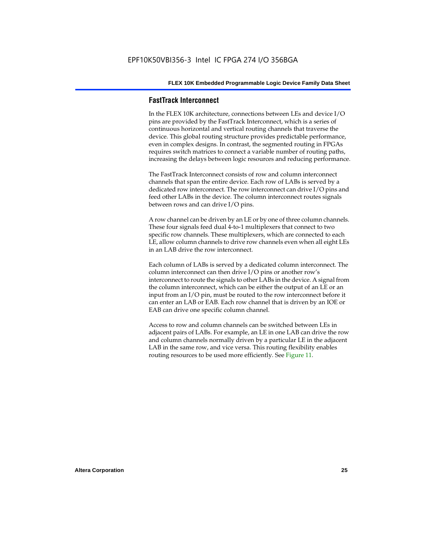#### **FastTrack Interconnect**

In the FLEX 10K architecture, connections between LEs and device I/O pins are provided by the FastTrack Interconnect, which is a series of continuous horizontal and vertical routing channels that traverse the device. This global routing structure provides predictable performance, even in complex designs. In contrast, the segmented routing in FPGAs requires switch matrices to connect a variable number of routing paths, increasing the delays between logic resources and reducing performance.

The FastTrack Interconnect consists of row and column interconnect channels that span the entire device. Each row of LABs is served by a dedicated row interconnect. The row interconnect can drive I/O pins and feed other LABs in the device. The column interconnect routes signals between rows and can drive I/O pins.

A row channel can be driven by an LE or by one of three column channels. These four signals feed dual 4-to-1 multiplexers that connect to two specific row channels. These multiplexers, which are connected to each LE, allow column channels to drive row channels even when all eight LEs in an LAB drive the row interconnect.

Each column of LABs is served by a dedicated column interconnect. The column interconnect can then drive I/O pins or another row's interconnect to route the signals to other LABs in the device. A signal from the column interconnect, which can be either the output of an LE or an input from an I/O pin, must be routed to the row interconnect before it can enter an LAB or EAB. Each row channel that is driven by an IOE or EAB can drive one specific column channel.

Access to row and column channels can be switched between LEs in adjacent pairs of LABs. For example, an LE in one LAB can drive the row and column channels normally driven by a particular LE in the adjacent LAB in the same row, and vice versa. This routing flexibility enables routing resources to be used more efficiently. See Figure 11.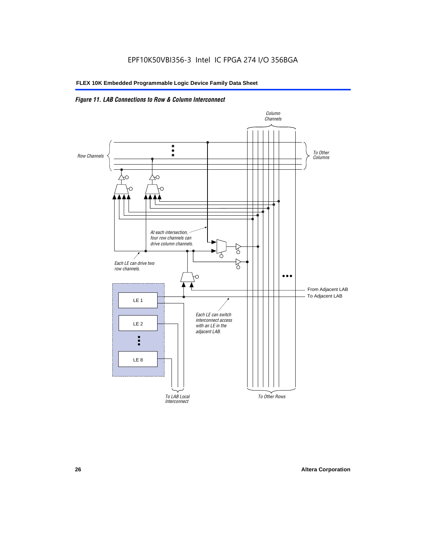### *Figure 11. LAB Connections to Row & Column Interconnect*

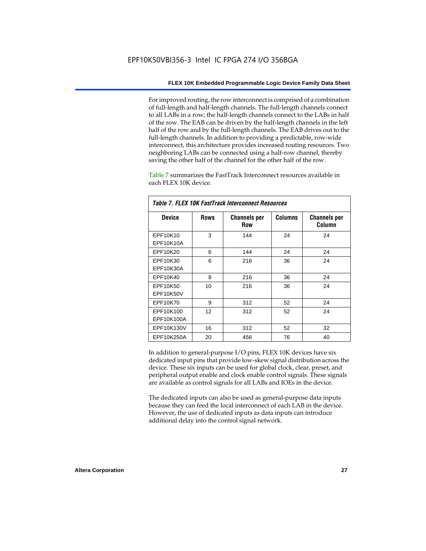For improved routing, the row interconnect is comprised of a combination of full-length and half-length channels. The full-length channels connect to all LABs in a row; the half-length channels connect to the LABs in half of the row. The EAB can be driven by the half-length channels in the left half of the row and by the full-length channels. The EAB drives out to the full-length channels. In addition to providing a predictable, row-wide interconnect, this architecture provides increased routing resources. Two neighboring LABs can be connected using a half-row channel, thereby saving the other half of the channel for the other half of the row.

Table 7 summarizes the FastTrack Interconnect resources available in each FLEX 10K device.

| Table 7. FLEX 10K FastTrack Interconnect Resources |             |                                   |                |                               |  |  |
|----------------------------------------------------|-------------|-----------------------------------|----------------|-------------------------------|--|--|
| <b>Device</b>                                      | <b>Rows</b> | <b>Channels per</b><br><b>Row</b> | <b>Columns</b> | <b>Channels per</b><br>Column |  |  |
| EPF10K10                                           | 3           | 144                               | 24             | 24                            |  |  |
| EPF10K10A                                          |             |                                   |                |                               |  |  |
| EPF10K20                                           | 6           | 144                               | 24             | 24                            |  |  |
| EPF10K30                                           | 6           | 216                               | 36             | 24                            |  |  |
| EPF10K30A                                          |             |                                   |                |                               |  |  |
| EPF10K40                                           | 8           | 216                               | 36             | 24                            |  |  |
| EPF10K50                                           | 10          | 216                               | 36             | 24                            |  |  |
| <b>EPF10K50V</b>                                   |             |                                   |                |                               |  |  |
| EPF10K70                                           | 9           | 312                               | 52             | 24                            |  |  |
| EPF10K100                                          | 12          | 312                               | 52             | 24                            |  |  |
| EPF10K100A                                         |             |                                   |                |                               |  |  |
| EPF10K130V                                         | 16          | 312                               | 52             | 32                            |  |  |
| EPF10K250A                                         | 20          | 456                               | 76             | 40                            |  |  |

In addition to general-purpose I/O pins, FLEX 10K devices have six dedicated input pins that provide low-skew signal distribution across the device. These six inputs can be used for global clock, clear, preset, and peripheral output enable and clock enable control signals. These signals are available as control signals for all LABs and IOEs in the device.

The dedicated inputs can also be used as general-purpose data inputs because they can feed the local interconnect of each LAB in the device. However, the use of dedicated inputs as data inputs can introduce additional delay into the control signal network.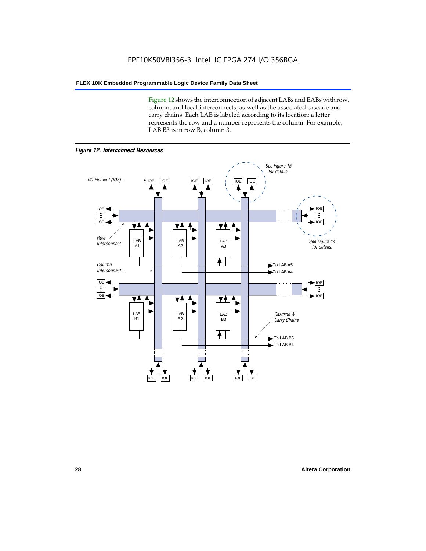Figure 12 shows the interconnection of adjacent LABs and EABs with row, column, and local interconnects, as well as the associated cascade and carry chains. Each LAB is labeled according to its location: a letter represents the row and a number represents the column. For example, LAB B3 is in row B, column 3.



*Figure 12. Interconnect Resources*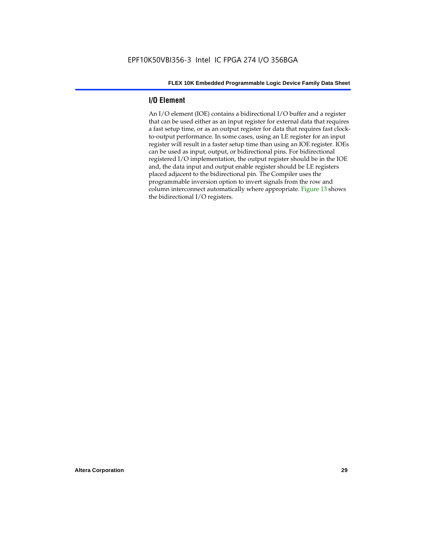#### **I/O Element**

An I/O element (IOE) contains a bidirectional I/O buffer and a register that can be used either as an input register for external data that requires a fast setup time, or as an output register for data that requires fast clockto-output performance. In some cases, using an LE register for an input register will result in a faster setup time than using an IOE register. IOEs can be used as input, output, or bidirectional pins. For bidirectional registered I/O implementation, the output register should be in the IOE and, the data input and output enable register should be LE registers placed adjacent to the bidirectional pin. The Compiler uses the programmable inversion option to invert signals from the row and column interconnect automatically where appropriate. Figure 13 shows the bidirectional I/O registers.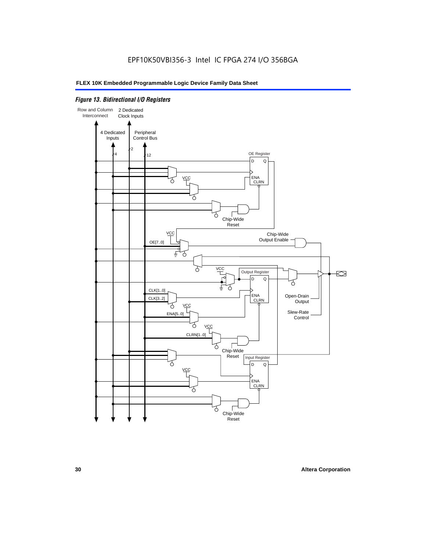#### *Figure 13. Bidirectional I/O Registers*

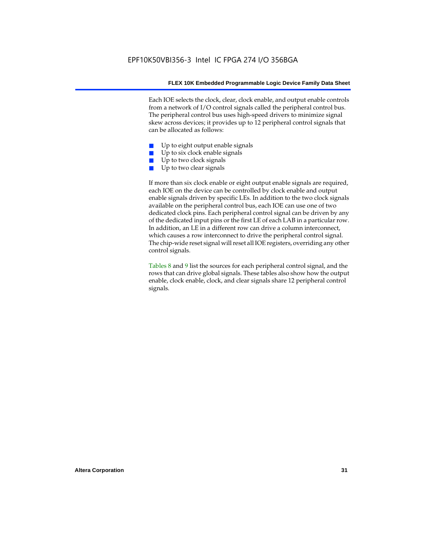Each IOE selects the clock, clear, clock enable, and output enable controls from a network of I/O control signals called the peripheral control bus. The peripheral control bus uses high-speed drivers to minimize signal skew across devices; it provides up to 12 peripheral control signals that can be allocated as follows:

- Up to eight output enable signals
- Up to six clock enable signals
- Up to two clock signals
- Up to two clear signals

If more than six clock enable or eight output enable signals are required, each IOE on the device can be controlled by clock enable and output enable signals driven by specific LEs. In addition to the two clock signals available on the peripheral control bus, each IOE can use one of two dedicated clock pins. Each peripheral control signal can be driven by any of the dedicated input pins or the first LE of each LAB in a particular row. In addition, an LE in a different row can drive a column interconnect, which causes a row interconnect to drive the peripheral control signal. The chip-wide reset signal will reset all IOE registers, overriding any other control signals.

Tables 8 and 9 list the sources for each peripheral control signal, and the rows that can drive global signals. These tables also show how the output enable, clock enable, clock, and clear signals share 12 peripheral control signals.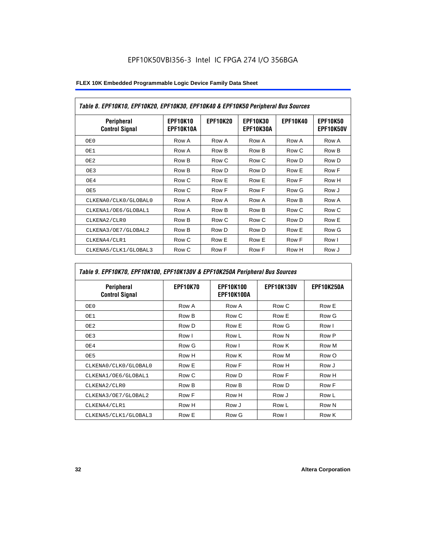| Table 8. EPF10K10, EPF10K20, EPF10K30, EPF10K40 & EPF10K50 Peripheral Bus Sources |                              |                 |                              |                 |                              |
|-----------------------------------------------------------------------------------|------------------------------|-----------------|------------------------------|-----------------|------------------------------|
| <b>Peripheral</b><br><b>Control Signal</b>                                        | <b>EPF10K10</b><br>EPF10K10A | <b>EPF10K20</b> | <b>EPF10K30</b><br>EPF10K30A | <b>EPF10K40</b> | <b>EPF10K50</b><br>EPF10K50V |
| OE0                                                                               | Row A                        | Row A           | Row A                        | Row A           | Row A                        |
| OE1                                                                               | Row A                        | Row B           | Row B                        | Row C           | Row B                        |
| OE2                                                                               | Row B                        | Row C           | Row C                        | Row D           | Row D                        |
| OE3                                                                               | Row B                        | Row D           | Row D                        | Row E           | Row F                        |
| OE4                                                                               | Row C                        | Row E           | Row E                        | Row F           | Row H                        |
| OE5                                                                               | Row C                        | Row F           | Row F                        | Row G           | Row J                        |
| CLKENA0/CLK0/GLOBAL0                                                              | Row A                        | Row A           | Row A                        | Row B           | Row A                        |
| CLKENA1/OE6/GLOBAL1                                                               | Row A                        | Row B           | Row B                        | Row C           | Row C                        |
| CLKENA2/CLR0                                                                      | Row B                        | Row C           | Row C                        | Row D           | Row E                        |
| CLKENA3/OE7/GLOBAL2                                                               | Row B                        | Row D           | Row D                        | Row E           | Row G                        |
| CLKENA4/CLR1                                                                      | Row C                        | Row E           | Row E                        | Row F           | Row I                        |
| CLKENA5/CLK1/GLOBAL3                                                              | Row C                        | Row F           | Row F                        | Row H           | Row J                        |

## *Table 9. EPF10K70, EPF10K100, EPF10K130V & EPF10K250A Peripheral Bus Sources*

| Peripheral<br><b>Control Signal</b> | <b>EPF10K70</b> | <b>EPF10K100</b><br><b>EPF10K100A</b> | <b>EPF10K130V</b> | <b>EPF10K250A</b> |
|-------------------------------------|-----------------|---------------------------------------|-------------------|-------------------|
| OE0                                 | Row A           | Row A                                 | Row C             | Row E             |
| OE1                                 | Row B           | Row C                                 | Row E             | Row G             |
| OE <sub>2</sub>                     | Row D           | Row E                                 | Row G             | Row I             |
| OE3                                 | Row I           | Row L                                 | Row N             | Row P             |
| OE4                                 | Row G           | Row I                                 | Row K             | Row M             |
| OE5                                 | Row H           | Row K                                 | Row M             | Row O             |
| CLKENA0/CLK0/GLOBAL0                | Row E           | Row F                                 | Row H             | Row J             |
| CLKENA1/OE6/GLOBAL1                 | Row C           | Row D                                 | Row F             | Row H             |
| CLKENA2/CLR0                        | Row B           | Row B                                 | Row D             | Row F             |
| CLKENA3/OE7/GLOBAL2                 | Row F           | Row H                                 | Row J             | Row L             |
| CLKENA4/CLR1                        | Row H           | Row J                                 | Row L             | Row N             |
| CLKENA5/CLK1/GLOBAL3                | Row E           | Row G                                 | Row I             | Row K             |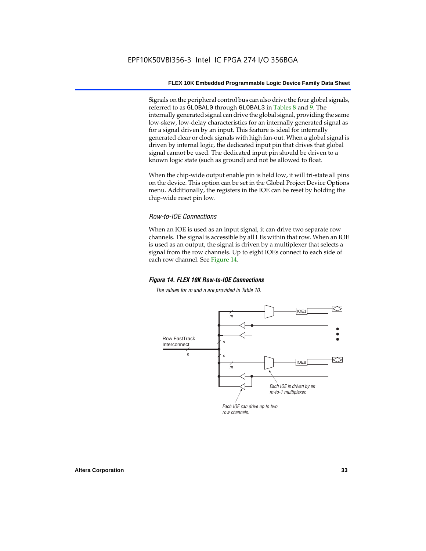Signals on the peripheral control bus can also drive the four global signals, referred to as GLOBAL0 through GLOBAL3 in Tables 8 and 9. The internally generated signal can drive the global signal, providing the same low-skew, low-delay characteristics for an internally generated signal as for a signal driven by an input. This feature is ideal for internally generated clear or clock signals with high fan-out. When a global signal is driven by internal logic, the dedicated input pin that drives that global signal cannot be used. The dedicated input pin should be driven to a known logic state (such as ground) and not be allowed to float.

When the chip-wide output enable pin is held low, it will tri-state all pins on the device. This option can be set in the Global Project Device Options menu. Additionally, the registers in the IOE can be reset by holding the chip-wide reset pin low.

#### *Row-to-IOE Connections*

When an IOE is used as an input signal, it can drive two separate row channels. The signal is accessible by all LEs within that row. When an IOE is used as an output, the signal is driven by a multiplexer that selects a signal from the row channels. Up to eight IOEs connect to each side of each row channel. See Figure 14.

#### *Figure 14. FLEX 10K Row-to-IOE Connections*

*The values for m and n are provided in Table 10.*

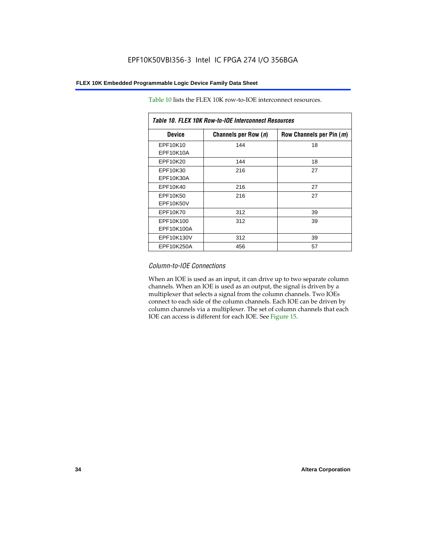| Table 10. FLEX 10K Row-to-IOE Interconnect Resources |                      |                          |  |  |  |
|------------------------------------------------------|----------------------|--------------------------|--|--|--|
| <b>Device</b>                                        | Channels per Row (n) | Row Channels per Pin (m) |  |  |  |
| EPF10K10<br>EPF10K10A                                | 144                  | 18                       |  |  |  |
| EPF10K20                                             | 144                  | 18                       |  |  |  |
| EPF10K30<br>EPF10K30A                                | 216                  | 27                       |  |  |  |
| EPF10K40                                             | 216                  | 27                       |  |  |  |
| EPF10K50<br>EPF10K50V                                | 216                  | 27                       |  |  |  |
| EPF10K70                                             | 312                  | 39                       |  |  |  |
| EPF10K100<br>EPF10K100A                              | 312                  | 39                       |  |  |  |
| EPF10K130V                                           | 312                  | 39                       |  |  |  |
| EPF10K250A                                           | 456                  | 57                       |  |  |  |

Table 10 lists the FLEX 10K row-to-IOE interconnect resources.

#### *Column-to-IOE Connections*

When an IOE is used as an input, it can drive up to two separate column channels. When an IOE is used as an output, the signal is driven by a multiplexer that selects a signal from the column channels. Two IOEs connect to each side of the column channels. Each IOE can be driven by column channels via a multiplexer. The set of column channels that each IOE can access is different for each IOE. See Figure 15.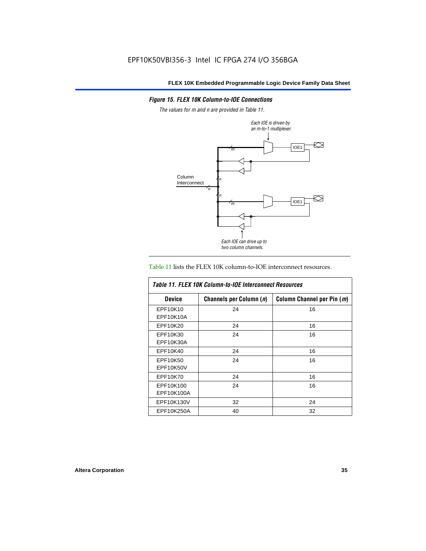#### *Figure 15. FLEX 10K Column-to-IOE Connections*

*The values for m and n are provided in Table 11.*



#### Table 11 lists the FLEX 10K column-to-IOE interconnect resources.

| Table 11, FLEX 10K Column-to-IOE Interconnect Resources |                         |                            |  |  |  |
|---------------------------------------------------------|-------------------------|----------------------------|--|--|--|
| <b>Device</b>                                           | Channels per Column (n) | Column Channel per Pin (m) |  |  |  |
| EPF10K10                                                | 24                      | 16                         |  |  |  |
| EPF10K10A                                               |                         |                            |  |  |  |
| EPF10K20                                                | 24                      | 16                         |  |  |  |
| EPF10K30                                                | 24                      | 16                         |  |  |  |
| EPF10K30A                                               |                         |                            |  |  |  |
| EPF10K40                                                | 24                      | 16                         |  |  |  |
| EPF10K50                                                | 24                      | 16                         |  |  |  |
| EPF10K50V                                               |                         |                            |  |  |  |
| EPF10K70                                                | 24                      | 16                         |  |  |  |
| EPF10K100                                               | 24                      | 16                         |  |  |  |
| EPF10K100A                                              |                         |                            |  |  |  |
| EPF10K130V                                              | 32                      | 24                         |  |  |  |
| EPF10K250A                                              | 40                      | 32                         |  |  |  |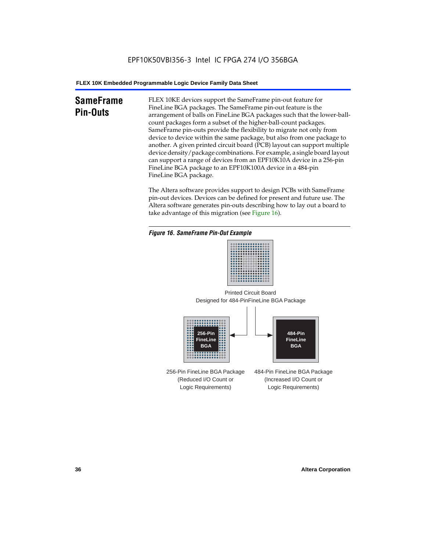# **SameFrame Pin-Outs**

FLEX 10KE devices support the SameFrame pin-out feature for FineLine BGA packages. The SameFrame pin-out feature is the arrangement of balls on FineLine BGA packages such that the lower-ballcount packages form a subset of the higher-ball-count packages. SameFrame pin-outs provide the flexibility to migrate not only from device to device within the same package, but also from one package to another. A given printed circuit board (PCB) layout can support multiple device density/package combinations. For example, a single board layout can support a range of devices from an EPF10K10A device in a 256-pin FineLine BGA package to an EPF10K100A device in a 484-pin FineLine BGA package.

The Altera software provides support to design PCBs with SameFrame pin-out devices. Devices can be defined for present and future use. The Altera software generates pin-outs describing how to lay out a board to take advantage of this migration (see Figure 16).







256-Pin FineLine BGA Package (Reduced I/O Count or Logic Requirements) 484-Pin FineLine BGA Package (Increased I/O Count or Logic Requirements)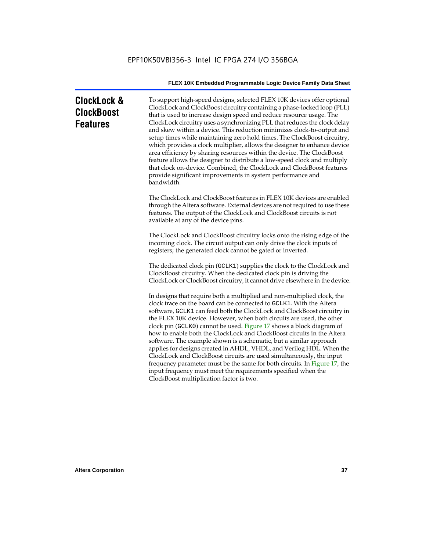| <b>ClockLock &amp;</b> |  |
|------------------------|--|
| <b>ClockBoost</b>      |  |
| <b>Features</b>        |  |

To support high-speed designs, selected FLEX 10K devices offer optional ClockLock and ClockBoost circuitry containing a phase-locked loop (PLL) that is used to increase design speed and reduce resource usage. The ClockLock circuitry uses a synchronizing PLL that reduces the clock delay and skew within a device. This reduction minimizes clock-to-output and setup times while maintaining zero hold times. The ClockBoost circuitry, which provides a clock multiplier, allows the designer to enhance device area efficiency by sharing resources within the device. The ClockBoost feature allows the designer to distribute a low-speed clock and multiply that clock on-device. Combined, the ClockLock and ClockBoost features provide significant improvements in system performance and bandwidth.

The ClockLock and ClockBoost features in FLEX 10K devices are enabled through the Altera software. External devices are not required to use these features. The output of the ClockLock and ClockBoost circuits is not available at any of the device pins.

The ClockLock and ClockBoost circuitry locks onto the rising edge of the incoming clock. The circuit output can only drive the clock inputs of registers; the generated clock cannot be gated or inverted.

The dedicated clock pin (GCLK1) supplies the clock to the ClockLock and ClockBoost circuitry. When the dedicated clock pin is driving the ClockLock or ClockBoost circuitry, it cannot drive elsewhere in the device.

In designs that require both a multiplied and non-multiplied clock, the clock trace on the board can be connected to GCLK1. With the Altera software, GCLK1 can feed both the ClockLock and ClockBoost circuitry in the FLEX 10K device. However, when both circuits are used, the other clock pin (GCLK0) cannot be used. Figure 17 shows a block diagram of how to enable both the ClockLock and ClockBoost circuits in the Altera software. The example shown is a schematic, but a similar approach applies for designs created in AHDL, VHDL, and Verilog HDL. When the ClockLock and ClockBoost circuits are used simultaneously, the input frequency parameter must be the same for both circuits. In Figure 17, the input frequency must meet the requirements specified when the ClockBoost multiplication factor is two.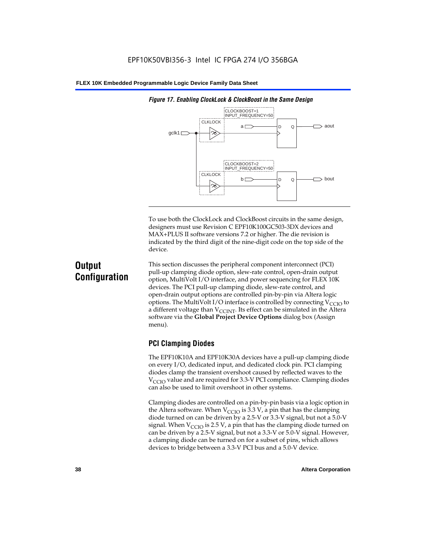

*Figure 17. Enabling ClockLock & ClockBoost in the Same Design*

To use both the ClockLock and ClockBoost circuits in the same design, designers must use Revision C EPF10K100GC503-3DX devices and MAX+PLUS II software versions 7.2 or higher. The die revision is indicated by the third digit of the nine-digit code on the top side of the device.

# **Output Configuration**

This section discusses the peripheral component interconnect (PCI) pull-up clamping diode option, slew-rate control, open-drain output option, MultiVolt I/O interface, and power sequencing for FLEX 10K devices. The PCI pull-up clamping diode, slew-rate control, and open-drain output options are controlled pin-by-pin via Altera logic options. The MultiVolt I/O interface is controlled by connecting  $V_{\text{CCIO}}$  to a different voltage than  $V_{\text{CCINT}}$ . Its effect can be simulated in the Altera software via the **Global Project Device Options** dialog box (Assign menu).

### **PCI Clamping Diodes**

The EPF10K10A and EPF10K30A devices have a pull-up clamping diode on every I/O, dedicated input, and dedicated clock pin. PCI clamping diodes clamp the transient overshoot caused by reflected waves to the  $V_{\text{CCIO}}$  value and are required for 3.3-V PCI compliance. Clamping diodes can also be used to limit overshoot in other systems.

Clamping diodes are controlled on a pin-by-pin basis via a logic option in the Altera software. When  $V_{\text{CCIO}}$  is 3.3 V, a pin that has the clamping diode turned on can be driven by a 2.5-V or 3.3-V signal, but not a 5.0-V signal. When  $V_{\text{CCIO}}$  is 2.5 V, a pin that has the clamping diode turned on can be driven by a 2.5-V signal, but not a 3.3-V or 5.0-V signal. However, a clamping diode can be turned on for a subset of pins, which allows devices to bridge between a 3.3-V PCI bus and a 5.0-V device.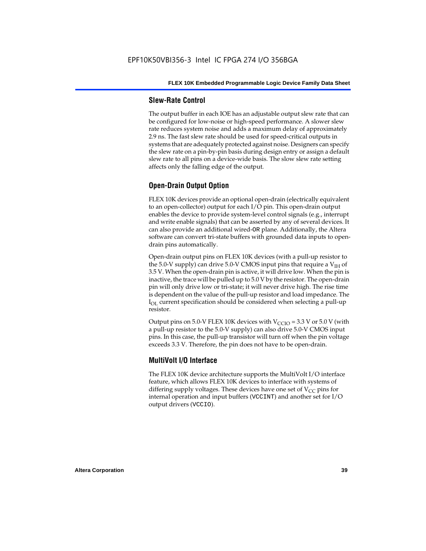### **Slew-Rate Control**

The output buffer in each IOE has an adjustable output slew rate that can be configured for low-noise or high-speed performance. A slower slew rate reduces system noise and adds a maximum delay of approximately 2.9 ns. The fast slew rate should be used for speed-critical outputs in systems that are adequately protected against noise. Designers can specify the slew rate on a pin-by-pin basis during design entry or assign a default slew rate to all pins on a device-wide basis. The slow slew rate setting affects only the falling edge of the output.

### **Open-Drain Output Option**

FLEX 10K devices provide an optional open-drain (electrically equivalent to an open-collector) output for each I/O pin. This open-drain output enables the device to provide system-level control signals (e.g., interrupt and write enable signals) that can be asserted by any of several devices. It can also provide an additional wired-OR plane. Additionally, the Altera software can convert tri-state buffers with grounded data inputs to opendrain pins automatically.

Open-drain output pins on FLEX 10K devices (with a pull-up resistor to the 5.0-V supply) can drive 5.0-V CMOS input pins that require a  $V<sub>IH</sub>$  of 3.5 V. When the open-drain pin is active, it will drive low. When the pin is inactive, the trace will be pulled up to 5.0 V by the resistor. The open-drain pin will only drive low or tri-state; it will never drive high. The rise time is dependent on the value of the pull-up resistor and load impedance. The  $I_{\text{OL}}$  current specification should be considered when selecting a pull-up resistor.

Output pins on 5.0-V FLEX 10K devices with  $V_{\text{CCIO}} = 3.3$  V or 5.0 V (with a pull-up resistor to the 5.0-V supply) can also drive 5.0-V CMOS input pins. In this case, the pull-up transistor will turn off when the pin voltage exceeds 3.3 V. Therefore, the pin does not have to be open-drain.

### **MultiVolt I/O Interface**

The FLEX 10K device architecture supports the MultiVolt I/O interface feature, which allows FLEX 10K devices to interface with systems of differing supply voltages. These devices have one set of  $V_{CC}$  pins for internal operation and input buffers (VCCINT) and another set for I/O output drivers (VCCIO).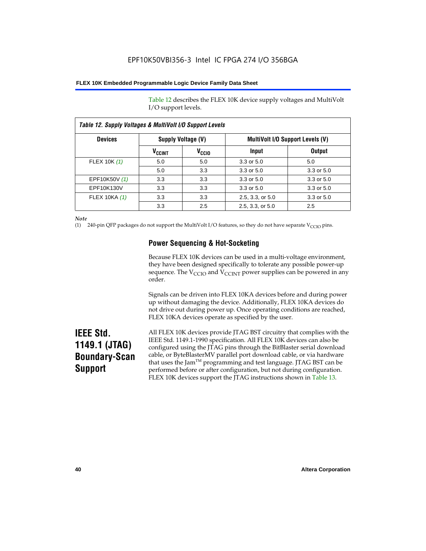Table 12 describes the FLEX 10K device supply voltages and MultiVolt I/O support levels.

| <b>Devices</b> |                          | Supply Voltage (V) | <b>MultiVolt I/O Support Levels (V)</b> |               |
|----------------|--------------------------|--------------------|-----------------------------------------|---------------|
|                | <b>V<sub>CCINT</sub></b> | V <sub>CCIO</sub>  | Input                                   | <b>Output</b> |
| FLEX 10K (1)   | 5.0                      | 5.0                | 3.3 or 5.0                              | 5.0           |
|                | 5.0                      | 3.3                | 3.3 or 5.0                              | 3.3 or 5.0    |
| EPF10K50V (1)  | 3.3                      | 3.3                | 3.3 or 5.0                              | 3.3 or 5.0    |
| EPF10K130V     | 3.3                      | 3.3                | 3.3 or 5.0                              | 3.3 or 5.0    |
| FLEX 10KA (1)  | 3.3                      | 3.3                | 2.5, 3.3, or 5.0                        | 3.3 or 5.0    |
|                | 3.3                      | 2.5                | 2.5, 3.3, or 5.0                        | 2.5           |

*Note*

(1) 240-pin QFP packages do not support the MultiVolt I/O features, so they do not have separate V<sub>CCIO</sub> pins.

### **Power Sequencing & Hot-Socketing**

Because FLEX 10K devices can be used in a multi-voltage environment, they have been designed specifically to tolerate any possible power-up sequence. The  $V_{\text{CCIO}}$  and  $V_{\text{CCINT}}$  power supplies can be powered in any order.

Signals can be driven into FLEX 10KA devices before and during power up without damaging the device. Additionally, FLEX 10KA devices do not drive out during power up. Once operating conditions are reached, FLEX 10KA devices operate as specified by the user.

# **IEEE Std. 1149.1 (JTAG) Boundary-Scan Support**

All FLEX 10K devices provide JTAG BST circuitry that complies with the IEEE Std. 1149.1-1990 specification. All FLEX 10K devices can also be configured using the JTAG pins through the BitBlaster serial download cable, or ByteBlasterMV parallel port download cable, or via hardware that uses the Jam<sup>TM</sup> programming and test language. JTAG BST can be performed before or after configuration, but not during configuration. FLEX 10K devices support the JTAG instructions shown in Table 13.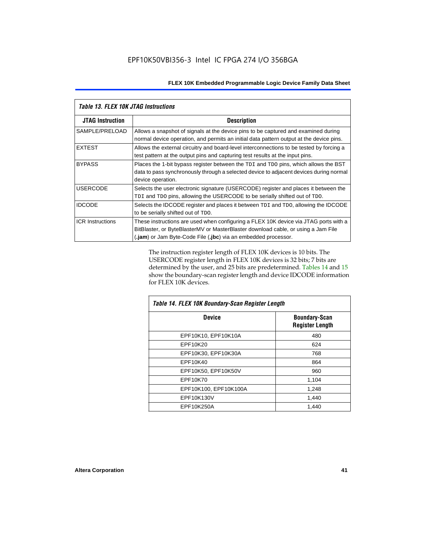| <b>Table 13. FLEX 10K JTAG Instructions</b> |                                                                                                                                                                                                                                             |
|---------------------------------------------|---------------------------------------------------------------------------------------------------------------------------------------------------------------------------------------------------------------------------------------------|
| <b>JTAG Instruction</b>                     | <b>Description</b>                                                                                                                                                                                                                          |
| SAMPLE/PRELOAD                              | Allows a snapshot of signals at the device pins to be captured and examined during<br>normal device operation, and permits an initial data pattern output at the device pins.                                                               |
| <b>EXTEST</b>                               | Allows the external circuitry and board-level interconnections to be tested by forcing a<br>test pattern at the output pins and capturing test results at the input pins.                                                                   |
| <b>BYPASS</b>                               | Places the 1-bit bypass register between the TDI and TDO pins, which allows the BST<br>data to pass synchronously through a selected device to adjacent devices during normal<br>device operation.                                          |
| <b>USERCODE</b>                             | Selects the user electronic signature (USERCODE) register and places it between the<br>TDI and TDO pins, allowing the USERCODE to be serially shifted out of TDO.                                                                           |
| <b>IDCODE</b>                               | Selects the IDCODE register and places it between TDI and TDO, allowing the IDCODE<br>to be serially shifted out of TDO.                                                                                                                    |
| <b>ICR Instructions</b>                     | These instructions are used when configuring a FLEX 10K device via JTAG ports with a<br>BitBlaster, or ByteBlasterMV or MasterBlaster download cable, or using a Jam File<br>(.jam) or Jam Byte-Code File (.jbc) via an embedded processor. |

The instruction register length of FLEX 10K devices is 10 bits. The USERCODE register length in FLEX 10K devices is 32 bits; 7 bits are determined by the user, and 25 bits are predetermined. Tables 14 and 15 show the boundary-scan register length and device IDCODE information for FLEX 10K devices.

| Table 14. FLEX 10K Boundary-Scan Register Length |                                                |  |  |  |
|--------------------------------------------------|------------------------------------------------|--|--|--|
| <b>Device</b>                                    | <b>Boundary-Scan</b><br><b>Register Length</b> |  |  |  |
| EPF10K10, EPF10K10A                              | 480                                            |  |  |  |
| EPF10K20                                         | 624                                            |  |  |  |
| EPF10K30, EPF10K30A                              | 768                                            |  |  |  |
| EPF10K40                                         | 864                                            |  |  |  |
| EPF10K50, EPF10K50V                              | 960                                            |  |  |  |
| EPF10K70                                         | 1,104                                          |  |  |  |
| EPF10K100, EPF10K100A                            | 1,248                                          |  |  |  |
| EPF10K130V                                       | 1,440                                          |  |  |  |
| EPF10K250A                                       | 1,440                                          |  |  |  |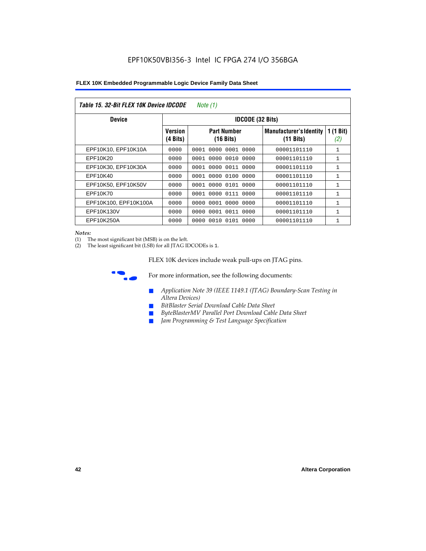| Table 15. 32-Bit FLEX 10K Device IDCODE<br>Note $(1)$ |                            |                                           |                                                       |                    |  |  |  |
|-------------------------------------------------------|----------------------------|-------------------------------------------|-------------------------------------------------------|--------------------|--|--|--|
| <b>Device</b>                                         | <b>IDCODE (32 Bits)</b>    |                                           |                                                       |                    |  |  |  |
|                                                       | <b>Version</b><br>(4 Bits) | <b>Part Number</b><br>$(16 \text{ bits})$ | <b>Manufacturer's Identity</b><br>$(11 \text{ bits})$ | 1 $(1$ Bit)<br>(2) |  |  |  |
| EPF10K10, EPF10K10A                                   | 0000                       | 0001<br>0000<br>0001 0000                 | 00001101110                                           | 1                  |  |  |  |
| EPF10K20                                              | 0000                       | 0001<br>0000<br>0010 0000                 | 00001101110                                           | 1                  |  |  |  |
| EPF10K30, EPF10K30A                                   | 0000                       | 0001 0000 0011 0000                       | 00001101110                                           | 1                  |  |  |  |
| EPF10K40                                              | 0000                       | 0000<br>0100<br>0001<br>0000              | 00001101110                                           | $\mathbf{1}$       |  |  |  |
| EPF10K50, EPF10K50V                                   | 0000                       | 0001 0000 0101 0000                       | 00001101110                                           | 1                  |  |  |  |
| EPF10K70                                              | 0000                       | 0000 0111 0000<br>0001                    | 00001101110                                           | $\mathbf{1}$       |  |  |  |
| EPF10K100, EPF10K100A                                 | 0000                       | 0001<br>0000<br>0000<br>0000              | 00001101110                                           | 1                  |  |  |  |
| EPF10K130V                                            | 0000                       | 0001 0011 0000<br>0000                    | 00001101110                                           | 1                  |  |  |  |
| EPF10K250A                                            | 0000                       | 0000<br>0010 0101 0000                    | 00001101110                                           | $\mathbf{1}$       |  |  |  |

#### *Notes:*

(1) The most significant bit (MSB) is on the left.

(2) The least significant bit (LSB) for all JTAG IDCODEs is 1.

FLEX 10K devices include weak pull-ups on JTAG pins.



**for more information, see the following documents:** 

- *Application Note 39 (IEEE 1149.1 (JTAG) Boundary-Scan Testing in Altera Devices)*
- *BitBlaster Serial Download Cable Data Sheet*
- *ByteBlasterMV Parallel Port Download Cable Data Sheet*
- *Jam Programming & Test Language Specification*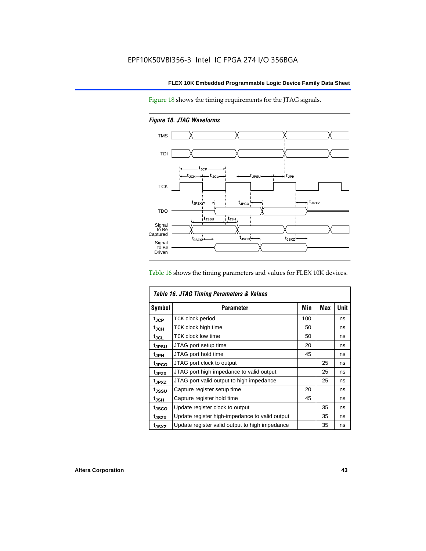Figure 18 shows the timing requirements for the JTAG signals.

*Figure 18. JTAG Waveforms*



Table 16 shows the timing parameters and values for FLEX 10K devices.

| Table 16. JTAG Timing Parameters & Values |                                                |     |            |      |  |
|-------------------------------------------|------------------------------------------------|-----|------------|------|--|
| <b>Symbol</b>                             | <b>Parameter</b>                               | Min | <b>Max</b> | Unit |  |
| t <sub>JCP</sub>                          | <b>TCK clock period</b>                        | 100 |            | ns   |  |
| t <sub>JCH</sub>                          | TCK clock high time                            | 50  |            | ns   |  |
| $t_{JCL}$                                 | TCK clock low time                             | 50  |            | ns   |  |
| tjpsu                                     | JTAG port setup time                           | 20  |            | ns   |  |
| t <sub>JPH</sub>                          | JTAG port hold time                            | 45  |            | ns   |  |
| <sup>t</sup> JPCO                         | JTAG port clock to output                      |     | 25         | ns   |  |
| t <sub>JPZX</sub>                         | JTAG port high impedance to valid output       |     | 25         | ns   |  |
| t <sub>JPXZ</sub>                         | JTAG port valid output to high impedance       |     | 25         | ns   |  |
| tussu                                     | Capture register setup time                    | 20  |            | ns   |  |
| $t_{JSH}$                                 | Capture register hold time                     | 45  |            | ns   |  |
| tjsco                                     | Update register clock to output                |     | 35         | ns   |  |
| t <sub>JSZX</sub>                         | Update register high-impedance to valid output |     | 35         | ns   |  |
| t <sub>JSXZ</sub>                         | Update register valid output to high impedance |     | 35         | ns   |  |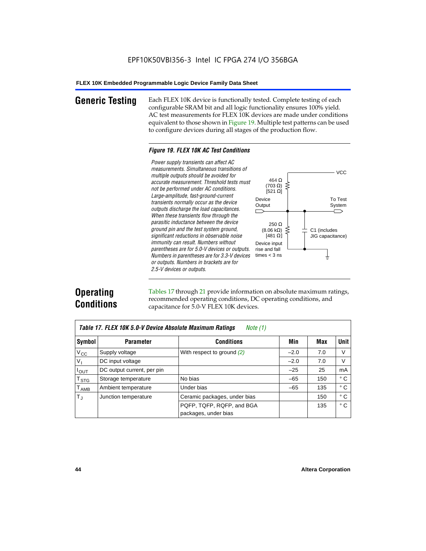**Generic Testing** Each FLEX 10K device is functionally tested. Complete testing of each configurable SRAM bit and all logic functionality ensures 100% yield. AC test measurements for FLEX 10K devices are made under conditions equivalent to those shown in Figure 19. Multiple test patterns can be used to configure devices during all stages of the production flow.

#### *Figure 19. FLEX 10K AC Test Conditions*

*Power supply transients can affect AC measurements. Simultaneous transitions of*  $V<sub>CC</sub>$ *multiple outputs should be avoided for* 464 Ω *accurate measurement. Threshold tests must* (703 Ω) ξ *not be performed under AC conditions.*  $[521 \Omega]$ *Large-amplitude, fast-ground-current* To Test Device *transients normally occur as the device* Output System *outputs discharge the load capacitances. When these transients flow through the parasitic inductance between the device* 250 Ω *ground pin and the test system ground,*  $(8.06 \text{ k}\Omega)$ C1 (includes *significant reductions in observable noise* [481 $\Omega$ ] JIG capacitance) *immunity can result. Numbers without*  Device input *parentheses are for 5.0-V devices or outputs.*  rise and fall *Numbers in parentheses are for 3.3-V devices*  times  $<$  3 ns ŧ *or outputs. Numbers in brackets are for 2.5-V devices or outputs.*

# **Operating Conditions**

Tables 17 through 21 provide information on absolute maximum ratings, recommended operating conditions, DC operating conditions, and capacitance for 5.0-V FLEX 10K devices.

|                              | Table 17. FLEX 10K 5.0-V Device Absolute Maximum Ratings<br>Note (1) |                              |        |     |              |  |  |
|------------------------------|----------------------------------------------------------------------|------------------------------|--------|-----|--------------|--|--|
| Symbol                       | <b>Parameter</b>                                                     | <b>Conditions</b>            | Min    | Max | <b>Unit</b>  |  |  |
| $V_{CC}$                     | Supply voltage                                                       | With respect to ground $(2)$ | $-2.0$ | 7.0 | V            |  |  |
| V <sub>1</sub>               | DC input voltage                                                     |                              | $-2.0$ | 7.0 | V            |  |  |
| $I_{\underline{\text{OUT}}}$ | DC output current, per pin                                           |                              | $-25$  | 25  | mA           |  |  |
| $T_{STG}$                    | Storage temperature                                                  | No bias                      | $-65$  | 150 | ° C          |  |  |
| $T_{AMB}$                    | Ambient temperature                                                  | Under bias                   | $-65$  | 135 | ° C          |  |  |
| $T_{\rm d}$                  | Junction temperature                                                 | Ceramic packages, under bias |        | 150 | $^{\circ}$ C |  |  |
|                              |                                                                      | PQFP, TQFP, RQFP, and BGA    |        | 135 | $^{\circ}$ C |  |  |
|                              |                                                                      | packages, under bias         |        |     |              |  |  |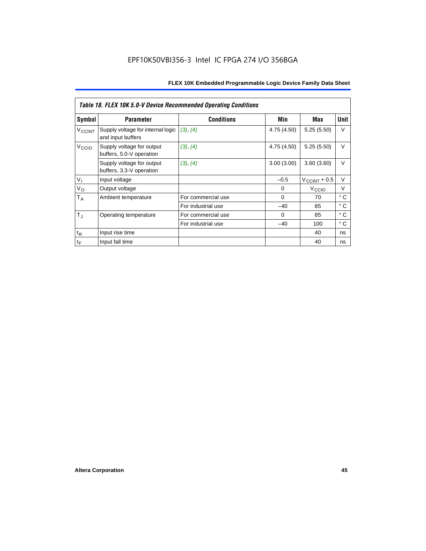|                   | <b>Table 18. FLEX 10K 5.0-V Device Recommended Operating Conditions</b> |                    |             |                       |              |  |  |
|-------------------|-------------------------------------------------------------------------|--------------------|-------------|-----------------------|--------------|--|--|
| Symbol            | <b>Parameter</b>                                                        | <b>Conditions</b>  | Min         | Max                   | <b>Unit</b>  |  |  |
| VCCINT            | Supply voltage for internal logic<br>and input buffers                  | (3), (4)           | 4.75 (4.50) | 5.25(5.50)            | $\vee$       |  |  |
| V <sub>CCIO</sub> | Supply voltage for output<br>buffers, 5.0-V operation                   | (3), (4)           | 4.75 (4.50) | 5.25(5.50)            | $\vee$       |  |  |
|                   | Supply voltage for output<br>buffers, 3.3-V operation                   | (3), (4)           | 3.00(3.00)  | 3.60(3.60)            | $\vee$       |  |  |
| V <sub>1</sub>    | Input voltage                                                           |                    | $-0.5$      | $V_{\rm CCINT}$ + 0.5 | $\vee$       |  |  |
| $V_{\rm O}$       | Output voltage                                                          |                    | 0           | V <sub>CCIO</sub>     | $\vee$       |  |  |
| $T_A$             | Ambient temperature                                                     | For commercial use | $\Omega$    | 70                    | $^{\circ}$ C |  |  |
|                   |                                                                         | For industrial use | $-40$       | 85                    | $^{\circ}$ C |  |  |
| $T_{\rm J}$       | Operating temperature                                                   | For commercial use | $\Omega$    | 85                    | °C           |  |  |
|                   |                                                                         | For industrial use | $-40$       | 100                   | $^{\circ}$ C |  |  |
| $t_{R}$           | Input rise time                                                         |                    |             | 40                    | ns           |  |  |
| $t_F$             | Input fall time                                                         |                    |             | 40                    | ns           |  |  |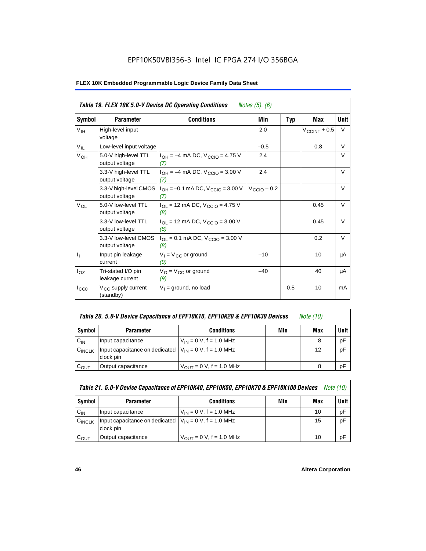|                           | Table 19. FLEX 10K 5.0-V Device DC Operating Conditions<br><i>Notes</i> $(5)$ , $(6)$ |                                                   |                         |            |                   |             |  |  |
|---------------------------|---------------------------------------------------------------------------------------|---------------------------------------------------|-------------------------|------------|-------------------|-------------|--|--|
| Symbol                    | <b>Parameter</b>                                                                      | <b>Conditions</b>                                 | Min                     | <b>Typ</b> | <b>Max</b>        | <b>Unit</b> |  |  |
| $V_{\text{IH}}$           | High-level input<br>voltage                                                           |                                                   | 2.0                     |            | $V_{CCINT} + 0.5$ | V           |  |  |
| $V_{IL}$                  | Low-level input voltage                                                               |                                                   | $-0.5$                  |            | 0.8               | V           |  |  |
| V <sub>OH</sub>           | 5.0-V high-level TTL<br>output voltage                                                | $I_{OH} = -4$ mA DC, $V_{CGIO} = 4.75$ V<br>(7)   | 2.4                     |            |                   | V           |  |  |
|                           | 3.3-V high-level TTL<br>output voltage                                                | $I_{OH} = -4$ mA DC, $V_{CGIO} = 3.00$ V<br>(7)   | 2.4                     |            |                   | V           |  |  |
|                           | 3.3-V high-level CMOS<br>output voltage                                               | $I_{OH} = -0.1$ mA DC, $V_{CCIO} = 3.00$ V<br>(7) | $V_{\text{CCIO}} - 0.2$ |            |                   | $\vee$      |  |  |
| $V_{OL}$                  | 5.0-V low-level TTL<br>output voltage                                                 | $I_{OL}$ = 12 mA DC, $V_{CCIO}$ = 4.75 V<br>(8)   |                         |            | 0.45              | $\vee$      |  |  |
|                           | 3.3-V low-level TTL<br>output voltage                                                 | $I_{OL}$ = 12 mA DC, $V_{CCIO}$ = 3.00 V<br>(8)   |                         |            | 0.45              | $\vee$      |  |  |
|                           | 3.3-V low-level CMOS<br>output voltage                                                | $I_{OL}$ = 0.1 mA DC, $V_{CCIO}$ = 3.00 V<br>(8)  |                         |            | 0.2               | $\vee$      |  |  |
| $\mathbf{I}_{\mathbf{I}}$ | Input pin leakage<br>current                                                          | $V_1 = V_{CC}$ or ground<br>(9)                   | $-10$                   |            | 10                | μA          |  |  |
| $I_{OZ}$                  | Tri-stated I/O pin<br>leakage current                                                 | $V_{O} = V_{CC}$ or ground<br>(9)                 | $-40$                   |            | 40                | μA          |  |  |
| $I_{CC0}$                 | V <sub>CC</sub> supply current<br>(standby)                                           | $V_1$ = ground, no load                           |                         | 0.5        | 10                | mA          |  |  |

| Table 20. 5.0-V Device Capacitance of EPF10K10, EPF10K20 & EPF10K30 Devices | Note (10) |  |
|-----------------------------------------------------------------------------|-----------|--|
|-----------------------------------------------------------------------------|-----------|--|

| Symbol    | <b>Parameter</b>                                                         | <b>Conditions</b>                   | Min | Max | <b>Unit</b> |
|-----------|--------------------------------------------------------------------------|-------------------------------------|-----|-----|-------------|
| $C_{IN}$  | Input capacitance                                                        | $V_{IN} = 0 V$ , f = 1.0 MHz        |     |     | pF          |
| CINCLK    | Input capacitance on dedicated $V_{IN} = 0 V$ , f = 1.0 MHz<br>clock pin |                                     |     | 12  | pF          |
| $C_{OUT}$ | Output capacitance                                                       | $V_{\text{OUT}} = 0 V, f = 1.0 MHz$ |     |     | рF          |

| Table 21. 5.0-V Device Capacitance of EPF10K40, EPF10K50, EPF10K70 & EPF10K100 Devices<br><i>Note (10)</i> |                                                                          |                               |     |     |             |  |
|------------------------------------------------------------------------------------------------------------|--------------------------------------------------------------------------|-------------------------------|-----|-----|-------------|--|
| Symbol                                                                                                     | <b>Parameter</b>                                                         | <b>Conditions</b>             | Min | Max | <b>Unit</b> |  |
| $C_{IN}$                                                                                                   | Input capacitance                                                        | $V_{IN} = 0 V$ , f = 1.0 MHz  |     | 10  | рF          |  |
| CINCLK                                                                                                     | Input capacitance on dedicated $V_{IN} = 0 V$ , f = 1.0 MHz<br>clock pin |                               |     | 15  | pF          |  |
| $C_{OUT}$                                                                                                  | Output capacitance                                                       | $V_{OIII}$ = 0 V, f = 1.0 MHz |     | 10  | рF          |  |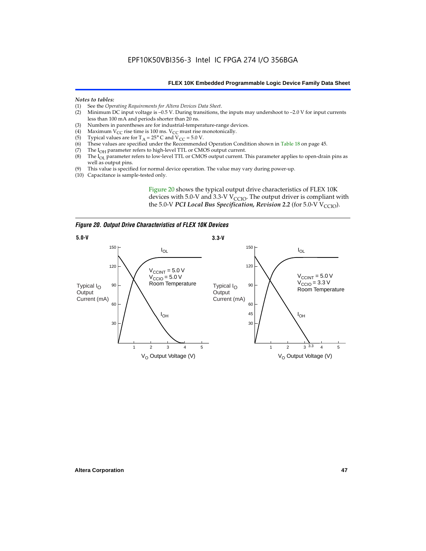#### *Notes to tables:*

- (1) See the *Operating Requirements for Altera Devices Data Sheet*.
- Minimum DC input voltage is  $-0.5$  V. During transitions, the inputs may undershoot to  $-2.0$  V for input currents less than 100 mA and periods shorter than 20 ns.
- (3) Numbers in parentheses are for industrial-temperature-range devices.<br>(4) Maximum  $V_{CC}$  rise time is 100 ms.  $V_{CC}$  must rise monotonically.
- (4) Maximum  $\hat{V_{CC}}$  rise time is 100 ms.  $V_{CC}$  must rise monotonically.<br>(5) Typical values are for T<sub>A</sub> = 25° C and V<sub>CC</sub> = 5.0 V.
- (5) Typical values are for  $T_A = 25^\circ$  C and  $V_{CC} = 5.0$  V.<br>(6) These values are specified under the Recommende
- (6) These values are specified under the Recommended Operation Condition shown in Table 18 on page 45.<br>(7) The  $I_{OH}$  parameter refers to high-level TTL or CMOS output current.
- (7) The  $I_{OH}$  parameter refers to high-level TTL or CMOS output current.<br>(8) The  $I_{OL}$  parameter refers to low-level TTL or CMOS output current. T
- The I<sub>OL</sub> parameter refers to low-level TTL or CMOS output current. This parameter applies to open-drain pins as well as output pins.
- (9) This value is specified for normal device operation. The value may vary during power-up.
- (10) Capacitance is sample-tested only.

Figure 20 shows the typical output drive characteristics of FLEX 10K devices with 5.0-V and 3.3-V  $V_{CCIO}$ . The output driver is compliant with the 5.0-V *PCI Local Bus Specification, Revision 2.2* (for 5.0-V  $V_{\text{CCIO}}$ ).

*Figure 20. Output Drive Characteristics of FLEX 10K Devices*

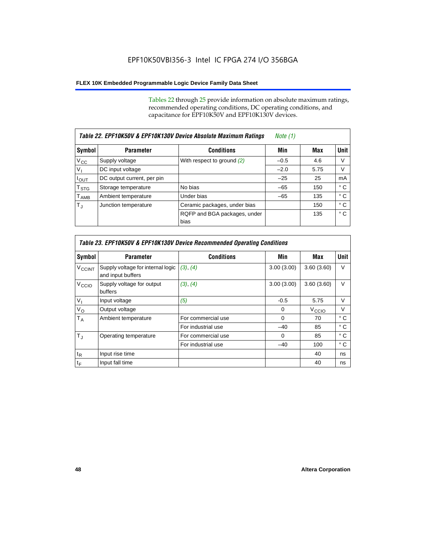Tables 22 through 25 provide information on absolute maximum ratings, recommended operating conditions, DC operating conditions, and capacitance for EPF10K50V and EPF10K130V devices.

| Table 22. EPF10K50V & EPF10K130V Device Absolute Maximum Ratings |                            |                                      |        |      |              |
|------------------------------------------------------------------|----------------------------|--------------------------------------|--------|------|--------------|
| Symbol                                                           | <b>Parameter</b>           | <b>Conditions</b>                    | Min    | Max  | <b>Unit</b>  |
| $V_{\rm CC}$                                                     | Supply voltage             | With respect to ground $(2)$         | $-0.5$ | 4.6  | V            |
| V <sub>I</sub>                                                   | DC input voltage           |                                      | $-2.0$ | 5.75 | V            |
| $I_{\text{OUT}}$                                                 | DC output current, per pin |                                      | $-25$  | 25   | mA           |
| $\mathsf{T}_{\text{STG}}$                                        | Storage temperature        | No bias                              | $-65$  | 150  | ° C          |
| $\mathsf{T}_{\mathsf{AMB}}$                                      | Ambient temperature        | Under bias                           | $-65$  | 135  | ° C          |
| $T_{\rm J}$                                                      | Junction temperature       | Ceramic packages, under bias         |        | 150  | ° C          |
|                                                                  |                            | RQFP and BGA packages, under<br>bias |        | 135  | $^{\circ}$ C |

| Table 23. EPF10K50V & EPF10K130V Device Recommended Operating Conditions |                                                        |                    |            |                   |              |  |  |
|--------------------------------------------------------------------------|--------------------------------------------------------|--------------------|------------|-------------------|--------------|--|--|
| Symbol                                                                   | <b>Parameter</b>                                       | <b>Conditions</b>  | Min        | Max               | <b>Unit</b>  |  |  |
| <b>V<sub>CCINT</sub></b>                                                 | Supply voltage for internal logic<br>and input buffers | (3), (4)           | 3.00(3.00) | 3.60(3.60)        | $\vee$       |  |  |
| V <sub>CCIO</sub>                                                        | Supply voltage for output<br>buffers                   | (3), (4)           | 3.00(3.00) | 3.60(3.60)        | $\vee$       |  |  |
| $V_{1}$                                                                  | Input voltage                                          | (5)                | $-0.5$     | 5.75              | $\vee$       |  |  |
| $V_{\rm O}$                                                              | Output voltage                                         |                    | $\Omega$   | V <sub>CCIO</sub> | $\vee$       |  |  |
| $T_A$                                                                    | Ambient temperature                                    | For commercial use | $\Omega$   | 70                | $^{\circ}$ C |  |  |
|                                                                          |                                                        | For industrial use | $-40$      | 85                | $^{\circ}$ C |  |  |
| $T_{\rm J}$                                                              | Operating temperature                                  | For commercial use | $\Omega$   | 85                | $^{\circ}$ C |  |  |
|                                                                          |                                                        | For industrial use | $-40$      | 100               | ° C          |  |  |
| $t_{R}$                                                                  | Input rise time                                        |                    |            | 40                | ns           |  |  |
| $t_F$                                                                    | Input fall time                                        |                    |            | 40                | ns           |  |  |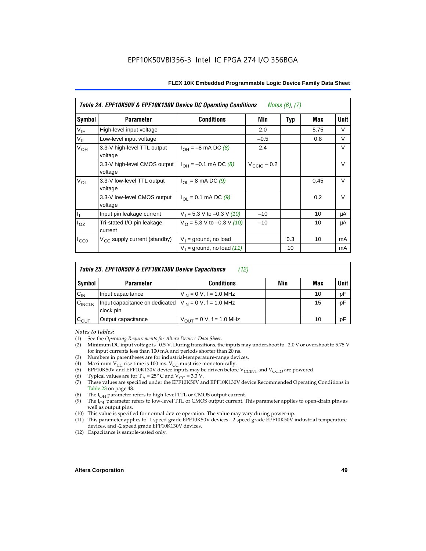| Table 24. EPF10K50V & EPF10K130V Device DC Operating Conditions<br><i>Notes <math>(6)</math>, <math>(7)</math></i> |                                          |                                          |                         |            |      |        |  |
|--------------------------------------------------------------------------------------------------------------------|------------------------------------------|------------------------------------------|-------------------------|------------|------|--------|--|
| Symbol                                                                                                             | <b>Parameter</b>                         | <b>Conditions</b>                        | Min                     | <b>Typ</b> | Max  | Unit   |  |
| $\mathsf{V}_{\mathsf{IH}}$                                                                                         | High-level input voltage                 |                                          | 2.0                     |            | 5.75 | V      |  |
| $V_{IL}$                                                                                                           | Low-level input voltage                  |                                          | $-0.5$                  |            | 0.8  | V      |  |
| V <sub>OH</sub>                                                                                                    | 3.3-V high-level TTL output<br>voltage   | $I_{OH} = -8$ mA DC (8)                  | 2.4                     |            |      | V      |  |
|                                                                                                                    | 3.3-V high-level CMOS output<br>voltage  | $I_{OH} = -0.1$ mA DC (8)                | $V_{\text{CCIO}} - 0.2$ |            |      | $\vee$ |  |
| $V_{OL}$                                                                                                           | 3.3-V low-level TTL output<br>voltage    | $I_{OL} = 8$ mA DC (9)                   |                         |            | 0.45 | $\vee$ |  |
|                                                                                                                    | 3.3-V low-level CMOS output<br>voltage   | $I_{\text{OI}} = 0.1 \text{ mA DC } (9)$ |                         |            | 0.2  | $\vee$ |  |
| H,                                                                                                                 | Input pin leakage current                | $V_1 = 5.3$ V to -0.3 V (10)             | $-10$                   |            | 10   | μA     |  |
| $I_{OZ}$                                                                                                           | Tri-stated I/O pin leakage<br>current    | $V_O$ = 5.3 V to -0.3 V (10)             | $-10$                   |            | 10   | μA     |  |
| $I_{CC0}$                                                                                                          | $V_{\text{CC}}$ supply current (standby) | $V_1$ = ground, no load                  |                         | 0.3        | 10   | mA     |  |
|                                                                                                                    |                                          | $V_1$ = ground, no load (11)             |                         | 10         |      | mA     |  |

| Table 25. EPF10K50V & EPF10K130V Device Capacitance<br>(12) |                                                                           |                               |     |     |             |  |
|-------------------------------------------------------------|---------------------------------------------------------------------------|-------------------------------|-----|-----|-------------|--|
| Symbol                                                      | <b>Parameter</b>                                                          | <b>Conditions</b>             | Min | Max | <b>Unit</b> |  |
| $C_{IN}$                                                    | Input capacitance                                                         | $V_{IN} = 0$ V, f = 1.0 MHz   |     | 10  | pF          |  |
| $C_{\text{INCLK}}$                                          | Input capacitance on dedicated $ V_{IN} = 0 V$ , f = 1.0 MHz<br>clock pin |                               |     | 15  | pF          |  |
| $C_{OUT}$                                                   | Output capacitance                                                        | $V_{OUT} = 0 V$ , f = 1.0 MHz |     | 10  | pF          |  |

#### *Notes to tables:*

- (1) See the *Operating Requirements for Altera Devices Data Sheet*.
- Minimum DC input voltage is –0.5 V. During transitions, the inputs may undershoot to –2.0 V or overshoot to 5.75 V for input currents less than 100 mA and periods shorter than 20 ns.
- (3) Numbers in parentheses are for industrial-temperature-range devices.<br>(4) Maximum  $V_{CC}$  rise time is 100 ms.  $V_{CC}$  must rise monotonically.
- (4) Maximum  $V_{CC}$  rise time is 100 ms.  $V_{CC}$  must rise monotonically.<br>(5) EPF10K50V and EPF10K130V device inputs may be driven before
- (5) EPF10K50V and EPF10K130V device inputs may be driven before V<sub>CCINT</sub> and V<sub>CCIO</sub> are powered.<br>(6) Typical values are for T<sub>A</sub> = 25° C and V<sub>CC</sub> = 3.3 V.
- Typical values are for  $T_A = 25^\circ$  C and  $V_{CC} = 3.3$  V.
- (7) These values are specified under the EPF10K50V and EPF10K130V device Recommended Operating Conditions in Table 23 on page 48.
- (8) The  $I<sub>OH</sub>$  parameter refers to high-level TTL or CMOS output current.
- (9) The  $I_{OL}$  parameter refers to low-level TTL or CMOS output current. This parameter applies to open-drain pins as well as output pins.
- (10) This value is specified for normal device operation. The value may vary during power-up.
- (11) This parameter applies to -1 speed grade EPF10K50V devices, -2 speed grade EPF10K50V industrial temperature devices, and -2 speed grade EPF10K130V devices.
- (12) Capacitance is sample-tested only.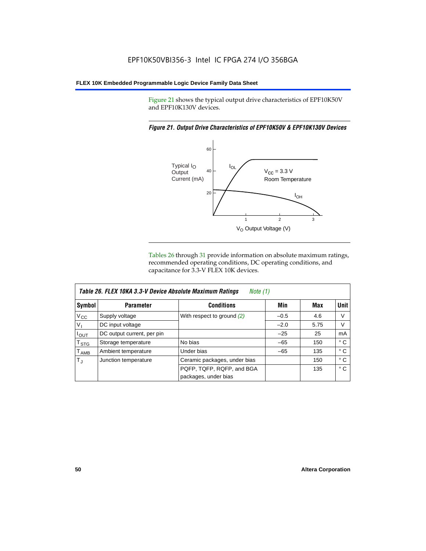Figure 21 shows the typical output drive characteristics of EPF10K50V and EPF10K130V devices.

#### *Figure 21. Output Drive Characteristics of EPF10K50V & EPF10K130V Devices*



Tables 26 through 31 provide information on absolute maximum ratings, recommended operating conditions, DC operating conditions, and capacitance for 3.3-V FLEX 10K devices.

|                  | Table 26. FLEX 10KA 3.3-V Device Absolute Maximum Ratings<br>Note (1) |                              |        |      |              |  |  |
|------------------|-----------------------------------------------------------------------|------------------------------|--------|------|--------------|--|--|
| Symbol           | <b>Parameter</b>                                                      | <b>Conditions</b>            | Min    | Max  | Unit         |  |  |
| $V_{\rm CC}$     | Supply voltage                                                        | With respect to ground $(2)$ | $-0.5$ | 4.6  | V            |  |  |
| $V_{I}$          | DC input voltage                                                      |                              | $-2.0$ | 5.75 | V            |  |  |
| $I_{OUT}$        | DC output current, per pin                                            |                              | $-25$  | 25   | mA           |  |  |
| $T_{\text{STG}}$ | Storage temperature                                                   | No bias                      | $-65$  | 150  | $^{\circ}$ C |  |  |
| $T_{\sf AMB}$    | Ambient temperature                                                   | Under bias                   | $-65$  | 135  | ° C          |  |  |
| $T_{\rm J}$      | Junction temperature                                                  | Ceramic packages, under bias |        | 150  | ° C          |  |  |
|                  |                                                                       | PQFP, TQFP, RQFP, and BGA    |        | 135  | $^{\circ}$ C |  |  |
|                  |                                                                       | packages, under bias         |        |      |              |  |  |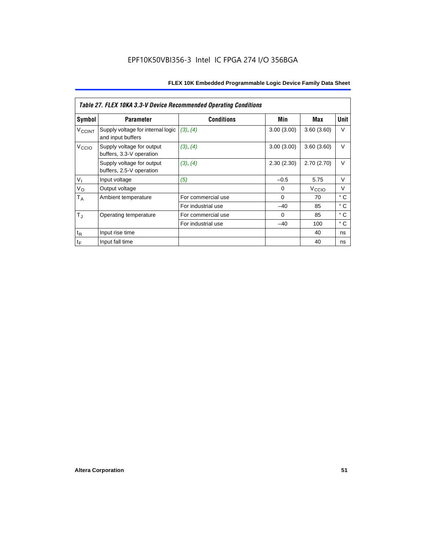|                    | <b>Table 27. FLEX 10KA 3.3-V Device Recommended Operating Conditions</b> |                    |            |                   |              |  |  |  |
|--------------------|--------------------------------------------------------------------------|--------------------|------------|-------------------|--------------|--|--|--|
| Symbol             | <b>Parameter</b>                                                         | <b>Conditions</b>  | Min        | Max               | Unit         |  |  |  |
| V <sub>CCINT</sub> | Supply voltage for internal logic<br>and input buffers                   | (3), (4)           | 3.00(3.00) | 3.60(3.60)        | V            |  |  |  |
| V <sub>CCIO</sub>  | Supply voltage for output<br>buffers, 3.3-V operation                    | (3), (4)           | 3.00(3.00) | 3.60(3.60)        | $\vee$       |  |  |  |
|                    | Supply voltage for output<br>buffers, 2.5-V operation                    | (3), (4)           | 2.30(2.30) | 2.70(2.70)        | $\vee$       |  |  |  |
| $V_{I}$            | Input voltage                                                            | (5)                | $-0.5$     | 5.75              | $\vee$       |  |  |  |
| $V_{\rm O}$        | Output voltage                                                           |                    | 0          | V <sub>CCIO</sub> | $\vee$       |  |  |  |
| $T_A$              | Ambient temperature                                                      | For commercial use | $\Omega$   | 70                | $^{\circ}$ C |  |  |  |
|                    |                                                                          | For industrial use | $-40$      | 85                | $^{\circ}$ C |  |  |  |
| $T_{\rm J}$        | Operating temperature                                                    | For commercial use | $\Omega$   | 85                | ° C          |  |  |  |
|                    |                                                                          | For industrial use | $-40$      | 100               | ° C          |  |  |  |
| $t_{R}$            | Input rise time                                                          |                    |            | 40                | ns           |  |  |  |
| $t_F$              | Input fall time                                                          |                    |            | 40                | ns           |  |  |  |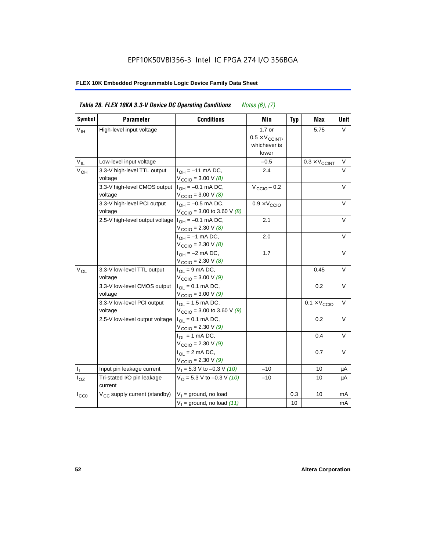| Symbol          | <b>Parameter</b>                         | <b>Conditions</b>                                                                      | Min                                                         | <b>Typ</b> | <b>Max</b>                   | Unit   |
|-----------------|------------------------------------------|----------------------------------------------------------------------------------------|-------------------------------------------------------------|------------|------------------------------|--------|
| V <sub>IH</sub> | High-level input voltage                 |                                                                                        | $1.7$ or<br>$0.5 \times V_{CCINT}$<br>whichever is<br>lower |            | 5.75                         | V      |
| $V_{IL}$        | Low-level input voltage                  |                                                                                        | $-0.5$                                                      |            | $0.3 \times V_{CCINT}$       | $\vee$ |
| $V_{OH}$        | 3.3-V high-level TTL output<br>voltage   | $I_{OH} = -11$ mA DC,<br>$V_{\text{CCIO}} = 3.00 \text{ V } (8)$                       | 2.4                                                         |            |                              | $\vee$ |
|                 | 3.3-V high-level CMOS output<br>voltage  | $I_{OH} = -0.1$ mA DC,<br>$V_{\text{CCIO}} = 3.00 \text{ V } (8)$                      | $V_{\text{CCIO}} - 0.2$                                     |            |                              | V      |
|                 | 3.3-V high-level PCI output<br>voltage   | $I_{OH} = -0.5$ mA DC,<br>$V_{\text{CCIO}} = 3.00$ to 3.60 V (8)                       | $0.9 \times V_{\text{CCIO}}$                                |            |                              | $\vee$ |
|                 | 2.5-V high-level output voltage          | $I_{OH} = -0.1$ mA DC,<br>$V_{\text{CCIO}} = 2.30 \text{ V } (8)$                      | 2.1                                                         |            |                              | $\vee$ |
|                 |                                          | $I_{OH} = -1$ mA DC,<br>$V_{\text{CCIO}} = 2.30 \text{ V } (8)$                        | 2.0                                                         |            |                              | $\vee$ |
|                 |                                          | $I_{OH} = -2$ mA DC,<br>$V_{\text{CCIO}} = 2.30 V (8)$                                 | 1.7                                                         |            |                              | V      |
| $V_{OL}$        | 3.3-V low-level TTL output<br>voltage    | $I_{OL}$ = 9 mA DC,<br>$V_{\text{CCIO}} = 3.00 V (9)$                                  |                                                             |            | 0.45                         | $\vee$ |
|                 | 3.3-V low-level CMOS output<br>voltage   | $I_{\text{OI}} = 0.1 \text{ mA} \text{ DC},$<br>$V_{\text{CCIO}} = 3.00 \text{ V} (9)$ |                                                             |            | 0.2                          | $\vee$ |
|                 | 3.3-V low-level PCI output<br>voltage    | $I_{OL}$ = 1.5 mA DC,<br>$V_{\text{CCIO}} = 3.00$ to 3.60 V (9)                        |                                                             |            | $0.1 \times V_{\text{CCIO}}$ | $\vee$ |
|                 | 2.5-V low-level output voltage           | $I_{OL} = 0.1$ mA DC,<br>$V_{\text{CCIO}} = 2.30 \text{ V} (9)$                        |                                                             |            | 0.2                          | $\vee$ |
|                 |                                          | $I_{OL}$ = 1 mA DC,<br>$V_{\text{CCIO}} = 2.30 V (9)$                                  |                                                             |            | 0.4                          | $\vee$ |
|                 |                                          | $I_{OL}$ = 2 mA DC,<br>$V_{\text{CCIO}} = 2.30 V (9)$                                  |                                                             |            | 0.7                          | $\vee$ |
| Τ,              | Input pin leakage current                | $V_1 = 5.3$ V to -0.3 V (10)                                                           | $-10$                                                       |            | 10                           | μA     |
| $I_{OZ}$        | Tri-stated I/O pin leakage<br>current    | $V_O = 5.3 V to -0.3 V (10)$                                                           | $-10$                                                       |            | 10                           | μA     |
| $I_{CC0}$       | V <sub>CC</sub> supply current (standby) | $V_1$ = ground, no load                                                                |                                                             | 0.3        | 10                           | mA     |
|                 |                                          | $V_1$ = ground, no load (11)                                                           |                                                             | 10         |                              | mA     |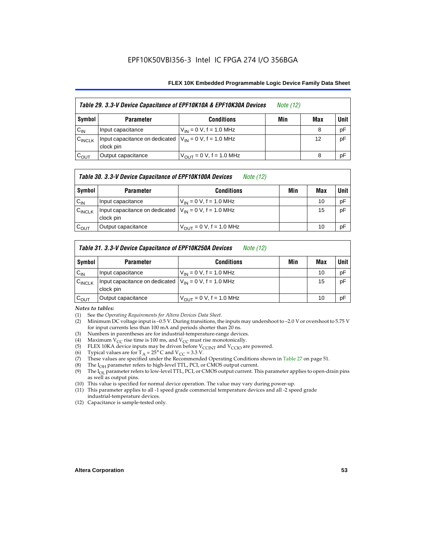#### **FLEX 10K Embedded Programmable Logic Device Family Data Sheet**

| Table 29. 3.3-V Device Capacitance of EPF10K10A & EPF10K30A Devices |                                                                           |                               | <i>Note</i> (12) |     |        |
|---------------------------------------------------------------------|---------------------------------------------------------------------------|-------------------------------|------------------|-----|--------|
| Symbol                                                              | <b>Parameter</b>                                                          | <b>Conditions</b>             | Min              | Max | Unit I |
| $C_{IN}$                                                            | Input capacitance                                                         | $V_{IN} = 0 V$ , f = 1.0 MHz  |                  | 8   | pF     |
| $C_{\text{INCLK}}$                                                  | Input capacitance on dedicated $ V_{IN} = 0 V$ , f = 1.0 MHz<br>clock pin |                               |                  | 12  | pF     |
| $C_{\text{OUT}}$                                                    | Output capacitance                                                        | $V_{OUT} = 0 V$ , f = 1.0 MHz |                  | 8   | рF     |

#### *Table 30. 3.3-V Device Capacitance of EPF10K100A Devices Note (12)*

| Symbol    | <b>Parameter</b>                                                          | <b>Conditions</b>                   | Min | Max | <b>Unit</b> |
|-----------|---------------------------------------------------------------------------|-------------------------------------|-----|-----|-------------|
| $C_{IN}$  | Input capacitance                                                         | $V_{IN} = 0 V$ , f = 1.0 MHz        |     | 10  | pF          |
| CINCLK    | Input capacitance on dedicated $ V_{1N}  = 0$ V, f = 1.0 MHz<br>clock pin |                                     |     | 15  | pF          |
| $C_{OUT}$ | Output capacitance                                                        | $V_{\text{OUT}} = 0$ V, f = 1.0 MHz |     | 10  | pF          |

### *Table 31. 3.3-V Device Capacitance of EPF10K250A Devices Note (12)*

| Symbol             | <b>Parameter</b>                                                          | <b>Conditions</b>                                           | Min | Max | <b>Unit</b> |
|--------------------|---------------------------------------------------------------------------|-------------------------------------------------------------|-----|-----|-------------|
| $C_{IN}$           | Input capacitance                                                         | $V_{IN} = 0 V$ , f = 1.0 MHz                                |     | 10  | pF          |
| $C_{\text{INCLK}}$ | Input capacitance on dedicated $ V_{IN} = 0 V$ , f = 1.0 MHz<br>clock pin |                                                             |     | 15  | pF          |
| $C_{\text{OUT}}$   | Output capacitance                                                        | $V_{\text{OUT}} = 0 \text{ V}, \text{ f} = 1.0 \text{ MHz}$ |     | 10  | pF          |

#### *Notes to tables:*

- (1) See the *Operating Requirements for Altera Devices Data Sheet*.
- (2) Minimum DC voltage input is –0.5 V. During transitions, the inputs may undershoot to –2.0 V or overshoot to 5.75 V for input currents less than 100 mA and periods shorter than 20 ns.
- (3) Numbers in parentheses are for industrial-temperature-range devices.
- (4) Maximum  $V_{CC}$  rise time is 100 ms, and  $V_{CC}$  must rise monotonically.<br>(5) FLEX 10KA device inputs may be driven before  $V_{CCIMT}$  and  $V_{CCIO}$  are
- (5) FLEX 10KA device inputs may be driven before  $V_{CCTN}$  and  $V_{CCTO}$  are powered.<br>(6) Typical values are for T<sub>A</sub> = 25° C and  $V_{CC}$  = 3.3 V.
- (6) Typical values are for  $T_A = 25^\circ$  C and  $V_{CC} = 3.3$  V.<br>(7) These values are specified under the Recommende
- These values are specified under the Recommended Operating Conditions shown in Table 27 on page 51.
- (8) The  $I_{OH}$  parameter refers to high-level TTL, PCI, or CMOS output current. The  $I_{OH}$  parameter refers to low-level TTL, PCI, or CMOS output current. The
- The I<sub>OL</sub> parameter refers to low-level TTL, PCI, or CMOS output current. This parameter applies to open-drain pins as well as output pins.
- (10) This value is specified for normal device operation. The value may vary during power-up.
- (11) This parameter applies to all -1 speed grade commercial temperature devices and all -2 speed grade industrial-temperature devices.
- (12) Capacitance is sample-tested only.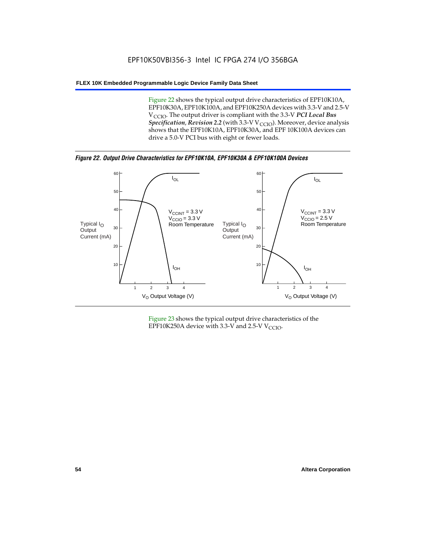Figure 22 shows the typical output drive characteristics of EPF10K10A, EPF10K30A, EPF10K100A, and EPF10K250A devices with 3.3-V and 2.5-V V<sub>CCIO</sub>. The output driver is compliant with the 3.3-V PCI Local Bus *Specification, Revision 2.2* (with 3.3-V V<sub>CCIO</sub>). Moreover, device analysis shows that the EPF10K10A, EPF10K30A, and EPF 10K100A devices can drive a 5.0-V PCI bus with eight or fewer loads.

*Figure 22. Output Drive Characteristics for EPF10K10A, EPF10K30A & EPF10K100A Devices*



Figure 23 shows the typical output drive characteristics of the EPF10K250A device with 3.3-V and 2.5-V  $V_{\text{CCIO}}$ .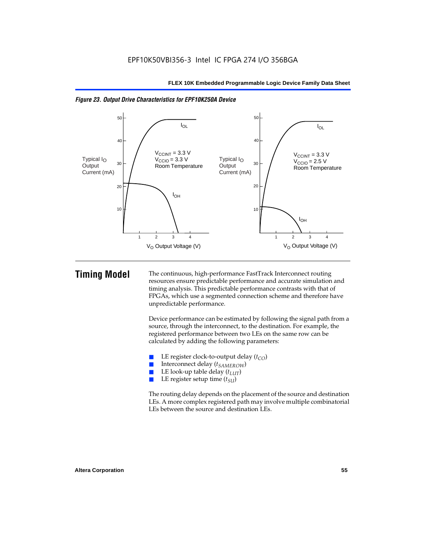

*Figure 23. Output Drive Characteristics for EPF10K250A Device*

**Timing Model** The continuous, high-performance FastTrack Interconnect routing resources ensure predictable performance and accurate simulation and timing analysis. This predictable performance contrasts with that of FPGAs, which use a segmented connection scheme and therefore have unpredictable performance.

> Device performance can be estimated by following the signal path from a source, through the interconnect, to the destination. For example, the registered performance between two LEs on the same row can be calculated by adding the following parameters:

- **E** LE register clock-to-output delay  $(t_{CO})$ <br> **E** Interconnect delay  $(t_{CMBOW})$
- Interconnect delay (*t<sub>SAMEROW</sub>*)
- LE look-up table delay  $(t_{LUT})$
- LE register setup time ( $t_{SI}$ )

The routing delay depends on the placement of the source and destination LEs. A more complex registered path may involve multiple combinatorial LEs between the source and destination LEs.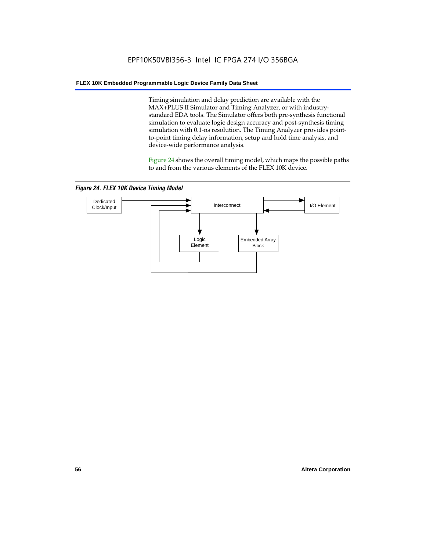Timing simulation and delay prediction are available with the MAX+PLUS II Simulator and Timing Analyzer, or with industrystandard EDA tools. The Simulator offers both pre-synthesis functional simulation to evaluate logic design accuracy and post-synthesis timing simulation with 0.1-ns resolution. The Timing Analyzer provides pointto-point timing delay information, setup and hold time analysis, and device-wide performance analysis.

Figure 24 shows the overall timing model, which maps the possible paths to and from the various elements of the FLEX 10K device.

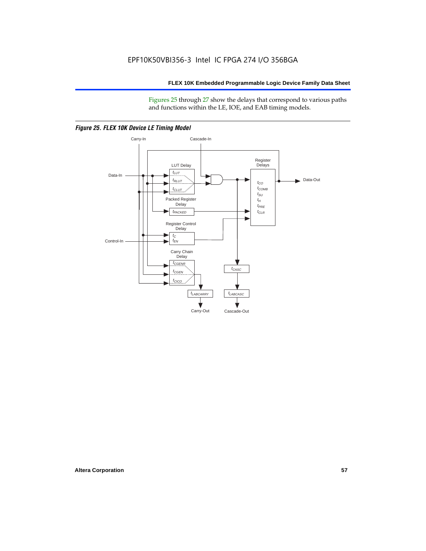Figures 25 through 27 show the delays that correspond to various paths and functions within the LE, IOE, and EAB timing models.



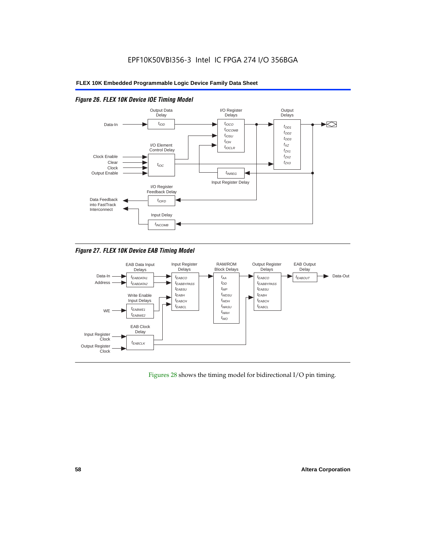

### *Figure 26. FLEX 10K Device IOE Timing Model*

*Figure 27. FLEX 10K Device EAB Timing Model*



Figures 28 shows the timing model for bidirectional I/O pin timing.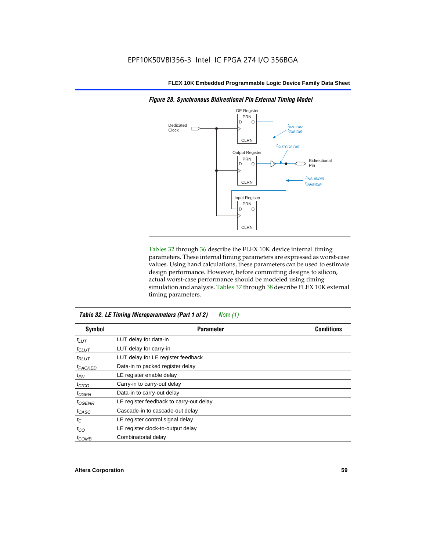

Tables 32 through 36 describe the FLEX 10K device internal timing parameters. These internal timing parameters are expressed as worst-case values. Using hand calculations, these parameters can be used to estimate design performance. However, before committing designs to silicon, actual worst-case performance should be modeled using timing simulation and analysis. Tables 37 through 38 describe FLEX 10K external timing parameters.

| Table 32. LE Timing Microparameters (Part 1 of 2)<br>Note $(1)$ |                                         |                   |  |  |  |
|-----------------------------------------------------------------|-----------------------------------------|-------------------|--|--|--|
| Symbol                                                          | <b>Parameter</b>                        | <b>Conditions</b> |  |  |  |
| $t_{LUT}$                                                       | LUT delay for data-in                   |                   |  |  |  |
| $t_{CLUT}$                                                      | LUT delay for carry-in                  |                   |  |  |  |
| $t_{RLUT}$                                                      | LUT delay for LE register feedback      |                   |  |  |  |
| <sup>t</sup> PACKED                                             | Data-in to packed register delay        |                   |  |  |  |
| $t_{EN}$                                                        | LE register enable delay                |                   |  |  |  |
| $t_{CICO}$                                                      | Carry-in to carry-out delay             |                   |  |  |  |
| $t_{GEN}$                                                       | Data-in to carry-out delay              |                   |  |  |  |
| <sup>t</sup> CGENR                                              | LE register feedback to carry-out delay |                   |  |  |  |
| $t_{CASC}$                                                      | Cascade-in to cascade-out delay         |                   |  |  |  |
| $t_C$                                                           | LE register control signal delay        |                   |  |  |  |
| $t_{CO}$                                                        | LE register clock-to-output delay       |                   |  |  |  |
| $t_{COMB}$                                                      | Combinatorial delay                     |                   |  |  |  |

*Figure 28. Synchronous Bidirectional Pin External Timing Model*

Г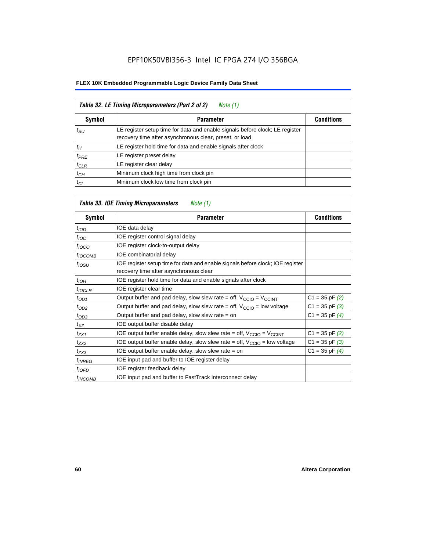#### **FLEX 10K Embedded Programmable Logic Device Family Data Sheet**

| Table 32. LE Timing Microparameters (Part 2 of 2)<br>Note (1) |                                                                                                                                         |                   |  |  |  |
|---------------------------------------------------------------|-----------------------------------------------------------------------------------------------------------------------------------------|-------------------|--|--|--|
| <b>Symbol</b>                                                 | <b>Parameter</b>                                                                                                                        | <b>Conditions</b> |  |  |  |
| $t_{\rm SU}$                                                  | LE register setup time for data and enable signals before clock; LE register<br>recovery time after asynchronous clear, preset, or load |                   |  |  |  |
| $t_H$                                                         | LE register hold time for data and enable signals after clock                                                                           |                   |  |  |  |
| $t_{PRE}$                                                     | LE register preset delay                                                                                                                |                   |  |  |  |
| $t_{CLR}$                                                     | LE register clear delay                                                                                                                 |                   |  |  |  |
| $t_{CH}$                                                      | Minimum clock high time from clock pin                                                                                                  |                   |  |  |  |
| $t_{CL}$                                                      | Minimum clock low time from clock pin                                                                                                   |                   |  |  |  |

### *Table 33. IOE Timing Microparameters Note (1)* Symbol **Parameter Conditions** Parameter **Conditions**  $t<sub>IOD</sub>$  IOE data delay  $t_{\text{IOC}}$  IOE register control signal delay  $t_{IOCO}$  IOE register clock-to-output delay  $t_{IOCOMB}$  IOE combinatorial delay  $t_{\text{IOSU}}$  IOE register setup time for data and enable signals before clock; IOE register recovery time after asynchronous clear  $t_{\text{IOH}}$  IOE register hold time for data and enable signals after clock  $t_{IOCIR}$  IOE register clear time  $t_{OD1}$  Output buffer and pad delay, slow slew rate = off,  $V_{CCIO} = V_{CCINT}$  C1 = 35 pF (2)  $t_{OD2}$  Output buffer and pad delay, slow slew rate = off, V<sub>CCIO</sub> = low voltage C1 = 35 pF (3)  $t_{OD3}$  Output buffer and pad delay, slow slew rate = on C1 = 35 pF (4)  $t_{XZ}$  IOE output buffer disable delay  $t_{ZX1}$  IOE output buffer enable delay, slow slew rate = off,  $V_{CCIO} = V_{CCINT}$  C1 = 35 pF (2)<br>
IOE output buffer enable delay, slow slew rate = off,  $V_{CCIO}$  = low voltage C1 = 35 pF (3)  $t_{ZX2}$  IOE output buffer enable delay, slow slew rate = off,  $V_{CCIO}$  = low voltage  $t_{ZX3}$  IOE output buffer enable delay, slow slew rate = on  $CL = 35 pF (4)$  $t_{INREG}$  | IOE input pad and buffer to IOE register delay  $t_{IOED}$  IOE register feedback delay  $t_{INCOMB}$  | IOE input pad and buffer to FastTrack Interconnect delay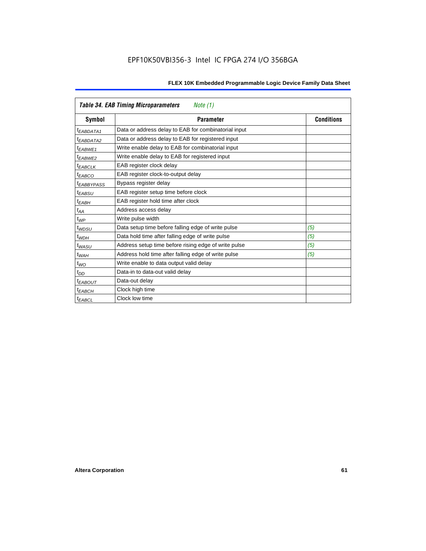|                        | <b>Table 34. EAB Timing Microparameters</b><br>Note (1) |                   |
|------------------------|---------------------------------------------------------|-------------------|
| Symbol                 | <b>Parameter</b>                                        | <b>Conditions</b> |
| $t_{EABDATA1}$         | Data or address delay to EAB for combinatorial input    |                   |
| $t_{EABDATA2}$         | Data or address delay to EAB for registered input       |                   |
| $t_{EABWE1}$           | Write enable delay to EAB for combinatorial input       |                   |
| t <sub>EABWE2</sub>    | Write enable delay to EAB for registered input          |                   |
| <sup>t</sup> EABCLK    | EAB register clock delay                                |                   |
| $t_{EABCO}$            | EAB register clock-to-output delay                      |                   |
| <sup>t</sup> EABBYPASS | Bypass register delay                                   |                   |
| <sup>t</sup> EABSU     | EAB register setup time before clock                    |                   |
| $t_{EABH}$             | EAB register hold time after clock                      |                   |
| $t_{AA}$               | Address access delay                                    |                   |
| $t_{WP}$               | Write pulse width                                       |                   |
| $t_{WDSU}$             | Data setup time before falling edge of write pulse      | (5)               |
| $t_{WDH}$              | Data hold time after falling edge of write pulse        | (5)               |
| $t_{WASU}$             | Address setup time before rising edge of write pulse    | (5)               |
| $t_{WAH}$              | Address hold time after falling edge of write pulse     | (5)               |
| $t_{WO}$               | Write enable to data output valid delay                 |                   |
| $t_{DD}$               | Data-in to data-out valid delay                         |                   |
| <sup>t</sup> EABOUT    | Data-out delay                                          |                   |
| <sup>t</sup> EABCH     | Clock high time                                         |                   |
| <sup>t</sup> EABCL     | Clock low time                                          |                   |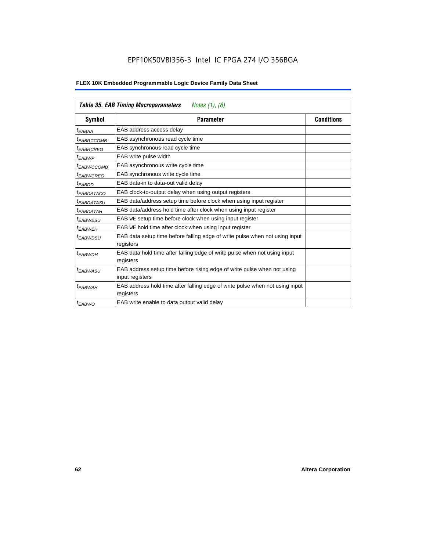|                        | <b>Table 35. EAB Timing Macroparameters</b><br><i>Notes (1), (6)</i>                      |                   |
|------------------------|-------------------------------------------------------------------------------------------|-------------------|
| Symbol                 | <b>Parameter</b>                                                                          | <b>Conditions</b> |
| t <sub>EABAA</sub>     | EAB address access delay                                                                  |                   |
| <sup>t</sup> EABRCCOMB | EAB asynchronous read cycle time                                                          |                   |
| <sup>t</sup> EABRCREG  | EAB synchronous read cycle time                                                           |                   |
| t <sub>EABWP</sub>     | EAB write pulse width                                                                     |                   |
| <sup>t</sup> EABWCCOMB | EAB asynchronous write cycle time                                                         |                   |
| <sup>t</sup> EABWCREG  | EAB synchronous write cycle time                                                          |                   |
| $t_{EABDD}$            | EAB data-in to data-out valid delay                                                       |                   |
| <sup>t</sup> EABDATACO | EAB clock-to-output delay when using output registers                                     |                   |
| <sup>t</sup> EABDATASU | EAB data/address setup time before clock when using input register                        |                   |
| <sup>t</sup> EABDATAH  | EAB data/address hold time after clock when using input register                          |                   |
| <sup>t</sup> EABWESU   | EAB WE setup time before clock when using input register                                  |                   |
| <sup>t</sup> EABWEH    | EAB WE hold time after clock when using input register                                    |                   |
| t <sub>EABWDSU</sub>   | EAB data setup time before falling edge of write pulse when not using input<br>registers  |                   |
| $t_{EABWDH}$           | EAB data hold time after falling edge of write pulse when not using input                 |                   |
|                        | registers                                                                                 |                   |
| t <sub>EABWASU</sub>   | EAB address setup time before rising edge of write pulse when not using                   |                   |
|                        | input registers                                                                           |                   |
| <sup>t</sup> EABWAH    | EAB address hold time after falling edge of write pulse when not using input<br>registers |                   |
| $t_{EABWO}$            | EAB write enable to data output valid delay                                               |                   |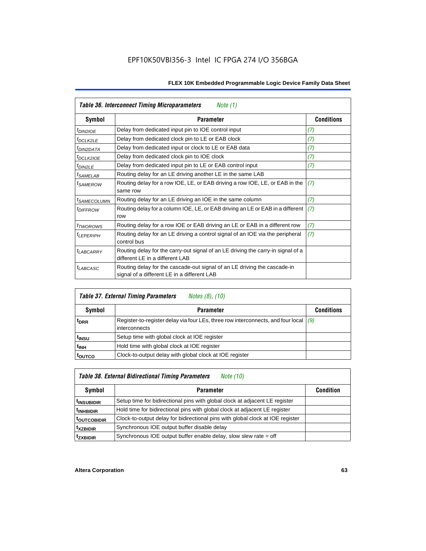|                               | Table 36. Interconnect Timing Microparameters<br>Note (1)                                                               |                   |
|-------------------------------|-------------------------------------------------------------------------------------------------------------------------|-------------------|
| Symbol                        | <b>Parameter</b>                                                                                                        | <b>Conditions</b> |
| <sup>t</sup> DIN2IOE          | Delay from dedicated input pin to IOE control input                                                                     | (7)               |
| <sup>t</sup> DCLK2LE          | Delay from dedicated clock pin to LE or EAB clock                                                                       | (7)               |
| <sup>t</sup> DIN2DATA         | Delay from dedicated input or clock to LE or EAB data                                                                   | (7)               |
| <sup>t</sup> DCLK2IOE         | Delay from dedicated clock pin to IOE clock                                                                             | (7)               |
| t <sub>DIN2LE</sub>           | Delay from dedicated input pin to LE or EAB control input                                                               | (7)               |
| <sup>t</sup> SAMELAB          | Routing delay for an LE driving another LE in the same LAB                                                              |                   |
| <sup>t</sup> SAMEROW          | Routing delay for a row IOE, LE, or EAB driving a row IOE, LE, or EAB in the<br>same row                                | (7)               |
| <i>t<sub>SAMECOLUMN</sub></i> | Routing delay for an LE driving an IOE in the same column                                                               | (7)               |
| <i><b>IDIFFROW</b></i>        | Routing delay for a column IOE, LE, or EAB driving an LE or EAB in a different<br>row                                   | (7)               |
| <i>t</i> TWOROWS              | Routing delay for a row IOE or EAB driving an LE or EAB in a different row                                              | (7)               |
| <sup>t</sup> LEPERIPH         | Routing delay for an LE driving a control signal of an IOE via the peripheral<br>control bus                            | (7)               |
| t <sub>LABCARRY</sub>         | Routing delay for the carry-out signal of an LE driving the carry-in signal of a<br>different LE in a different LAB     |                   |
| <i>t<sub>LABCASC</sub></i>    | Routing delay for the cascade-out signal of an LE driving the cascade-in<br>signal of a different LE in a different LAB |                   |

|                   | <b>Table 37. External Timing Parameters</b><br>Notes (8), (10)                                          |                   |
|-------------------|---------------------------------------------------------------------------------------------------------|-------------------|
| <b>Symbol</b>     | <b>Parameter</b>                                                                                        | <b>Conditions</b> |
| <sup>t</sup> DRR  | Register-to-register delay via four LEs, three row interconnects, and four local $(9)$<br>interconnects |                   |
| t <sub>insu</sub> | Setup time with global clock at IOE register                                                            |                   |
| t <sub>INH</sub>  | Hold time with global clock at IOE register                                                             |                   |
| <b>TOUTCO</b>     | Clock-to-output delay with global clock at IOE register                                                 |                   |

### *Table 38. External Bidirectional Timing Parameters Note (10)*

| Symbol                   | <b>Parameter</b>                                                               | <b>Condition</b> |
|--------------------------|--------------------------------------------------------------------------------|------------------|
| <sup>  t</sup> INSUBIDIR | Setup time for bidirectional pins with global clock at adjacent LE register    |                  |
| <sup>t</sup> INHBIDIR    | Hold time for bidirectional pins with global clock at adjacent LE register     |                  |
| <sup>t</sup> outcobidir  | Clock-to-output delay for bidirectional pins with global clock at IOE register |                  |
| <sup>t</sup> xzbidir     | Synchronous IOE output buffer disable delay                                    |                  |
| <sup>t</sup> zxbidir     | Synchronous IOE output buffer enable delay, slow slew rate = off               |                  |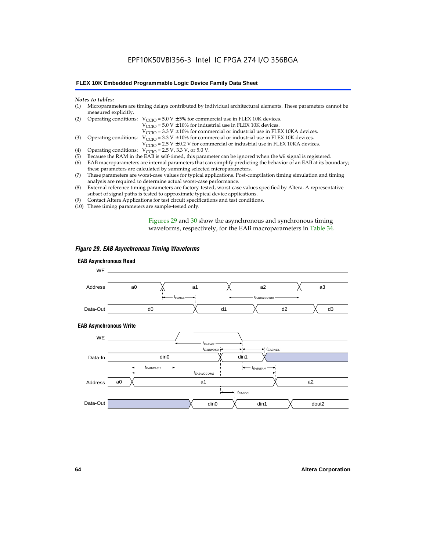#### **FLEX 10K Embedded Programmable Logic Device Family Data Sheet**

#### *Notes to tables:*

| (1) Microparameters are timing delays contributed by individual architectural elements. These parameters cannot be |
|--------------------------------------------------------------------------------------------------------------------|
| measured explicitly.                                                                                               |

| (2) Operating conditions: $V_{CCIO} = 5.0 V \pm 5%$ for commercial use in FLEX 10K devices. |  |  |  |
|---------------------------------------------------------------------------------------------|--|--|--|
|                                                                                             |  |  |  |

 $V<sub>CCIO</sub>$  = 5.0 V  $\pm$  10% for industrial use in FLEX 10K devices.

 $V_{\text{CCIO}} = 3.3 \text{ V} \pm 10\%$  for commercial or industrial use in FLEX 10KA devices.

(3) Operating conditions:  $V_{\text{CCIO}} = 3.3 V \pm 10\%$  for commercial or industrial use in FLEX 10K devices.

 $V_{\text{CCIO}} = 2.5 \text{ V} \pm 0.2 \text{ V}$  for commercial or industrial use in FLEX 10KA devices.

- (4) Operating conditions:  $V_{\text{CCIO}} = 2.5 V$ , 3.3 V, or 5.0 V.<br>(5) Because the RAM in the EAB is self-timed, this param
- (5) Because the RAM in the EAB is self-timed, this parameter can be ignored when the WE signal is registered.<br>(6) EAB macroparameters are internal parameters that can simplify predicting the behavior of an EAB at its bou
- EAB macroparameters are internal parameters that can simplify predicting the behavior of an EAB at its boundary; these parameters are calculated by summing selected microparameters.
- (7) These parameters are worst-case values for typical applications. Post-compilation timing simulation and timing analysis are required to determine actual worst-case performance.
- (8) External reference timing parameters are factory-tested, worst-case values specified by Altera. A representative subset of signal paths is tested to approximate typical device applications.
- (9) Contact Altera Applications for test circuit specifications and test conditions.
- (10) These timing parameters are sample-tested only.

Figures 29 and 30 show the asynchronous and synchronous timing waveforms, respectively, for the EAB macroparameters in Table 34.

#### *Figure 29. EAB Asynchronous Timing Waveforms*

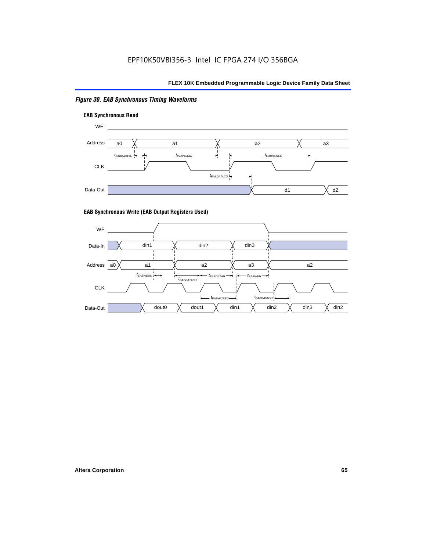### *Figure 30. EAB Synchronous Timing Waveforms*





#### **EAB Synchronous Write (EAB Output Registers Used)**

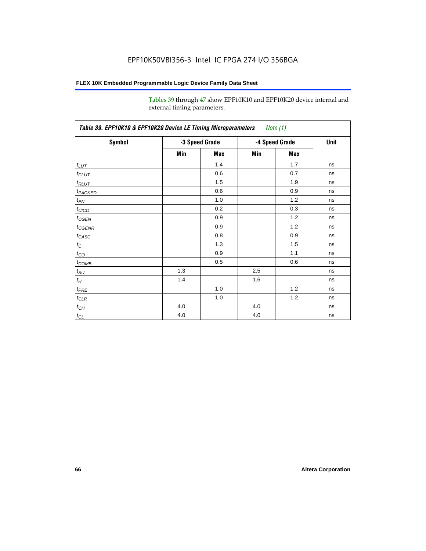Tables 39 through 47 show EPF10K10 and EPF10K20 device internal and external timing parameters.

| Table 39. EPF10K10 & EPF10K20 Device LE Timing Microparameters Note (1) |                |     |                |     |             |
|-------------------------------------------------------------------------|----------------|-----|----------------|-----|-------------|
| Symbol                                                                  | -3 Speed Grade |     | -4 Speed Grade |     | <b>Unit</b> |
|                                                                         | Min            | Max | Min            | Max |             |
| $t_{LUT}$                                                               |                | 1.4 |                | 1.7 | ns          |
| $t_{CLUT}$                                                              |                | 0.6 |                | 0.7 | ns          |
| $t_{RLUT}$                                                              |                | 1.5 |                | 1.9 | ns          |
| <b><i>t<sub>PACKED</sub></i></b>                                        |                | 0.6 |                | 0.9 | ns          |
| $t_{EN}$                                                                |                | 1.0 |                | 1.2 | ns          |
| $t_{CICO}$                                                              |                | 0.2 |                | 0.3 | ns          |
| $t_{\text{GEN}}$                                                        |                | 0.9 |                | 1.2 | ns          |
| $t_{CGENR}$                                                             |                | 0.9 |                | 1.2 | ns          |
| $t_{CASC}$                                                              |                | 0.8 |                | 0.9 | ns          |
| $t_C$                                                                   |                | 1.3 |                | 1.5 | ns          |
| $t_{CO}$                                                                |                | 0.9 |                | 1.1 | ns          |
| $t_{\text{COMB}}$                                                       |                | 0.5 |                | 0.6 | ns          |
| $t_{\text{SU}}$                                                         | 1.3            |     | 2.5            |     | ns          |
| $t_H$                                                                   | 1.4            |     | 1.6            |     | ns          |
| $t_{PRE}$                                                               |                | 1.0 |                | 1.2 | ns          |
| $t_{CLR}$                                                               |                | 1.0 |                | 1.2 | ns          |
| $t_{CH}$                                                                | 4.0            |     | 4.0            |     | ns          |
| $t_{CL}$                                                                | 4.0            |     | 4.0            |     | ns          |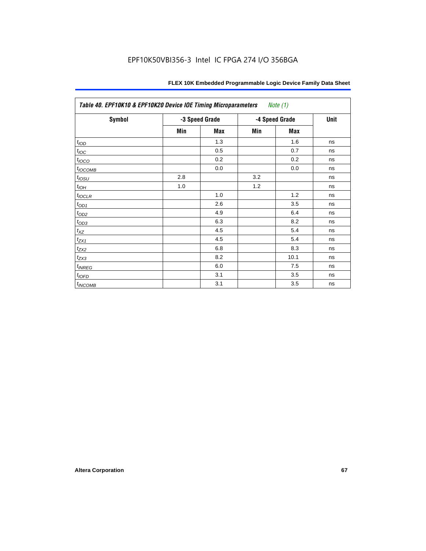| <b>Symbol</b>        | -3 Speed Grade |     | -4 Speed Grade |      | <b>Unit</b> |
|----------------------|----------------|-----|----------------|------|-------------|
|                      | Min            | Max | Min            | Max  |             |
| t <sub>IOD</sub>     |                | 1.3 |                | 1.6  | ns          |
| $t_{\text{IOC}}$     |                | 0.5 |                | 0.7  | ns          |
| $t_{IOCO}$           |                | 0.2 |                | 0.2  | ns          |
| t <sub>I</sub> OCOMB |                | 0.0 |                | 0.0  | ns          |
| $t_{IOSU}$           | 2.8            |     | 3.2            |      | ns          |
| $t_{IOH}$            | 1.0            |     | 1.2            |      | ns          |
| $t_{IOCLR}$          |                | 1.0 |                | 1.2  | ns          |
| $t_{OD1}$            |                | 2.6 |                | 3.5  | ns          |
| $t_{OD2}$            |                | 4.9 |                | 6.4  | ns          |
| $t_{OD3}$            |                | 6.3 |                | 8.2  | ns          |
| $t_{XZ}$             |                | 4.5 |                | 5.4  | ns          |
| $t_{ZX1}$            |                | 4.5 |                | 5.4  | ns          |
| $t_{ZX2}$            |                | 6.8 |                | 8.3  | ns          |
| $t_{ZX3}$            |                | 8.2 |                | 10.1 | ns          |
| $t_{INREG}$          |                | 6.0 |                | 7.5  | ns          |
| $t_{IOFD}$           |                | 3.1 |                | 3.5  | ns          |
| $t_{INCOMB}$         |                | 3.1 |                | 3.5  | ns          |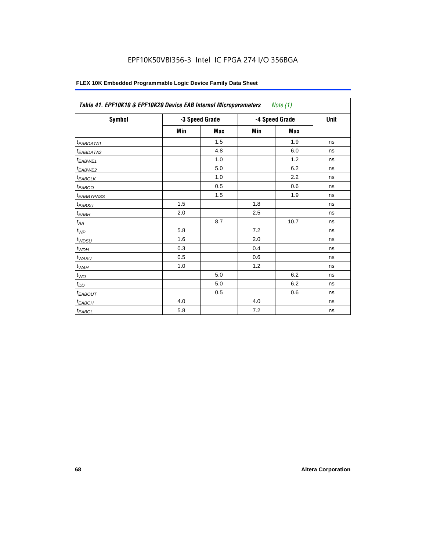| Symbol                 | -3 Speed Grade |            | -4 Speed Grade |            | Unit |
|------------------------|----------------|------------|----------------|------------|------|
|                        | Min            | <b>Max</b> | Min            | <b>Max</b> |      |
| <sup>t</sup> EABDATA1  |                | 1.5        |                | 1.9        | ns   |
| <sup>t</sup> EABDATA2  |                | 4.8        |                | 6.0        | ns   |
| t <sub>EABWE1</sub>    |                | 1.0        |                | 1.2        | ns   |
| <sup>t</sup> EABWE2    |                | 5.0        |                | 6.2        | ns   |
| <sup>t</sup> EABCLK    |                | 1.0        |                | 2.2        | ns   |
| t <sub>EABCO</sub>     |                | 0.5        |                | 0.6        | ns   |
| <sup>t</sup> EABBYPASS |                | 1.5        |                | 1.9        | ns   |
| $t_{EABSU}$            | 1.5            |            | 1.8            |            | ns   |
| $t_{EABH}$             | 2.0            |            | 2.5            |            | ns   |
| $t_{AA}$               |                | 8.7        |                | 10.7       | ns   |
| $t_{\mathit{WP}}$      | 5.8            |            | 7.2            |            | ns   |
| $t_{WDSU}$             | 1.6            |            | 2.0            |            | ns   |
| $t_{WDH}$              | 0.3            |            | 0.4            |            | ns   |
| $t_{WASU}$             | 0.5            |            | 0.6            |            | ns   |
| $t_{W\underline{AH}}$  | 1.0            |            | 1.2            |            | ns   |
| $t_{WO}$               |                | 5.0        |                | 6.2        | ns   |
| $t_{DD}$               |                | 5.0        |                | 6.2        | ns   |
| <sup>t</sup> EABOUT    |                | 0.5        |                | 0.6        | ns   |
| $t_{EABCH}$            | 4.0            |            | 4.0            |            | ns   |
| $t_{EABCL}$            | 5.8            |            | 7.2            |            | ns   |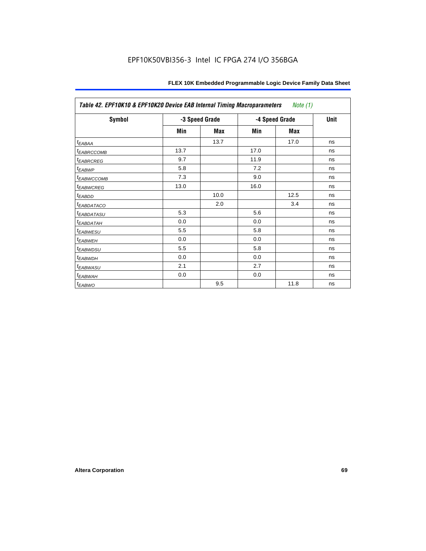| Table 42. EPF10K10 & EPF10K20 Device EAB Internal Timing Macroparameters<br>Note (1) |                |      |                |      |             |
|--------------------------------------------------------------------------------------|----------------|------|----------------|------|-------------|
| Symbol                                                                               | -3 Speed Grade |      | -4 Speed Grade |      | <b>Unit</b> |
|                                                                                      | Min            | Max  | Min            | Max  |             |
| t <sub>EABAA</sub>                                                                   |                | 13.7 |                | 17.0 | ns          |
| <sup>t</sup> EABRCCOMB                                                               | 13.7           |      | 17.0           |      | ns          |
| <b><i>EABRCREG</i></b>                                                               | 9.7            |      | 11.9           |      | ns          |
| t <sub>EABWP</sub>                                                                   | 5.8            |      | 7.2            |      | ns          |
| <sup>t</sup> EABWCCOMB                                                               | 7.3            |      | 9.0            |      | ns          |
| <sup>t</sup> EABWCREG                                                                | 13.0           |      | 16.0           |      | ns          |
| t <sub>EABDD</sub>                                                                   |                | 10.0 |                | 12.5 | ns          |
| <sup>t</sup> EABDATACO                                                               |                | 2.0  |                | 3.4  | ns          |
| <sup>t</sup> EABDATASU                                                               | 5.3            |      | 5.6            |      | ns          |
| <sup>t</sup> EABDATAH                                                                | 0.0            |      | 0.0            |      | ns          |
| <sup>t</sup> EABWESU                                                                 | 5.5            |      | 5.8            |      | ns          |
| <sup>t</sup> EABWEH                                                                  | 0.0            |      | 0.0            |      | ns          |
| <sup>t</sup> EABWDSU                                                                 | 5.5            |      | 5.8            |      | ns          |
| <sup>t</sup> EABWDH                                                                  | 0.0            |      | 0.0            |      | ns          |
| t <sub>EABWASU</sub>                                                                 | 2.1            |      | 2.7            |      | ns          |
| <sup>t</sup> EABWAH                                                                  | 0.0            |      | 0.0            |      | ns          |
| <sup>t</sup> EABWO                                                                   |                | 9.5  |                | 11.8 | ns          |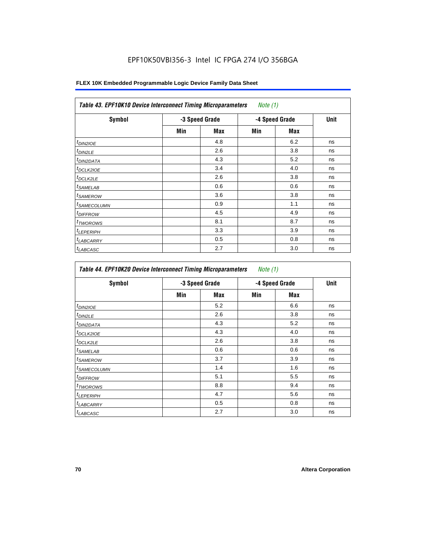### **FLEX 10K Embedded Programmable Logic Device Family Data Sheet**

| <b>Symbol</b>              | -3 Speed Grade |     | -4 Speed Grade |            | <b>Unit</b> |
|----------------------------|----------------|-----|----------------|------------|-------------|
|                            | Min            | Max | Min            | <b>Max</b> |             |
| t <sub>DIN2IOE</sub>       |                | 4.8 |                | 6.2        | ns          |
| $t_{DIN2LE}$               |                | 2.6 |                | 3.8        | ns          |
| <sup>t</sup> DIN2DATA      |                | 4.3 |                | 5.2        | ns          |
| <sup>t</sup> DCLK2IOE      |                | 3.4 |                | 4.0        | ns          |
| ${}^t$ DCLK2LE             |                | 2.6 |                | 3.8        | ns          |
| <sup>t</sup> SAMELAB       |                | 0.6 |                | 0.6        | ns          |
| <sup>t</sup> SAMEROW       |                | 3.6 |                | 3.8        | ns          |
| <sup>t</sup> SAMECOLUMN    |                | 0.9 |                | 1.1        | ns          |
| <i>t<sub>DIFFROW</sub></i> |                | 4.5 |                | 4.9        | ns          |
| <sup>t</sup> TWOROWS       |                | 8.1 |                | 8.7        | ns          |
| <sup>t</sup> LEPERIPH      |                | 3.3 |                | 3.9        | ns          |
| <sup>I</sup> LABCARRY      |                | 0.5 |                | 0.8        | ns          |
| <sup>t</sup> LABCASC       |                | 2.7 |                | 3.0        | ns          |

| Symbol                  | -3 Speed Grade |     | -4 Speed Grade |     | <b>Unit</b> |
|-------------------------|----------------|-----|----------------|-----|-------------|
|                         | Min            | Max | Min            | Max |             |
| $t_{DINZIOE}$           |                | 5.2 |                | 6.6 | ns          |
| <sup>t</sup> DIN2LE     |                | 2.6 |                | 3.8 | ns          |
| <sup>t</sup> DIN2DATA   |                | 4.3 |                | 5.2 | ns          |
| <sup>t</sup> DCLK2IOE   |                | 4.3 |                | 4.0 | ns          |
| t <sub>DCLK2LE</sub>    |                | 2.6 |                | 3.8 | ns          |
| <sup>t</sup> SAMELAB    |                | 0.6 |                | 0.6 | ns          |
| <sup>t</sup> SAMEROW    |                | 3.7 |                | 3.9 | ns          |
| <sup>I</sup> SAMECOLUMN |                | 1.4 |                | 1.6 | ns          |
| <sup>I</sup> DIFFROW    |                | 5.1 |                | 5.5 | ns          |
| <sup>t</sup> TWOROWS    |                | 8.8 |                | 9.4 | ns          |
| <sup>t</sup> LEPERIPH   |                | 4.7 |                | 5.6 | ns          |
| <b>LABCARRY</b>         |                | 0.5 |                | 0.8 | ns          |
| <sup>t</sup> LABCASC    |                | 2.7 |                | 3.0 | ns          |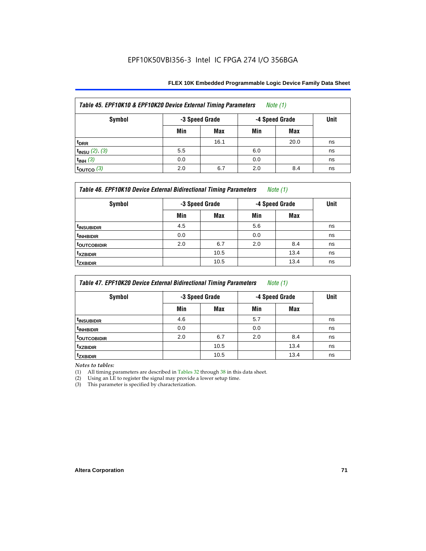| Table 45. EPF10K10 & EPF10K20 Device External Timing Parameters<br>Note $(1)$ |                |            |                |      |             |  |  |
|-------------------------------------------------------------------------------|----------------|------------|----------------|------|-------------|--|--|
| Symbol                                                                        | -3 Speed Grade |            | -4 Speed Grade |      | <b>Unit</b> |  |  |
|                                                                               | Min            | <b>Max</b> | Min            | Max  |             |  |  |
| t <sub>DRR</sub>                                                              |                | 16.1       |                | 20.0 | ns          |  |  |
| $t_{INSU}$ (2), (3)                                                           | 5.5            |            | 6.0            |      | ns          |  |  |
| $t_{INH}$ (3)                                                                 | 0.0            |            | 0.0            |      | ns          |  |  |
| $\vert$ toutco (3)                                                            | 2.0            | 6.7        | 2.0            | 8.4  | ns          |  |  |

| Table 46. EPF10K10 Device External Bidirectional Timing Parameters<br>Note $(1)$ |                |      |                |      |             |  |
|----------------------------------------------------------------------------------|----------------|------|----------------|------|-------------|--|
| Symbol                                                                           | -3 Speed Grade |      | -4 Speed Grade |      | <b>Unit</b> |  |
|                                                                                  | Min            | Max  | Min            | Max  |             |  |
| <sup>t</sup> insubidir                                                           | 4.5            |      | 5.6            |      | ns          |  |
| <sup>t</sup> INHBIDIR                                                            | 0.0            |      | 0.0            |      | ns          |  |
| <sup>t</sup> OUTCOBIDIR                                                          | 2.0            | 6.7  | 2.0            | 8.4  | ns          |  |
| <sup>t</sup> xzbidir                                                             |                | 10.5 |                | 13.4 | ns          |  |
| <sup>t</sup> zxbidir                                                             |                | 10.5 |                | 13.4 | ns          |  |

| Table 47. EPF10K20 Device External Bidirectional Timing Parameters<br><i>Note</i> $(1)$ |                |      |                |      |             |  |
|-----------------------------------------------------------------------------------------|----------------|------|----------------|------|-------------|--|
| Symbol                                                                                  | -3 Speed Grade |      | -4 Speed Grade |      | <b>Unit</b> |  |
|                                                                                         | Min            | Max  | Min            | Max  |             |  |
| <sup>t</sup> INSUBIDIR                                                                  | 4.6            |      | 5.7            |      | ns          |  |
| <sup>t</sup> INHBIDIR                                                                   | 0.0            |      | 0.0            |      | ns          |  |
| <b>TOUTCOBIDIR</b>                                                                      | 2.0            | 6.7  | 2.0            | 8.4  | ns          |  |
| <sup>t</sup> xzbidir                                                                    |                | 10.5 |                | 13.4 | ns          |  |
| <sup>T</sup> ZXBIDIR                                                                    |                | 10.5 |                | 13.4 | ns          |  |

*Notes to tables:*

(1) All timing parameters are described in Tables 32 through 38 in this data sheet.

(2) Using an LE to register the signal may provide a lower setup time.

(3) This parameter is specified by characterization.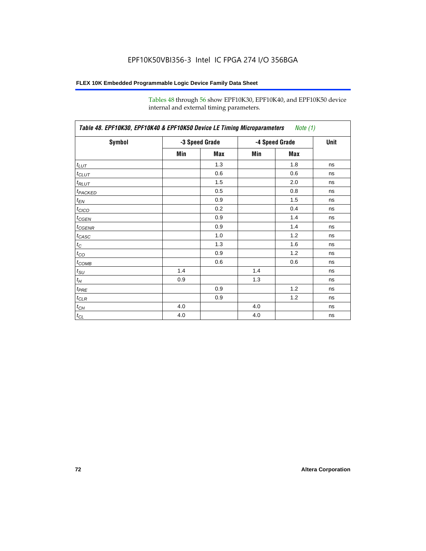Tables 48 through 56 show EPF10K30, EPF10K40, and EPF10K50 device internal and external timing parameters.

| Table 48. EPF10K30, EPF10K40 & EPF10K50 Device LE Timing Microparameters Note (1) |                |     |                |      |    |  |  |
|-----------------------------------------------------------------------------------|----------------|-----|----------------|------|----|--|--|
| Symbol                                                                            | -3 Speed Grade |     | -4 Speed Grade | Unit |    |  |  |
|                                                                                   | Min            | Max | Min            | Max  |    |  |  |
| $t_{LUT}$                                                                         |                | 1.3 |                | 1.8  | ns |  |  |
| $t_{CLUT}$                                                                        |                | 0.6 |                | 0.6  | ns |  |  |
| $t_{RLUT}$                                                                        |                | 1.5 |                | 2.0  | ns |  |  |
| t <sub>PACKED</sub>                                                               |                | 0.5 |                | 0.8  | ns |  |  |
| $t_{EN}$                                                                          |                | 0.9 |                | 1.5  | ns |  |  |
| t <sub>CICO</sub>                                                                 |                | 0.2 |                | 0.4  | ns |  |  |
| $t_{\sf GEFN}$                                                                    |                | 0.9 |                | 1.4  | ns |  |  |
| $t_{\text{GENR}}$                                                                 |                | 0.9 |                | 1.4  | ns |  |  |
| $t_{CASC}$                                                                        |                | 1.0 |                | 1.2  | ns |  |  |
| $t_C$                                                                             |                | 1.3 |                | 1.6  | ns |  |  |
| $t_{CO}$                                                                          |                | 0.9 |                | 1.2  | ns |  |  |
| $t_{\text{COMB}}$                                                                 |                | 0.6 |                | 0.6  | ns |  |  |
| $t_{\text{SU}}$                                                                   | 1.4            |     | 1.4            |      | ns |  |  |
| $t_H$                                                                             | 0.9            |     | 1.3            |      | ns |  |  |
| $t_{PRE}$                                                                         |                | 0.9 |                | 1.2  | ns |  |  |
| $t_{\text{CLR}}$                                                                  |                | 0.9 |                | 1.2  | ns |  |  |
| $t_{CH}$                                                                          | 4.0            |     | 4.0            |      | ns |  |  |
| $t_{CL}$                                                                          | 4.0            |     | 4.0            |      | ns |  |  |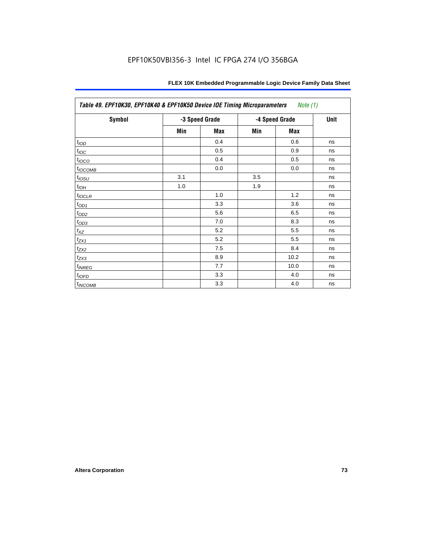| Table 49. EPF10K30, EPF10K40 & EPF10K50 Device IOE Timing Microparameters<br>Note (1) |     |                |     |                |    |  |  |  |
|---------------------------------------------------------------------------------------|-----|----------------|-----|----------------|----|--|--|--|
| <b>Symbol</b>                                                                         |     | -3 Speed Grade |     | -4 Speed Grade |    |  |  |  |
|                                                                                       | Min | <b>Max</b>     | Min | Max            |    |  |  |  |
| t <sub>IOD</sub>                                                                      |     | 0.4            |     | 0.6            | ns |  |  |  |
| $t_{\text{IOC}}$                                                                      |     | 0.5            |     | 0.9            | ns |  |  |  |
| $t_{IOCO}$                                                                            |     | 0.4            |     | 0.5            | ns |  |  |  |
| t <sub>IOCOMB</sub>                                                                   |     | 0.0            |     | 0.0            | ns |  |  |  |
| $t_{IOSU}$                                                                            | 3.1 |                | 3.5 |                | ns |  |  |  |
| $t_{IOH}$                                                                             | 1.0 |                | 1.9 |                | ns |  |  |  |
| $t_{IOCLR}$                                                                           |     | 1.0            |     | 1.2            | ns |  |  |  |
| $t_{OD1}$                                                                             |     | 3.3            |     | 3.6            | ns |  |  |  |
| $t_{OD2}$                                                                             |     | 5.6            |     | 6.5            | ns |  |  |  |
| $t_{OD3}$                                                                             |     | 7.0            |     | 8.3            | ns |  |  |  |
| $t_{\mathsf{XZ}}$                                                                     |     | 5.2            |     | 5.5            | ns |  |  |  |
| $t_{ZX1}$                                                                             |     | 5.2            |     | 5.5            | ns |  |  |  |
| $t_{ZX2}$                                                                             |     | 7.5            |     | 8.4            | ns |  |  |  |
| $t_{ZX3}$                                                                             |     | 8.9            |     | 10.2           | ns |  |  |  |
| $t_{INREG}$                                                                           |     | 7.7            |     | 10.0           | ns |  |  |  |
| $t_{IOFD}$                                                                            |     | 3.3            |     | 4.0            | ns |  |  |  |
| $t_{INCOMB}$                                                                          |     | 3.3            |     | 4.0            | ns |  |  |  |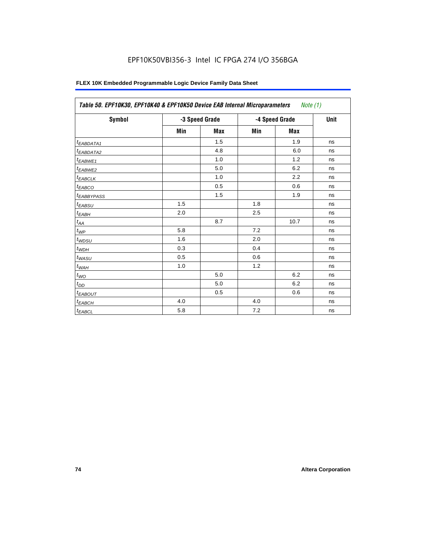| <b>Symbol</b>          |     | -3 Speed Grade |     | -4 Speed Grade | <b>Unit</b> |
|------------------------|-----|----------------|-----|----------------|-------------|
|                        | Min | <b>Max</b>     | Min | <b>Max</b>     |             |
| <sup>t</sup> EABDATA1  |     | 1.5            |     | 1.9            | ns          |
| <sup>t</sup> EABDATA2  |     | 4.8            |     | 6.0            | ns          |
| t <sub>EABWE1</sub>    |     | 1.0            |     | 1.2            | ns          |
| <sup>t</sup> EABWE2    |     | 5.0            |     | 6.2            | ns          |
| <sup>t</sup> EABCLK    |     | 1.0            |     | 2.2            | ns          |
| t <sub>EABCO</sub>     |     | 0.5            |     | 0.6            | ns          |
| <sup>t</sup> EABBYPASS |     | 1.5            |     | 1.9            | ns          |
| t <sub>EABSU</sub>     | 1.5 |                | 1.8 |                | ns          |
| $t_{EABH}$             | 2.0 |                | 2.5 |                | ns          |
| $t_{AA}$               |     | 8.7            |     | 10.7           | ns          |
| $t_{\mathit{WP}}$      | 5.8 |                | 7.2 |                | ns          |
| $t_{WDSU}$             | 1.6 |                | 2.0 |                | ns          |
| $t_{WDH}$              | 0.3 |                | 0.4 |                | ns          |
| $t_{WASU}$             | 0.5 |                | 0.6 |                | ns          |
| $t_{W\underline{AH}}$  | 1.0 |                | 1.2 |                | ns          |
| $t_{WO}$               |     | 5.0            |     | 6.2            | ns          |
| $t_{DD}$               |     | 5.0            |     | 6.2            | ns          |
| <sup>t</sup> EABOUT    |     | 0.5            |     | 0.6            | ns          |
| $t_{EABCH}$            | 4.0 |                | 4.0 |                | ns          |
| $t_{EABCL}$            | 5.8 |                | 7.2 |                | ns          |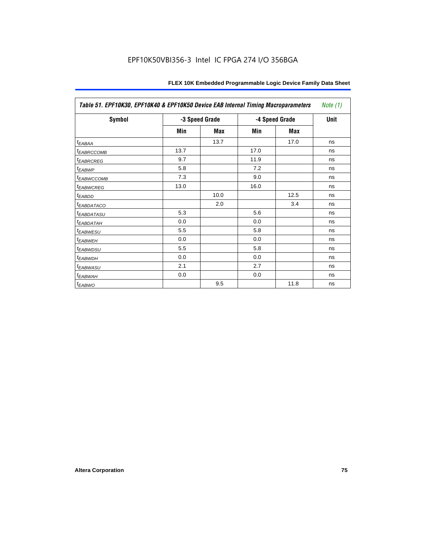| Table 51. EPF10K30, EPF10K40 & EPF10K50 Device EAB Internal Timing Macroparameters |      |                |      |                |             |
|------------------------------------------------------------------------------------|------|----------------|------|----------------|-------------|
| Symbol                                                                             |      | -3 Speed Grade |      | -4 Speed Grade | <b>Unit</b> |
|                                                                                    | Min  | Max            | Min  | Max            |             |
| $t_{EABA}$                                                                         |      | 13.7           |      | 17.0           | ns          |
| <b><i>EABRCCOMB</i></b>                                                            | 13.7 |                | 17.0 |                | ns          |
| <b><i>EABRCREG</i></b>                                                             | 9.7  |                | 11.9 |                | ns          |
| t <sub>EABWP</sub>                                                                 | 5.8  |                | 7.2  |                | ns          |
| <b><i>EABWCCOMB</i></b>                                                            | 7.3  |                | 9.0  |                | ns          |
| <b><i>EABWCREG</i></b>                                                             | 13.0 |                | 16.0 |                | ns          |
| <sup>t</sup> EABDD                                                                 |      | 10.0           |      | 12.5           | ns          |
| <b><i>EABDATACO</i></b>                                                            |      | 2.0            |      | 3.4            | ns          |
| <sup>t</sup> EABDATASU                                                             | 5.3  |                | 5.6  |                | ns          |
| <sup>T</sup> EABDATAH                                                              | 0.0  |                | 0.0  |                | ns          |
| <b><i>EABWESU</i></b>                                                              | 5.5  |                | 5.8  |                | ns          |
| <sup>t</sup> EABWEH                                                                | 0.0  |                | 0.0  |                | ns          |
| <sup>t</sup> EABWDSU                                                               | 5.5  |                | 5.8  |                | ns          |
| <sup>t</sup> EABWDH                                                                | 0.0  |                | 0.0  |                | ns          |
| <sup>t</sup> EABWASU                                                               | 2.1  |                | 2.7  |                | ns          |
| <sup>t</sup> EABWAH                                                                | 0.0  |                | 0.0  |                | ns          |
| $t_{EABWO}$                                                                        |      | 9.5            |      | 11.8           | ns          |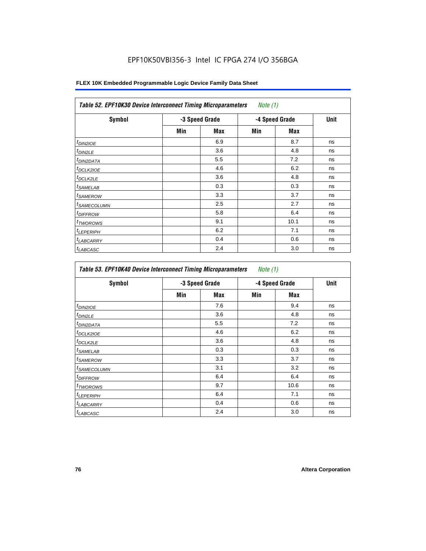### **FLEX 10K Embedded Programmable Logic Device Family Data Sheet**

| <b>Symbol</b>           |     | -3 Speed Grade |     | -4 Speed Grade | <b>Unit</b> |
|-------------------------|-----|----------------|-----|----------------|-------------|
|                         | Min | Max            | Min | <b>Max</b>     |             |
| $t_{DINZIOE}$           |     | 6.9            |     | 8.7            | ns          |
| t <sub>DIN2LE</sub>     |     | 3.6            |     | 4.8            | ns          |
| <sup>t</sup> DIN2DATA   |     | 5.5            |     | 7.2            | ns          |
| <sup>t</sup> DCLK2IOE   |     | 4.6            |     | 6.2            | ns          |
| <sup>t</sup> DCLK2LE    |     | 3.6            |     | 4.8            | ns          |
| <sup>t</sup> SAMELAB    |     | 0.3            |     | 0.3            | ns          |
| <sup>t</sup> SAMEROW    |     | 3.3            |     | 3.7            | ns          |
| <sup>t</sup> SAMECOLUMN |     | 2.5            |     | 2.7            | ns          |
| <sup>t</sup> DIFFROW    |     | 5.8            |     | 6.4            | ns          |
| <sup>t</sup> TWOROWS    |     | 9.1            |     | 10.1           | ns          |
| <sup>t</sup> LEPERIPH   |     | 6.2            |     | 7.1            | ns          |
| <sup>t</sup> LABCARRY   |     | 0.4            |     | 0.6            | ns          |
| <sup>t</sup> LABCASC    |     | 2.4            |     | 3.0            | ns          |

| <b>Symbol</b>           |     | -3 Speed Grade |     | -4 Speed Grade | Unit |
|-------------------------|-----|----------------|-----|----------------|------|
|                         | Min | Max            | Min | Max            |      |
| $t_{DINZIOE}$           |     | 7.6            |     | 9.4            | ns   |
| <sup>t</sup> DIN2LE     |     | 3.6            |     | 4.8            | ns   |
| <sup>t</sup> DIN2DATA   |     | 5.5            |     | 7.2            | ns   |
| <sup>t</sup> DCLK2IOE   |     | 4.6            |     | 6.2            | ns   |
| t <sub>DCLK2LE</sub>    |     | 3.6            |     | 4.8            | ns   |
| <sup>t</sup> SAMELAB    |     | 0.3            |     | 0.3            | ns   |
| <sup>t</sup> SAMEROW    |     | 3.3            |     | 3.7            | ns   |
| <sup>I</sup> SAMECOLUMN |     | 3.1            |     | 3.2            | ns   |
| <sup>t</sup> DIFFROW    |     | 6.4            |     | 6.4            | ns   |
| <sup>t</sup> TWOROWS    |     | 9.7            |     | 10.6           | ns   |
| <sup>t</sup> LEPERIPH   |     | 6.4            |     | 7.1            | ns   |
| <b>LABCARRY</b>         |     | 0.4            |     | 0.6            | ns   |
| <sup>t</sup> LABCASC    |     | 2.4            |     | 3.0            | ns   |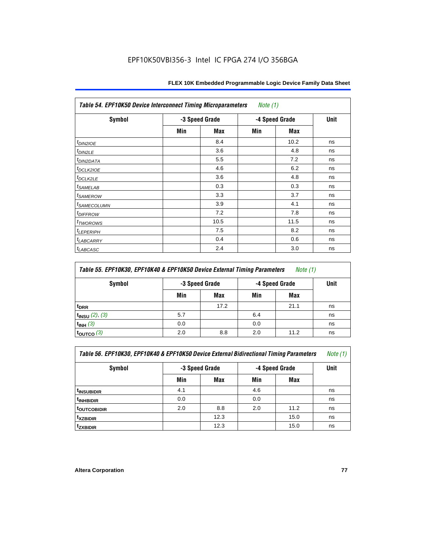| <b>Table 54. EPF10K50 Device Interconnect Timing Microparameters</b><br>Note $(1)$ |                |            |     |                |             |  |  |
|------------------------------------------------------------------------------------|----------------|------------|-----|----------------|-------------|--|--|
| Symbol                                                                             | -3 Speed Grade |            |     | -4 Speed Grade | <b>Unit</b> |  |  |
|                                                                                    | Min            | <b>Max</b> | Min | Max            |             |  |  |
| $t_{DIN2IOE}$                                                                      |                | 8.4        |     | 10.2           | ns          |  |  |
| $t_{DIN2LE}$                                                                       |                | 3.6        |     | 4.8            | ns          |  |  |
| <sup>t</sup> DIN2DATA                                                              |                | 5.5        |     | 7.2            | ns          |  |  |
| t <sub>DCLK2IOE</sub>                                                              |                | 4.6        |     | 6.2            | ns          |  |  |
| $t_{DCLK2LE}$                                                                      |                | 3.6        |     | 4.8            | ns          |  |  |
| $t_{SAMELAB}$                                                                      |                | 0.3        |     | 0.3            | ns          |  |  |
| <i>t<sub>SAMEROW</sub></i>                                                         |                | 3.3        |     | 3.7            | ns          |  |  |
| <sup>t</sup> SAMECOLUMN                                                            |                | 3.9        |     | 4.1            | ns          |  |  |
| <i>t<sub>DIFFROW</sub></i>                                                         |                | 7.2        |     | 7.8            | ns          |  |  |
| <i>t</i> <sub>TWOROWS</sub>                                                        |                | 10.5       |     | 11.5           | ns          |  |  |
| <b>t</b> LEPERIPH                                                                  |                | 7.5        |     | 8.2            | ns          |  |  |
| t <sub>LABCARRY</sub>                                                              |                | 0.4        |     | 0.6            | ns          |  |  |
| <b>LABCASC</b>                                                                     |                | 2.4        |     | 3.0            | ns          |  |  |

| Table 55. EPF10K30, EPF10K40 & EPF10K50 Device External Timing Parameters<br><i>Note</i> $(1)$ |     |                |                |      |    |  |  |  |
|------------------------------------------------------------------------------------------------|-----|----------------|----------------|------|----|--|--|--|
| <b>Symbol</b>                                                                                  |     | -3 Speed Grade | -4 Speed Grade | Unit |    |  |  |  |
|                                                                                                | Min | Max            | Min            | Max  |    |  |  |  |
| <sup>t</sup> DRR                                                                               |     | 17.2           |                | 21.1 | ns |  |  |  |
| $t_{INSU}$ (2), (3)                                                                            | 5.7 |                | 6.4            |      | ns |  |  |  |
| $t_{INH}$ (3)                                                                                  | 0.0 |                | 0.0            |      | ns |  |  |  |
| $t_{\text{OUTCO}}(3)$                                                                          | 2.0 | 8.8            | 2.0            | 11.2 | ns |  |  |  |

| Table 56. EPF10K30, EPF10K40 & EPF10K50 Device External Bidirectional Timing Parameters<br>Note (1) |     |                |     |                |    |  |  |  |
|-----------------------------------------------------------------------------------------------------|-----|----------------|-----|----------------|----|--|--|--|
| Symbol                                                                                              |     | -3 Speed Grade |     | -4 Speed Grade |    |  |  |  |
|                                                                                                     | Min | Max            | Min | Max            |    |  |  |  |
| <sup>t</sup> INSUBIDIR                                                                              | 4.1 |                | 4.6 |                | ns |  |  |  |
| <sup>t</sup> INHBIDIR                                                                               | 0.0 |                | 0.0 |                | ns |  |  |  |
| <b><i>LOUTCOBIDIR</i></b>                                                                           | 2.0 | 8.8            | 2.0 | 11.2           | ns |  |  |  |
| <sup>t</sup> xzbidir                                                                                |     | 12.3           |     | 15.0           | ns |  |  |  |
| <sup>t</sup> zxbidir                                                                                |     | 12.3           |     | 15.0           | ns |  |  |  |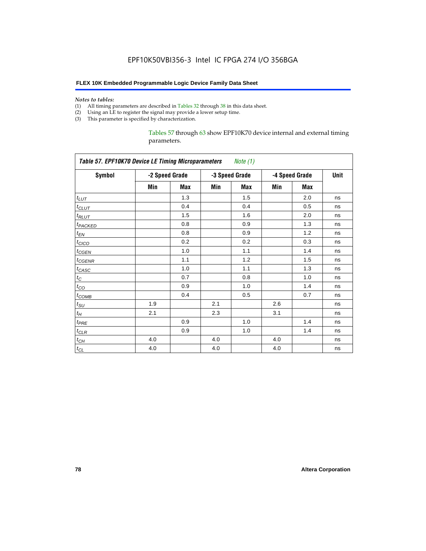#### **FLEX 10K Embedded Programmable Logic Device Family Data Sheet**

#### *Notes to tables:*

- (1) All timing parameters are described in Tables 32 through 38 in this data sheet.
- (2) Using an LE to register the signal may provide a lower setup time.
- (3) This parameter is specified by characterization.

Tables 57 through 63 show EPF10K70 device internal and external timing parameters.

| <b>Table 57. EPF10K70 Device LE Timing Microparameters</b> |     |                |     | Note (1)       |     |                |    |  |
|------------------------------------------------------------|-----|----------------|-----|----------------|-----|----------------|----|--|
| <b>Symbol</b>                                              |     | -2 Speed Grade |     | -3 Speed Grade |     | -4 Speed Grade |    |  |
|                                                            | Min | Max            | Min | <b>Max</b>     | Min | <b>Max</b>     |    |  |
| $t_{LUT}$                                                  |     | 1.3            |     | 1.5            |     | 2.0            | ns |  |
| $t_{CLUT}$                                                 |     | 0.4            |     | 0.4            |     | 0.5            | ns |  |
| $t_{RLUT}$                                                 |     | 1.5            |     | 1.6            |     | 2.0            | ns |  |
| t <sub>PACKED</sub>                                        |     | 0.8            |     | 0.9            |     | 1.3            | ns |  |
| $t_{EN}$                                                   |     | 0.8            |     | 0.9            |     | 1.2            | ns |  |
| $t_{CICO}$                                                 |     | 0.2            |     | 0.2            |     | 0.3            | ns |  |
| $t_{GEN}$                                                  |     | 1.0            |     | 1.1            |     | 1.4            | ns |  |
| $t_{\text{GENR}}$                                          |     | 1.1            |     | 1.2            |     | 1.5            | ns |  |
| $t_{CASC}$                                                 |     | 1.0            |     | 1.1            |     | 1.3            | ns |  |
| $t_C$                                                      |     | 0.7            |     | 0.8            |     | 1.0            | ns |  |
| $t_{CO}$                                                   |     | 0.9            |     | 1.0            |     | 1.4            | ns |  |
| $t_{COMB}$                                                 |     | 0.4            |     | 0.5            |     | 0.7            | ns |  |
| $t_{\text{SU}}$                                            | 1.9 |                | 2.1 |                | 2.6 |                | ns |  |
| $t_H$                                                      | 2.1 |                | 2.3 |                | 3.1 |                | ns |  |
| $t_{PRE}$                                                  |     | 0.9            |     | 1.0            |     | 1.4            | ns |  |
| $t_{CLR}$                                                  |     | 0.9            |     | 1.0            |     | 1.4            | ns |  |
| $t_{CH}$                                                   | 4.0 |                | 4.0 |                | 4.0 |                | ns |  |
| $t_{CL}$                                                   | 4.0 |                | 4.0 |                | 4.0 |                | ns |  |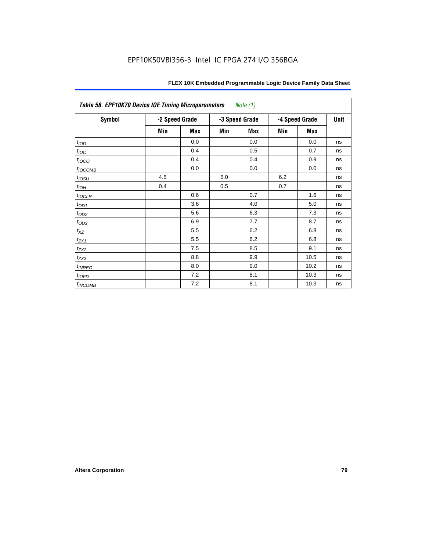| Table 58. EPF10K70 Device IOE Timing Microparameters<br>Note $(1)$ |                |            |     |                |     |                |      |  |  |  |
|--------------------------------------------------------------------|----------------|------------|-----|----------------|-----|----------------|------|--|--|--|
| Symbol                                                             | -2 Speed Grade |            |     | -3 Speed Grade |     | -4 Speed Grade | Unit |  |  |  |
|                                                                    | Min            | <b>Max</b> | Min | <b>Max</b>     | Min | <b>Max</b>     |      |  |  |  |
| t <sub>IOD</sub>                                                   |                | 0.0        |     | 0.0            |     | 0.0            | ns   |  |  |  |
| $t_{\text{IOC}}$                                                   |                | 0.4        |     | 0.5            |     | 0.7            | ns   |  |  |  |
| $t_{IOCO}$                                                         |                | 0.4        |     | 0.4            |     | 0.9            | ns   |  |  |  |
| $t_{IOCOMB}$                                                       |                | 0.0        |     | 0.0            |     | 0.0            | ns   |  |  |  |
| $t_{IOSU}$                                                         | 4.5            |            | 5.0 |                | 6.2 |                | ns   |  |  |  |
| $t_{IOH}$                                                          | 0.4            |            | 0.5 |                | 0.7 |                | ns   |  |  |  |
| $t_{IOCLR}$                                                        |                | 0.6        |     | 0.7            |     | 1.6            | ns   |  |  |  |
| $t_{OD1}$                                                          |                | 3.6        |     | 4.0            |     | 5.0            | ns   |  |  |  |
| $t_{OD2}$                                                          |                | 5.6        |     | 6.3            |     | 7.3            | ns   |  |  |  |
| $t_{OD3}$                                                          |                | 6.9        |     | 7.7            |     | 8.7            | ns   |  |  |  |
| $t_{\mathsf{XZ}}$                                                  |                | 5.5        |     | 6.2            |     | 6.8            | ns   |  |  |  |
| $t_{ZX1}$                                                          |                | 5.5        |     | 6.2            |     | 6.8            | ns   |  |  |  |
| $t_{ZX2}$                                                          |                | 7.5        |     | 8.5            |     | 9.1            | ns   |  |  |  |
| $t_{ZX3}$                                                          |                | 8.8        |     | 9.9            |     | 10.5           | ns   |  |  |  |
| $t_{INREG}$                                                        |                | 8.0        |     | 9.0            |     | 10.2           | ns   |  |  |  |
| $t_{IOFD}$                                                         |                | 7.2        |     | 8.1            |     | 10.3           | ns   |  |  |  |
| t <sub>INCOMB</sub>                                                |                | 7.2        |     | 8.1            |     | 10.3           | ns   |  |  |  |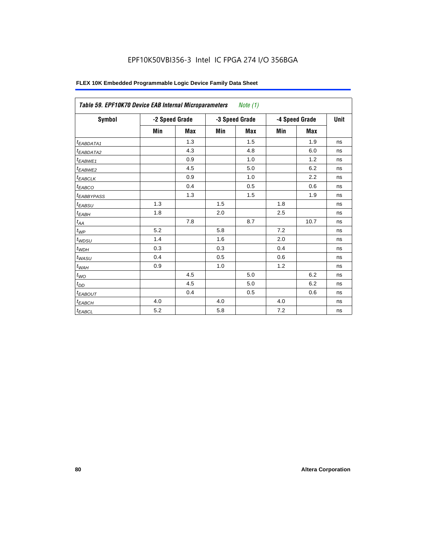| FLEX 10K Embedded Programmable Logic Device Family Data Sheet |  |
|---------------------------------------------------------------|--|
|---------------------------------------------------------------|--|

| Table 59. EPF10K70 Device EAB Internal Microparameters |     |                |     | Note $(1)$     |     |                |    |  |
|--------------------------------------------------------|-----|----------------|-----|----------------|-----|----------------|----|--|
| Symbol                                                 |     | -2 Speed Grade |     | -3 Speed Grade |     | -4 Speed Grade |    |  |
|                                                        | Min | <b>Max</b>     | Min | <b>Max</b>     | Min | <b>Max</b>     |    |  |
| $t_{EABDATA1}$                                         |     | 1.3            |     | 1.5            |     | 1.9            | ns |  |
| $t_{EABDATA2}$                                         |     | 4.3            |     | 4.8            |     | 6.0            | ns |  |
| t <sub>EABWE1</sub>                                    |     | 0.9            |     | 1.0            |     | 1.2            | ns |  |
| t <sub>EABWE2</sub>                                    |     | 4.5            |     | 5.0            |     | 6.2            | ns |  |
| $t_{EABCLK}$                                           |     | 0.9            |     | 1.0            |     | 2.2            | ns |  |
| $t_{EABCO}$                                            |     | 0.4            |     | 0.5            |     | 0.6            | ns |  |
| <b><i>EABBYPASS</i></b>                                |     | 1.3            |     | 1.5            |     | 1.9            | ns |  |
| $t_{EABSU}$                                            | 1.3 |                | 1.5 |                | 1.8 |                | ns |  |
| $t_{EABH}$                                             | 1.8 |                | 2.0 |                | 2.5 |                | ns |  |
| $t_{AA}$                                               |     | 7.8            |     | 8.7            |     | 10.7           | ns |  |
| $t_{\mathit{WP}}$                                      | 5.2 |                | 5.8 |                | 7.2 |                | ns |  |
| $t_{W\!D\!S\!U}$                                       | 1.4 |                | 1.6 |                | 2.0 |                | ns |  |
| $t_{WDH}$                                              | 0.3 |                | 0.3 |                | 0.4 |                | ns |  |
| $t_{WASU}$                                             | 0.4 |                | 0.5 |                | 0.6 |                | ns |  |
| $t_{W\!A H}$                                           | 0.9 |                | 1.0 |                | 1.2 |                | ns |  |
| $t_{WO}$                                               |     | 4.5            |     | 5.0            |     | 6.2            | ns |  |
| $t_{DD}$                                               |     | 4.5            |     | 5.0            |     | 6.2            | ns |  |
| <sup>t</sup> EABOUT                                    |     | 0.4            |     | 0.5            |     | 0.6            | ns |  |
| $t_{EABCH}$                                            | 4.0 |                | 4.0 |                | 4.0 |                | ns |  |
| $t_{EABCL}$                                            | 5.2 |                | 5.8 |                | 7.2 |                | ns |  |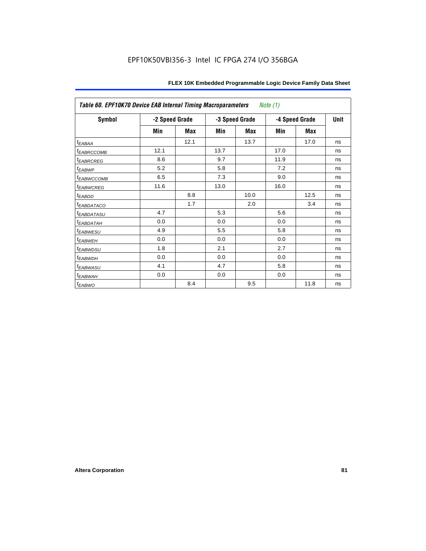| Table 60. EPF10K70 Device EAB Internal Timing Macroparameters<br>Note (1) |      |                |      |                |      |                |    |  |
|---------------------------------------------------------------------------|------|----------------|------|----------------|------|----------------|----|--|
| Symbol                                                                    |      | -2 Speed Grade |      | -3 Speed Grade |      | -4 Speed Grade |    |  |
|                                                                           | Min  | Max            | Min  | Max            | Min  | Max            |    |  |
| $t_{EABA}$                                                                |      | 12.1           |      | 13.7           |      | 17.0           | ns |  |
| <sup>t</sup> EABRCCOMB                                                    | 12.1 |                | 13.7 |                | 17.0 |                | ns |  |
| <b><i>EABRCREG</i></b>                                                    | 8.6  |                | 9.7  |                | 11.9 |                | ns |  |
| t <sub>EABWP</sub>                                                        | 5.2  |                | 5.8  |                | 7.2  |                | ns |  |
| <sup>t</sup> EABWCCOMB                                                    | 6.5  |                | 7.3  |                | 9.0  |                | ns |  |
| <sup>t</sup> EABWCREG                                                     | 11.6 |                | 13.0 |                | 16.0 |                | ns |  |
| t <sub>EABDD</sub>                                                        |      | 8.8            |      | 10.0           |      | 12.5           | ns |  |
| <b><i>EABDATACO</i></b>                                                   |      | 1.7            |      | 2.0            |      | 3.4            | ns |  |
| <sup>t</sup> EABDATASU                                                    | 4.7  |                | 5.3  |                | 5.6  |                | ns |  |
| <sup>t</sup> EABDATAH                                                     | 0.0  |                | 0.0  |                | 0.0  |                | ns |  |
| <sup>t</sup> EABWESU                                                      | 4.9  |                | 5.5  |                | 5.8  |                | ns |  |
| <sup>t</sup> EABWEH                                                       | 0.0  |                | 0.0  |                | 0.0  |                | ns |  |
| <sup>t</sup> EABWDSU                                                      | 1.8  |                | 2.1  |                | 2.7  |                | ns |  |
| <sup>t</sup> EABWDH                                                       | 0.0  |                | 0.0  |                | 0.0  |                | ns |  |
| <sup>t</sup> EABWASU                                                      | 4.1  |                | 4.7  |                | 5.8  |                | ns |  |
| <sup>t</sup> EABWAH                                                       | 0.0  |                | 0.0  |                | 0.0  |                | ns |  |
| $t_{EABWO}$                                                               |      | 8.4            |      | 9.5            |      | 11.8           | ns |  |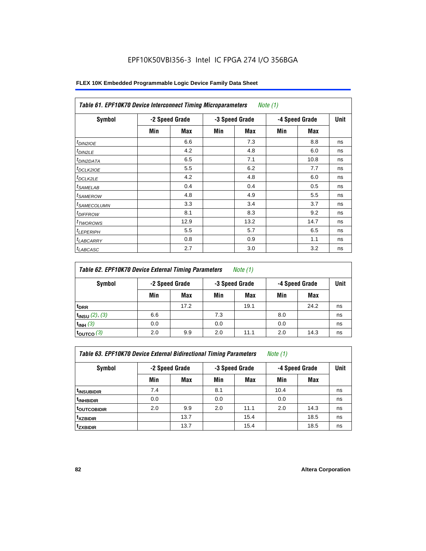| Symbol                  |     | -2 Speed Grade |     | -3 Speed Grade |     | -4 Speed Grade | Unit |
|-------------------------|-----|----------------|-----|----------------|-----|----------------|------|
|                         | Min | Max            | Min | Max            | Min | Max            |      |
| $t_{DIN2IOE}$           |     | 6.6            |     | 7.3            |     | 8.8            | ns   |
| $t_{DIN2LE}$            |     | 4.2            |     | 4.8            |     | 6.0            | ns   |
| <sup>t</sup> DIN2DATA   |     | 6.5            |     | 7.1            |     | 10.8           | ns   |
| t <sub>DCLK2IOE</sub>   |     | 5.5            |     | 6.2            |     | 7.7            | ns   |
| $t$ DCLK2LE             |     | 4.2            |     | 4.8            |     | 6.0            | ns   |
| <sup>t</sup> SAMELAB    |     | 0.4            |     | 0.4            |     | 0.5            | ns   |
| <sup>t</sup> SAMEROW    |     | 4.8            |     | 4.9            |     | 5.5            | ns   |
| <sup>t</sup> SAMECOLUMN |     | 3.3            |     | 3.4            |     | 3.7            | ns   |
| <sup>t</sup> DIFFROW    |     | 8.1            |     | 8.3            |     | 9.2            | ns   |
| <sup>T</sup> TWOROWS    |     | 12.9           |     | 13.2           |     | 14.7           | ns   |
| <sup>t</sup> LEPERIPH   |     | 5.5            |     | 5.7            |     | 6.5            | ns   |
| <b>LABCARRY</b>         |     | 0.8            |     | 0.9            |     | 1.1            | ns   |
| <sup>t</sup> LABCASC    |     | 2.7            |     | 3.0            |     | 3.2            | ns   |

| Table 62. EPF10K70 Device External Timing Parameters<br>Note $(1)$ |                |      |     |                |     |                |    |  |
|--------------------------------------------------------------------|----------------|------|-----|----------------|-----|----------------|----|--|
| Symbol                                                             | -2 Speed Grade |      |     | -3 Speed Grade |     | -4 Speed Grade |    |  |
|                                                                    | Min            | Max  | Min | Max            | Min | Max            |    |  |
| <sup>t</sup> DRR                                                   |                | 17.2 |     | 19.1           |     | 24.2           | ns |  |
| $t_{INSU}$ (2), (3)                                                | 6.6            |      | 7.3 |                | 8.0 |                | ns |  |
| $t_{INH}$ (3)                                                      | 0.0            |      | 0.0 |                | 0.0 |                | ns |  |
| $t_{\text{OUTCO}}(3)$                                              | 2.0            | 9.9  | 2.0 | 11.1           | 2.0 | 14.3           | ns |  |

*Table 63. EPF10K70 Device External Bidirectional Timing Parameters Note (1)*

| <b>Symbol</b>           |     | -2 Speed Grade |     | -3 Speed Grade |      | -4 Speed Grade |    |
|-------------------------|-----|----------------|-----|----------------|------|----------------|----|
|                         | Min | <b>Max</b>     | Min | <b>Max</b>     | Min  | <b>Max</b>     |    |
| <sup>t</sup> INSUBIDIR  | 7.4 |                | 8.1 |                | 10.4 |                | ns |
| <sup>t</sup> INHBIDIR   | 0.0 |                | 0.0 |                | 0.0  |                | ns |
| <sup>t</sup> OUTCOBIDIR | 2.0 | 9.9            | 2.0 | 11.1           | 2.0  | 14.3           | ns |
| <sup>t</sup> xzbidir    |     | 13.7           |     | 15.4           |      | 18.5           | ns |
| <sup>t</sup> zxbidir    |     | 13.7           |     | 15.4           |      | 18.5           | ns |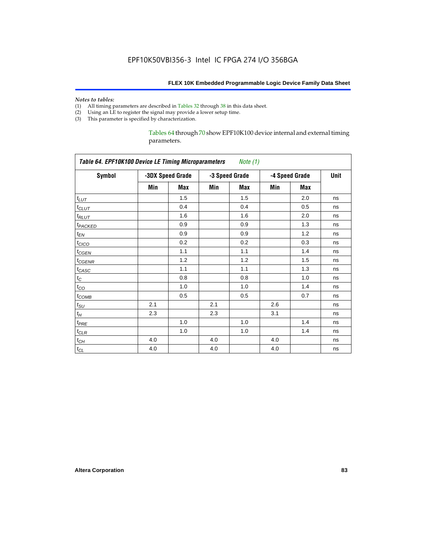# *Notes to tables:*<br>(1) All timing p

- All timing parameters are described in Tables 32 through 38 in this data sheet.
- (2) Using an LE to register the signal may provide a lower setup time.
- (3) This parameter is specified by characterization.

Tables 64 through 70 show EPF10K100 device internal and external timing parameters.

| <b>Symbol</b>       |     | -3DX Speed Grade |     | -3 Speed Grade |     | -4 Speed Grade |    |  |
|---------------------|-----|------------------|-----|----------------|-----|----------------|----|--|
|                     | Min | Max              | Min | Max            | Min | <b>Max</b>     |    |  |
| $t_{LUT}$           |     | 1.5              |     | 1.5            |     | 2.0            | ns |  |
| $t_{CLUT}$          |     | 0.4              |     | 0.4            |     | 0.5            | ns |  |
| $t_{RLUT}$          |     | 1.6              |     | 1.6            |     | 2.0            | ns |  |
| t <sub>PACKED</sub> |     | 0.9              |     | 0.9            |     | 1.3            | ns |  |
| $t_{EN}$            |     | 0.9              |     | 0.9            |     | 1.2            | ns |  |
| $t_{CICO}$          |     | 0.2              |     | 0.2            |     | 0.3            | ns |  |
| $t_{GEN}$           |     | 1.1              |     | 1.1            |     | 1.4            | ns |  |
| $t_{GENR}$          |     | 1.2              |     | 1.2            |     | 1.5            | ns |  |
| $t_{CASC}$          |     | 1.1              |     | 1.1            |     | 1.3            | ns |  |
| $t_C$               |     | 0.8              |     | 0.8            |     | 1.0            | ns |  |
| $t_{CO}$            |     | 1.0              |     | 1.0            |     | 1.4            | ns |  |
| $t_{COMB}$          |     | 0.5              |     | 0.5            |     | 0.7            | ns |  |
| $t_{\rm SU}$        | 2.1 |                  | 2.1 |                | 2.6 |                | ns |  |
| $t_H$               | 2.3 |                  | 2.3 |                | 3.1 |                | ns |  |
| $t_{PRE}$           |     | 1.0              |     | 1.0            |     | 1.4            | ns |  |
| $t_{CLR}$           |     | 1.0              |     | 1.0            |     | 1.4            | ns |  |
| $t_{CH}$            | 4.0 |                  | 4.0 |                | 4.0 |                | ns |  |
| $t_{CL}$            | 4.0 |                  | 4.0 |                | 4.0 |                | ns |  |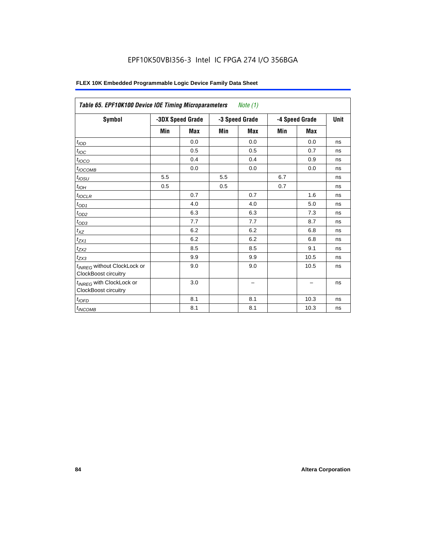| FLEX 10K Embedded Programmable Logic Device Family Data Sheet |  |
|---------------------------------------------------------------|--|
|---------------------------------------------------------------|--|

| Table 65. EPF10K100 Device IOE Timing Microparameters<br>Note $(1)$    |     |                  |                |     |                |            |             |
|------------------------------------------------------------------------|-----|------------------|----------------|-----|----------------|------------|-------------|
| <b>Symbol</b>                                                          |     | -3DX Speed Grade | -3 Speed Grade |     | -4 Speed Grade |            | <b>Unit</b> |
|                                                                        | Min | Max              | Min            | Max | Min            | <b>Max</b> |             |
| t <sub>IOD</sub>                                                       |     | 0.0              |                | 0.0 |                | 0.0        | ns          |
| $t_{\text{IOC}}$                                                       |     | 0.5              |                | 0.5 |                | 0.7        | ns          |
| $t_{IOCO}$                                                             |     | 0.4              |                | 0.4 |                | 0.9        | ns          |
| $t_{IOCOMB}$                                                           |     | 0.0              |                | 0.0 |                | 0.0        | ns          |
| t <sub>IOSU</sub>                                                      | 5.5 |                  | 5.5            |     | 6.7            |            | ns          |
| $t_{IOH}$                                                              | 0.5 |                  | 0.5            |     | 0.7            |            | ns          |
| $t_{IOCLR}$                                                            |     | 0.7              |                | 0.7 |                | 1.6        | ns          |
| $t_{OD1}$                                                              |     | 4.0              |                | 4.0 |                | 5.0        | ns          |
| $t_{OD2}$                                                              |     | 6.3              |                | 6.3 |                | 7.3        | ns          |
| $t_{OD3}$                                                              |     | 7.7              |                | 7.7 |                | 8.7        | ns          |
| $t_{XZ}$                                                               |     | 6.2              |                | 6.2 |                | 6.8        | ns          |
| $t_{ZX1}$                                                              |     | 6.2              |                | 6.2 |                | 6.8        | ns          |
| $t_{ZX2}$                                                              |     | 8.5              |                | 8.5 |                | 9.1        | ns          |
| $t_{ZX3}$                                                              |     | 9.9              |                | 9.9 |                | 10.5       | ns          |
| t <sub>INREG</sub> without ClockLock or<br><b>ClockBoost circuitry</b> |     | 9.0              |                | 9.0 |                | 10.5       | ns          |
| t <sub>INREG</sub> with ClockLock or<br><b>ClockBoost circuitry</b>    |     | 3.0              |                | -   |                |            | ns          |
| $t_{IOFD}$                                                             |     | 8.1              |                | 8.1 |                | 10.3       | ns          |
| t <sub>INCOMB</sub>                                                    |     | 8.1              |                | 8.1 |                | 10.3       | ns          |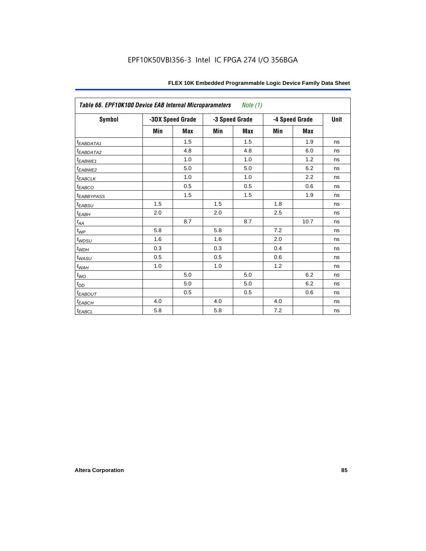| Table 66. EPF10K100 Device EAB Internal Microparameters Note (1) |     |                  |     |                |     |                |    |  |
|------------------------------------------------------------------|-----|------------------|-----|----------------|-----|----------------|----|--|
| Symbol                                                           |     | -3DX Speed Grade |     | -3 Speed Grade |     | -4 Speed Grade |    |  |
|                                                                  | Min | <b>Max</b>       | Min | <b>Max</b>     | Min | <b>Max</b>     |    |  |
| <i>EABDATA1</i>                                                  |     | 1.5              |     | 1.5            |     | 1.9            | ns |  |
| t <sub>EABDATA2</sub>                                            |     | 4.8              |     | 4.8            |     | 6.0            | ns |  |
| t <sub>EABWE1</sub>                                              |     | 1.0              |     | 1.0            |     | 1.2            | ns |  |
| t <sub>EABWE2</sub>                                              |     | 5.0              |     | 5.0            |     | 6.2            | ns |  |
| $t_{EABCLK}$                                                     |     | 1.0              |     | 1.0            |     | 2.2            | ns |  |
| $t_{EABCO}$                                                      |     | 0.5              |     | 0.5            |     | 0.6            | ns |  |
| <i><b>EABBYPASS</b></i>                                          |     | 1.5              |     | 1.5            |     | 1.9            | ns |  |
| $t_{EABSU}$                                                      | 1.5 |                  | 1.5 |                | 1.8 |                | ns |  |
| $t_{EABH}$                                                       | 2.0 |                  | 2.0 |                | 2.5 |                | ns |  |
| $t_{\mathit{AA}}$                                                |     | 8.7              |     | 8.7            |     | 10.7           | ns |  |
| $t_{WP}$                                                         | 5.8 |                  | 5.8 |                | 7.2 |                | ns |  |
| $t_{WDSU}$                                                       | 1.6 |                  | 1.6 |                | 2.0 |                | ns |  |
| $t_{WDH}$                                                        | 0.3 |                  | 0.3 |                | 0.4 |                | ns |  |
| $t_{WASU}$                                                       | 0.5 |                  | 0.5 |                | 0.6 |                | ns |  |
| $t_{WAH}$                                                        | 1.0 |                  | 1.0 |                | 1.2 |                | ns |  |
| $t_{WO}$                                                         |     | 5.0              |     | 5.0            |     | 6.2            | ns |  |
| $t_{DD}$                                                         |     | 5.0              |     | 5.0            |     | 6.2            | ns |  |
| <b>EABOUT</b>                                                    |     | 0.5              |     | 0.5            |     | 0.6            | ns |  |
| $t_{EABCH}$                                                      | 4.0 |                  | 4.0 |                | 4.0 |                | ns |  |
| $t_{EABCL}$                                                      | 5.8 |                  | 5.8 |                | 7.2 |                | ns |  |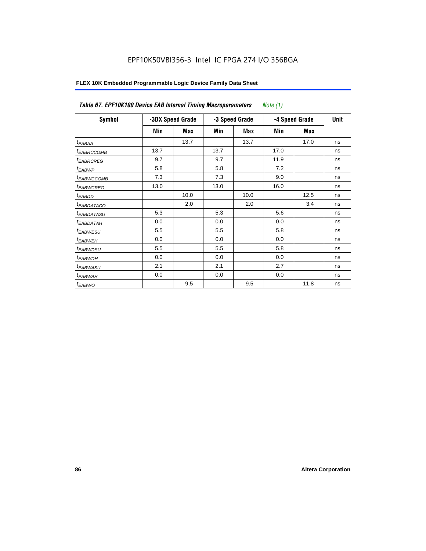| Symbol                 |      | -3DX Speed Grade |      | -3 Speed Grade |      | -4 Speed Grade |    |
|------------------------|------|------------------|------|----------------|------|----------------|----|
|                        | Min  | Max              | Min  | Max            | Min  | Max            |    |
| t <sub>EABAA</sub>     |      | 13.7             |      | 13.7           |      | 17.0           | ns |
| <sup>t</sup> EABRCCOMB | 13.7 |                  | 13.7 |                | 17.0 |                | ns |
| <sup>t</sup> EABRCREG  | 9.7  |                  | 9.7  |                | 11.9 |                | ns |
| <sup>t</sup> EABWP     | 5.8  |                  | 5.8  |                | 7.2  |                | ns |
| <sup>t</sup> EABWCCOMB | 7.3  |                  | 7.3  |                | 9.0  |                | ns |
| <sup>t</sup> EABWCREG  | 13.0 |                  | 13.0 |                | 16.0 |                | ns |
| t <sub>EABDD</sub>     |      | 10.0             |      | 10.0           |      | 12.5           | ns |
| <sup>t</sup> EABDATACO |      | 2.0              |      | 2.0            |      | 3.4            | ns |
| <sup>t</sup> EABDATASU | 5.3  |                  | 5.3  |                | 5.6  |                | ns |
| <sup>t</sup> EABDATAH  | 0.0  |                  | 0.0  |                | 0.0  |                | ns |
| <sup>t</sup> EABWESU   | 5.5  |                  | 5.5  |                | 5.8  |                | ns |
| <sup>t</sup> EABWEH    | 0.0  |                  | 0.0  |                | 0.0  |                | ns |
| <sup>t</sup> EABWDSU   | 5.5  |                  | 5.5  |                | 5.8  |                | ns |
| <sup>t</sup> EABWDH    | 0.0  |                  | 0.0  |                | 0.0  |                | ns |
| <sup>t</sup> EABWASU   | 2.1  |                  | 2.1  |                | 2.7  |                | ns |
| <sup>t</sup> EABWAH    | 0.0  |                  | 0.0  |                | 0.0  |                | ns |
| <sup>t</sup> EABWO     |      | 9.5              |      | 9.5            |      | 11.8           | ns |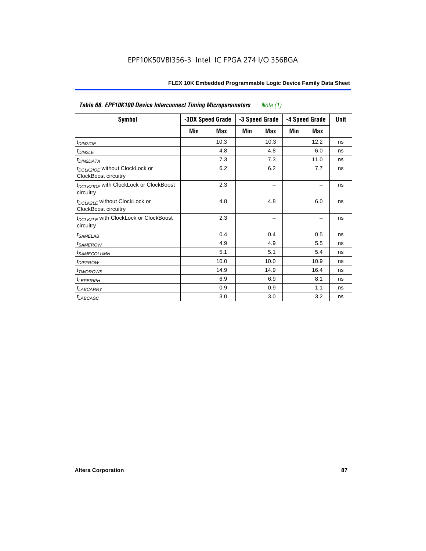| <b>Table 68. EPF10K100 Device Interconnect Timing Microparameters</b><br>Note $(1)$ |                  |      |     |                |     |                |             |
|-------------------------------------------------------------------------------------|------------------|------|-----|----------------|-----|----------------|-------------|
| <b>Symbol</b>                                                                       | -3DX Speed Grade |      |     | -3 Speed Grade |     | -4 Speed Grade | <b>Unit</b> |
|                                                                                     | Min              | Max  | Min | <b>Max</b>     | Min | <b>Max</b>     |             |
| $tD$ IN2IOE                                                                         |                  | 10.3 |     | 10.3           |     | 12.2           | ns          |
| t <sub>DIN2LE</sub>                                                                 |                  | 4.8  |     | 4.8            |     | 6.0            | ns          |
| <i>t<sub>DIN2DATA</sub></i>                                                         |                  | 7.3  |     | 7.3            |     | 11.0           | ns          |
| t <sub>DCLK2IOE</sub> without ClockLock or<br>ClockBoost circuitry                  |                  | 6.2  |     | 6.2            |     | 7.7            | ns          |
| t <sub>DCLK2IOE</sub> with ClockLock or ClockBoost<br>circuitry                     |                  | 2.3  |     |                |     |                | ns          |
| t <sub>DCLK2LE</sub> without ClockLock or<br>ClockBoost circuitry                   |                  | 4.8  |     | 4.8            |     | 6.0            | ns          |
| t <sub>DCLK2LE</sub> with ClockLock or ClockBoost<br>circuitry                      |                  | 2.3  |     |                |     |                | ns          |
| <sup>t</sup> SAMELAB                                                                |                  | 0.4  |     | 0.4            |     | 0.5            | ns          |
| <i>t<sub>SAMEROW</sub></i>                                                          |                  | 4.9  |     | 4.9            |     | 5.5            | ns          |
| <b>ISAMECOLUMN</b>                                                                  |                  | 5.1  |     | 5.1            |     | 5.4            | ns          |
| <i>t<sub>DIFFROW</sub></i>                                                          |                  | 10.0 |     | 10.0           |     | 10.9           | ns          |
| <sup>t</sup> TWOROWS                                                                |                  | 14.9 |     | 14.9           |     | 16.4           | ns          |
| <sup>t</sup> LEPERIPH                                                               |                  | 6.9  |     | 6.9            |     | 8.1            | ns          |
| <b><i>LABCARRY</i></b>                                                              |                  | 0.9  |     | 0.9            |     | 1.1            | ns          |
| t <sub>LABCASC</sub>                                                                |                  | 3.0  |     | 3.0            |     | 3.2            | ns          |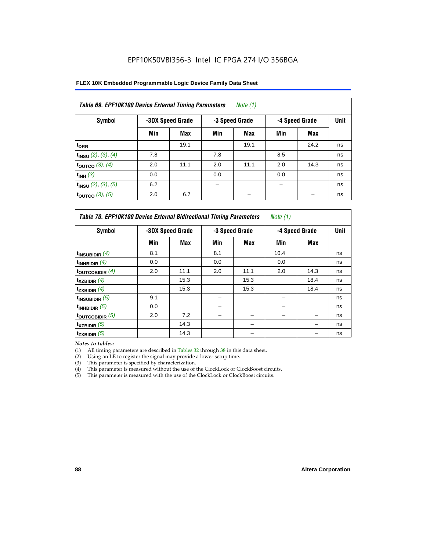| FLEX 10K Embedded Programmable Logic Device Family Data Sheet |  |
|---------------------------------------------------------------|--|
|---------------------------------------------------------------|--|

| Table 69. EPF10K100 Device External Timing Parameters<br>Note (1) |     |                  |                |      |                |      |      |  |  |  |  |
|-------------------------------------------------------------------|-----|------------------|----------------|------|----------------|------|------|--|--|--|--|
| Symbol                                                            |     | -3DX Speed Grade | -3 Speed Grade |      | -4 Speed Grade |      | Unit |  |  |  |  |
|                                                                   | Min | Max              | Min            | Max  | Min            | Max  |      |  |  |  |  |
| $t_{\rm DRR}$                                                     |     | 19.1             |                | 19.1 |                | 24.2 | ns   |  |  |  |  |
| $t_{INSU}$ (2), (3), (4)                                          | 7.8 |                  | 7.8            |      | 8.5            |      | ns   |  |  |  |  |
| toutco $(3)$ , $(4)$                                              | 2.0 | 11.1             | 2.0            | 11.1 | 2.0            | 14.3 | ns   |  |  |  |  |
| $t_{INH}$ (3)                                                     | 0.0 |                  | 0.0            |      | 0.0            |      | ns   |  |  |  |  |
| $t_{INSU}$ (2), (3), (5)                                          | 6.2 |                  |                |      |                |      | ns   |  |  |  |  |
| toutco $(3)$ , $(5)$                                              | 2.0 | 6.7              |                |      |                |      | ns   |  |  |  |  |

| Table 70. EPF10K100 Device External Bidirectional Timing Parameters<br><i>Note</i> $(1)$ |     |                  |     |                |                |             |    |  |  |  |  |
|------------------------------------------------------------------------------------------|-----|------------------|-----|----------------|----------------|-------------|----|--|--|--|--|
| Symbol                                                                                   |     | -3DX Speed Grade |     | -3 Speed Grade | -4 Speed Grade | <b>Unit</b> |    |  |  |  |  |
|                                                                                          | Min | Max              | Min | Max            | Min            | <b>Max</b>  |    |  |  |  |  |
| $t_{INSUBIDIR}(4)$                                                                       | 8.1 |                  | 8.1 |                | 10.4           |             | ns |  |  |  |  |
| $t_{INHBIDIR}$ (4)                                                                       | 0.0 |                  | 0.0 |                | 0.0            |             | ns |  |  |  |  |
| toutcobidir $(4)$                                                                        | 2.0 | 11.1             | 2.0 | 11.1           | 2.0            | 14.3        | ns |  |  |  |  |
| $t_{XZBIDIR}$ (4)                                                                        |     | 15.3             |     | 15.3           |                | 18.4        | ns |  |  |  |  |
| $t_{ZXBIDIR}$ (4)                                                                        |     | 15.3             |     | 15.3           |                | 18.4        | ns |  |  |  |  |
| $t_{INSUBIDIR}$ (5)                                                                      | 9.1 |                  |     |                |                |             | ns |  |  |  |  |
| $t_{INHBIDIR}$ (5)                                                                       | 0.0 |                  |     |                |                |             | ns |  |  |  |  |
| toutcobidir $(5)$                                                                        | 2.0 | 7.2              |     |                |                |             | ns |  |  |  |  |
| $t_{XZBIDIR}$ (5)                                                                        |     | 14.3             |     |                |                |             | ns |  |  |  |  |
| $t_{ZXBIDIR}$ (5)                                                                        |     | 14.3             |     |                |                |             | ns |  |  |  |  |

*Notes to tables:*

(1) All timing parameters are described in Tables 32 through 38 in this data sheet.

(2) Using an  $LE$  to register the signal may provide a lower setup time.

(3) This parameter is specified by characterization.

(4) This parameter is measured without the use of the ClockLock or ClockBoost circuits.

(5) This parameter is measured with the use of the ClockLock or ClockBoost circuits.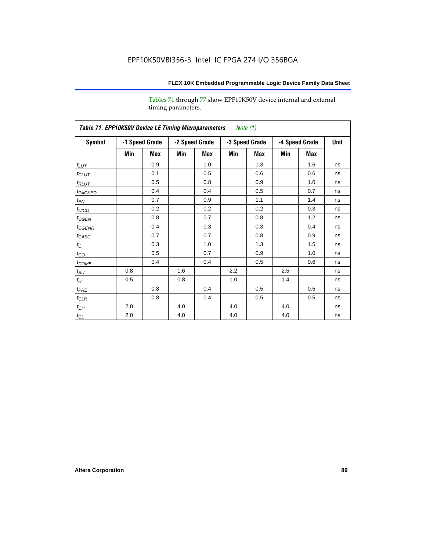Tables 71 through 77 show EPF10K50V device internal and external timing parameters.

| Table 71. EPF10K50V Device LE Timing Microparameters Note (1) |     |                |     |                |                |     |                |             |    |  |  |
|---------------------------------------------------------------|-----|----------------|-----|----------------|----------------|-----|----------------|-------------|----|--|--|
| Symbol                                                        |     | -1 Speed Grade |     | -2 Speed Grade | -3 Speed Grade |     | -4 Speed Grade | <b>Unit</b> |    |  |  |
|                                                               | Min | Max            | Min | Max            | Min            | Max | Min            | Max         |    |  |  |
| $t_{LUT}$                                                     |     | 0.9            |     | 1.0            |                | 1.3 |                | 1.6         | ns |  |  |
| $t_{CLUT}$                                                    |     | 0.1            |     | 0.5            |                | 0.6 |                | 0.6         | ns |  |  |
| $t_{RLUT}$                                                    |     | 0.5            |     | 0.8            |                | 0.9 |                | 1.0         | ns |  |  |
| t <sub>PACKED</sub>                                           |     | 0.4            |     | 0.4            |                | 0.5 |                | 0.7         | ns |  |  |
| $t_{EN}$                                                      |     | 0.7            |     | 0.9            |                | 1.1 |                | 1.4         | ns |  |  |
| $t_{CICO}$                                                    |     | 0.2            |     | 0.2            |                | 0.2 |                | 0.3         | ns |  |  |
| $t_{CGEN}$                                                    |     | 0.8            |     | 0.7            |                | 0.8 |                | 1.2         | ns |  |  |
| $t_{\text{GENR}}$                                             |     | 0.4            |     | 0.3            |                | 0.3 |                | 0.4         | ns |  |  |
| $t_{CASC}$                                                    |     | 0.7            |     | 0.7            |                | 0.8 |                | 0.9         | ns |  |  |
| $t_C$                                                         |     | 0.3            |     | 1.0            |                | 1.3 |                | 1.5         | ns |  |  |
| $t_{CO}$                                                      |     | 0.5            |     | 0.7            |                | 0.9 |                | 1.0         | ns |  |  |
| $t_{COMB}$                                                    |     | 0.4            |     | 0.4            |                | 0.5 |                | 0.6         | ns |  |  |
| $t_{\rm SU}$                                                  | 0.8 |                | 1.6 |                | 2.2            |     | 2.5            |             | ns |  |  |
| $t_{\!H}$                                                     | 0.5 |                | 0.8 |                | 1.0            |     | 1.4            |             | ns |  |  |
| $t_{PRE}$                                                     |     | 0.8            |     | 0.4            |                | 0.5 |                | 0.5         | ns |  |  |
| $t_{CLR}$                                                     |     | 0.8            |     | 0.4            |                | 0.5 |                | 0.5         | ns |  |  |
| $t_{\mathit{CH}}$                                             | 2.0 |                | 4.0 |                | 4.0            |     | 4.0            |             | ns |  |  |
| $t_{\rm CL}$                                                  | 2.0 |                | 4.0 |                | 4.0            |     | 4.0            |             | ns |  |  |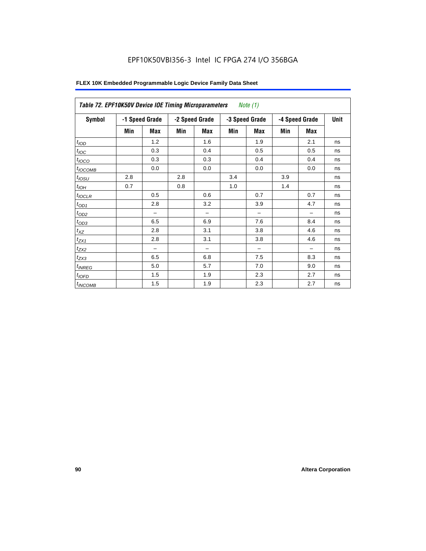| Symbol           |     | -1 Speed Grade |     | -2 Speed Grade           |     | -3 Speed Grade           |     | -4 Speed Grade |    |
|------------------|-----|----------------|-----|--------------------------|-----|--------------------------|-----|----------------|----|
|                  | Min | Max            | Min | <b>Max</b>               | Min | <b>Max</b>               | Min | <b>Max</b>     |    |
| t <sub>IOD</sub> |     | 1.2            |     | 1.6                      |     | 1.9                      |     | 2.1            | ns |
| $t_{\text{IOC}}$ |     | 0.3            |     | 0.4                      |     | 0.5                      |     | 0.5            | ns |
| $t_{IOCO}$       |     | 0.3            |     | 0.3                      |     | 0.4                      |     | 0.4            | ns |
| $t_{IOCOMB}$     |     | 0.0            |     | 0.0                      |     | 0.0                      |     | 0.0            | ns |
| $t_{IOSU}$       | 2.8 |                | 2.8 |                          | 3.4 |                          | 3.9 |                | ns |
| $t_{IOH}$        | 0.7 |                | 0.8 |                          | 1.0 |                          | 1.4 |                | ns |
| $t_{IOCLR}$      |     | 0.5            |     | 0.6                      |     | 0.7                      |     | 0.7            | ns |
| $t_{OD1}$        |     | 2.8            |     | 3.2                      |     | 3.9                      |     | 4.7            | ns |
| $t_{OD2}$        |     |                |     | $\overline{\phantom{0}}$ |     | $\overline{\phantom{0}}$ |     | -              | ns |
| $t_{OD3}$        |     | 6.5            |     | 6.9                      |     | 7.6                      |     | 8.4            | ns |
| $t_{XZ}$         |     | 2.8            |     | 3.1                      |     | 3.8                      |     | 4.6            | ns |
| $t_{ZX1}$        |     | 2.8            |     | 3.1                      |     | 3.8                      |     | 4.6            | ns |
| $t_{ZX2}$        |     |                |     |                          |     | -                        |     |                | ns |
| $t_{ZX3}$        |     | 6.5            |     | 6.8                      |     | 7.5                      |     | 8.3            | ns |
| $t_{INREG}$      |     | 5.0            |     | 5.7                      |     | 7.0                      |     | 9.0            | ns |
| $t_{IOFD}$       |     | 1.5            |     | 1.9                      |     | 2.3                      |     | 2.7            | ns |
| $t_{INCOMB}$     |     | 1.5            |     | 1.9                      |     | 2.3                      |     | 2.7            | ns |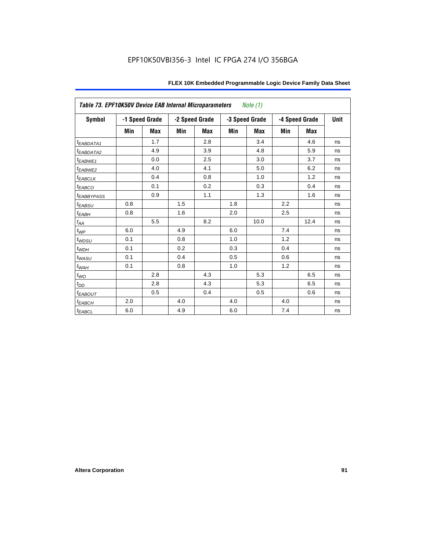| Table 73. EPF10K50V Device EAB Internal Microparameters<br>Note (1) |     |                |     |                |     |                |     |                |             |  |  |
|---------------------------------------------------------------------|-----|----------------|-----|----------------|-----|----------------|-----|----------------|-------------|--|--|
| Symbol                                                              |     | -1 Speed Grade |     | -2 Speed Grade |     | -3 Speed Grade |     | -4 Speed Grade | <b>Unit</b> |  |  |
|                                                                     | Min | <b>Max</b>     | Min | Max            | Min | Max            | Min | Max            |             |  |  |
| $t_{EABDATA1}$                                                      |     | 1.7            |     | 2.8            |     | 3.4            |     | 4.6            | ns          |  |  |
| <sup>t</sup> EABDATA2                                               |     | 4.9            |     | 3.9            |     | 4.8            |     | 5.9            | ns          |  |  |
| t <sub>EABWE1</sub>                                                 |     | 0.0            |     | 2.5            |     | 3.0            |     | 3.7            | ns          |  |  |
| $t_{EABWE2}$                                                        |     | 4.0            |     | 4.1            |     | 5.0            |     | 6.2            | ns          |  |  |
| $t_{EABCLK}$                                                        |     | 0.4            |     | 0.8            |     | 1.0            |     | 1.2            | ns          |  |  |
| $t_{EABCO}$                                                         |     | 0.1            |     | 0.2            |     | 0.3            |     | 0.4            | ns          |  |  |
| <i><b>EABBYPASS</b></i>                                             |     | 0.9            |     | 1.1            |     | 1.3            |     | 1.6            | ns          |  |  |
| $t_{EABSU}$                                                         | 0.8 |                | 1.5 |                | 1.8 |                | 2.2 |                | ns          |  |  |
| $t_{EABH}$                                                          | 0.8 |                | 1.6 |                | 2.0 |                | 2.5 |                | ns          |  |  |
| $t_{AA}$                                                            |     | 5.5            |     | 8.2            |     | 10.0           |     | 12.4           | ns          |  |  |
| $t_{WP}$                                                            | 6.0 |                | 4.9 |                | 6.0 |                | 7.4 |                | ns          |  |  |
| $t_{WDSU}$                                                          | 0.1 |                | 0.8 |                | 1.0 |                | 1.2 |                | ns          |  |  |
| $t_{WDH}$                                                           | 0.1 |                | 0.2 |                | 0.3 |                | 0.4 |                | ns          |  |  |
| $t_{WASU}$                                                          | 0.1 |                | 0.4 |                | 0.5 |                | 0.6 |                | ns          |  |  |
| $t_{W\!\underline{A}H}$                                             | 0.1 |                | 0.8 |                | 1.0 |                | 1.2 |                | ns          |  |  |
| $t_{WQ}$                                                            |     | 2.8            |     | 4.3            |     | 5.3            |     | 6.5            | ns          |  |  |
| $t_{DD}$                                                            |     | 2.8            |     | 4.3            |     | 5.3            |     | 6.5            | ns          |  |  |
| $t_{EABOUT}$                                                        |     | 0.5            |     | 0.4            |     | 0.5            |     | 0.6            | ns          |  |  |
| $t_{EABCH}$                                                         | 2.0 |                | 4.0 |                | 4.0 |                | 4.0 |                | ns          |  |  |
| $t_{EABCL}$                                                         | 6.0 |                | 4.9 |                | 6.0 |                | 7.4 |                | ns          |  |  |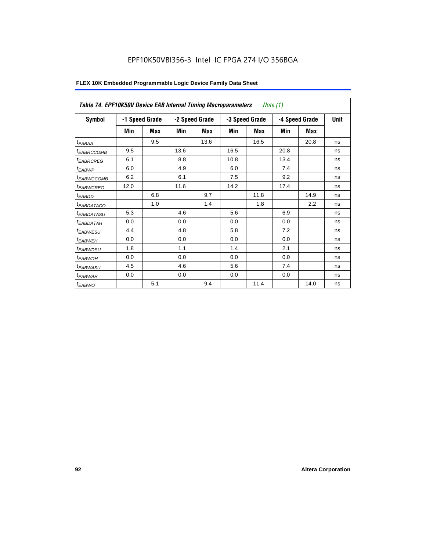| Table 74. EPF10K50V Device EAB Internal Timing Macroparameters |      |                |      |                |      | Note (1)       |      |                |    |
|----------------------------------------------------------------|------|----------------|------|----------------|------|----------------|------|----------------|----|
| Symbol                                                         |      | -1 Speed Grade |      | -2 Speed Grade |      | -3 Speed Grade |      | -4 Speed Grade |    |
|                                                                | Min  | Max            | Min  | Max            | Min  | <b>Max</b>     | Min  | Max            |    |
| $t_{EABA\underline{A}}$                                        |      | 9.5            |      | 13.6           |      | 16.5           |      | 20.8           | ns |
| <sup>t</sup> EABRCCOMB                                         | 9.5  |                | 13.6 |                | 16.5 |                | 20.8 |                | ns |
| <b><i>EABRCREG</i></b>                                         | 6.1  |                | 8.8  |                | 10.8 |                | 13.4 |                | ns |
| <sup>t</sup> EABWP                                             | 6.0  |                | 4.9  |                | 6.0  |                | 7.4  |                | ns |
| <sup>t</sup> EABWCCOMB                                         | 6.2  |                | 6.1  |                | 7.5  |                | 9.2  |                | ns |
| <sup>t</sup> EABWCREG                                          | 12.0 |                | 11.6 |                | 14.2 |                | 17.4 |                | ns |
| t <sub>EABDD</sub>                                             |      | 6.8            |      | 9.7            |      | 11.8           |      | 14.9           | ns |
| <i>EABDATACO</i>                                               |      | 1.0            |      | 1.4            |      | 1.8            |      | 2.2            | ns |
| <sup>t</sup> EABDATASU                                         | 5.3  |                | 4.6  |                | 5.6  |                | 6.9  |                | ns |
| <sup>t</sup> EABDATAH                                          | 0.0  |                | 0.0  |                | 0.0  |                | 0.0  |                | ns |
| <sup>t</sup> EABWESU                                           | 4.4  |                | 4.8  |                | 5.8  |                | 7.2  |                | ns |
| <sup>t</sup> EABWEH                                            | 0.0  |                | 0.0  |                | 0.0  |                | 0.0  |                | ns |
| <sup>t</sup> EABWDSU                                           | 1.8  |                | 1.1  |                | 1.4  |                | 2.1  |                | ns |
| <sup>t</sup> EABWDH                                            | 0.0  |                | 0.0  |                | 0.0  |                | 0.0  |                | ns |
| <sup>t</sup> EABWASU                                           | 4.5  |                | 4.6  |                | 5.6  |                | 7.4  |                | ns |
| <sup>t</sup> EABWAH                                            | 0.0  |                | 0.0  |                | 0.0  |                | 0.0  |                | ns |
| $t_{EABWO}$                                                    |      | 5.1            |      | 9.4            |      | 11.4           |      | 14.0           | ns |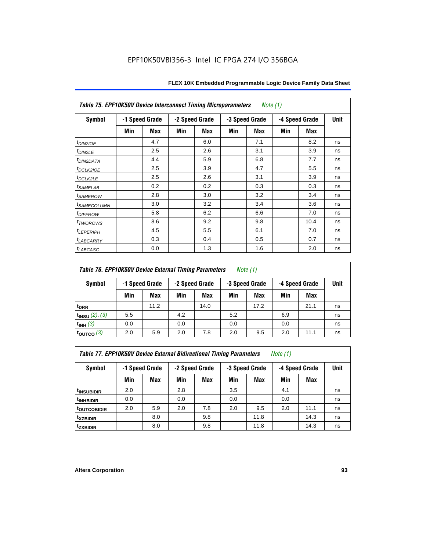| <b>Table 75. EPF10K50V Device Interconnect Timing Microparameters</b><br>Note (1) |     |                |                |            |                |     |                |      |             |  |
|-----------------------------------------------------------------------------------|-----|----------------|----------------|------------|----------------|-----|----------------|------|-------------|--|
| Symbol                                                                            |     | -1 Speed Grade | -2 Speed Grade |            | -3 Speed Grade |     | -4 Speed Grade |      | <b>Unit</b> |  |
|                                                                                   | Min | Max            | Min            | <b>Max</b> | Min            | Max | Min            | Max  |             |  |
| $t_{DINZIOE}$                                                                     |     | 4.7            |                | 6.0        |                | 7.1 |                | 8.2  | ns          |  |
| $t_{DIN2LE}$                                                                      |     | 2.5            |                | 2.6        |                | 3.1 |                | 3.9  | ns          |  |
| <sup>t</sup> DIN2DATA                                                             |     | 4.4            |                | 5.9        |                | 6.8 |                | 7.7  | ns          |  |
| t <sub>DCLK2IOE</sub>                                                             |     | 2.5            |                | 3.9        |                | 4.7 |                | 5.5  | ns          |  |
| t <sub>DCLK2LE</sub>                                                              |     | 2.5            |                | 2.6        |                | 3.1 |                | 3.9  | ns          |  |
| <i>t</i> SAMELAB                                                                  |     | 0.2            |                | 0.2        |                | 0.3 |                | 0.3  | ns          |  |
| <i>t<sub>SAMEROW</sub></i>                                                        |     | 2.8            |                | 3.0        |                | 3.2 |                | 3.4  | ns          |  |
| <sup>t</sup> SAMECOLUMN                                                           |     | 3.0            |                | 3.2        |                | 3.4 |                | 3.6  | ns          |  |
| <i>t<sub>DIFFROW</sub></i>                                                        |     | 5.8            |                | 6.2        |                | 6.6 |                | 7.0  | ns          |  |
| t <sub>TWOROWS</sub>                                                              |     | 8.6            |                | 9.2        |                | 9.8 |                | 10.4 | ns          |  |
| <b><i>ILEPERIPH</i></b>                                                           |     | 4.5            |                | 5.5        |                | 6.1 |                | 7.0  | ns          |  |
| t <sub>LABCARRY</sub>                                                             |     | 0.3            |                | 0.4        |                | 0.5 |                | 0.7  | ns          |  |
| $t_{LABCASC}$                                                                     |     | 0.0            |                | 1.3        |                | 1.6 |                | 2.0  | ns          |  |

### *Table 76. EPF10K50V Device External Timing Parameters Note (1)*

| Symbol              | -1 Speed Grade |      | -2 Speed Grade |      | -3 Speed Grade |      | -4 Speed Grade |      | <b>Unit</b> |
|---------------------|----------------|------|----------------|------|----------------|------|----------------|------|-------------|
|                     | Min            | Max  | Min            | Max  | Min            | Max  | Min            | Max  |             |
| t <sub>DRR</sub>    |                | 11.2 |                | 14.0 |                | 17.2 |                | 21.1 | ns          |
| $t_{INSU}$ (2), (3) | 5.5            |      | 4.2            |      | 5.2            |      | 6.9            |      | ns          |
| $t_{INH}$ (3)       | 0.0            |      | 0.0            |      | 0.0            |      | 0.0            |      | ns          |
| $\vert$ toutco (3)  | 2.0            | 5.9  | 2.0            | 7.8  | 2.0            | 9.5  | 2.0            | 11.1 | ns          |

*Table 77. EPF10K50V Device External Bidirectional Timing Parameters Note (1)*

| Symbol                  |     | -1 Speed Grade | -2 Speed Grade |     | -3 Speed Grade |      | -4 Speed Grade |            | Unit |
|-------------------------|-----|----------------|----------------|-----|----------------|------|----------------|------------|------|
|                         | Min | Max            | Min            | Max | Min            | Max  | Min            | <b>Max</b> |      |
| <sup>t</sup> INSUBIDIR  | 2.0 |                | 2.8            |     | 3.5            |      | 4.1            |            | ns   |
| <sup>t</sup> INHBIDIR   | 0.0 |                | 0.0            |     | 0.0            |      | 0.0            |            | ns   |
| t <sub>outcobidir</sub> | 2.0 | 5.9            | 2.0            | 7.8 | 2.0            | 9.5  | 2.0            | 11.1       | ns   |
| <sup>t</sup> xzbidir    |     | 8.0            |                | 9.8 |                | 11.8 |                | 14.3       | ns   |
| <sup>t</sup> zxbidir    |     | 8.0            |                | 9.8 |                | 11.8 |                | 14.3       | ns   |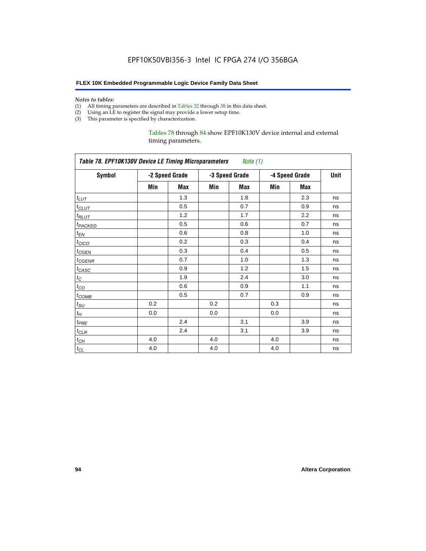#### **FLEX 10K Embedded Programmable Logic Device Family Data Sheet**

#### *Notes to tables:*

- (1) All timing parameters are described in Tables 32 through 38 in this data sheet.
- (2) Using an LE to register the signal may provide a lower setup time.
- (3) This parameter is specified by characterization.

#### Tables 78 through 84 show EPF10K130V device internal and external timing parameters.

| Table 78. EPF10K130V Device LE Timing Microparameters Note (1) |     |                |     |                |     |                |             |  |  |  |
|----------------------------------------------------------------|-----|----------------|-----|----------------|-----|----------------|-------------|--|--|--|
| <b>Symbol</b>                                                  |     | -2 Speed Grade |     | -3 Speed Grade |     | -4 Speed Grade | <b>Unit</b> |  |  |  |
|                                                                | Min | Max            | Min | Max            | Min | Max            |             |  |  |  |
| $t_{LUT}$                                                      |     | 1.3            |     | 1.8            |     | 2.3            | ns          |  |  |  |
| $t_{CLUT}$                                                     |     | 0.5            |     | 0.7            |     | 0.9            | ns          |  |  |  |
| $t_{RLUT}$                                                     |     | 1.2            |     | 1.7            |     | 2.2            | ns          |  |  |  |
| <b>t</b> PACKED                                                |     | 0.5            |     | 0.6            |     | 0.7            | ns          |  |  |  |
| $t_{EN}$                                                       |     | 0.6            |     | 0.8            |     | 1.0            | ns          |  |  |  |
| $t_{CICO}$                                                     |     | 0.2            |     | 0.3            |     | 0.4            | ns          |  |  |  |
| $t_{GEN}$                                                      |     | 0.3            |     | 0.4            |     | 0.5            | ns          |  |  |  |
| t <sub>CGENR</sub>                                             |     | 0.7            |     | 1.0            |     | 1.3            | ns          |  |  |  |
| $t_{CASC}$                                                     |     | 0.9            |     | 1.2            |     | 1.5            | ns          |  |  |  |
| $t_{\rm C}$                                                    |     | 1.9            |     | 2.4            |     | 3.0            | ns          |  |  |  |
| $t_{CO}$                                                       |     | 0.6            |     | 0.9            |     | 1.1            | ns          |  |  |  |
| $t_{COMB}$                                                     |     | 0.5            |     | 0.7            |     | 0.9            | ns          |  |  |  |
| $t_{\rm SU}$                                                   | 0.2 |                | 0.2 |                | 0.3 |                | ns          |  |  |  |
| $t_H$                                                          | 0.0 |                | 0.0 |                | 0.0 |                | ns          |  |  |  |
| $t_{PRE}$                                                      |     | 2.4            |     | 3.1            |     | 3.9            | ns          |  |  |  |
| $t_{CLR}$                                                      |     | 2.4            |     | 3.1            |     | 3.9            | ns          |  |  |  |
| $t_{CH}$                                                       | 4.0 |                | 4.0 |                | 4.0 |                | ns          |  |  |  |
| $t_{CL}$                                                       | 4.0 |                | 4.0 |                | 4.0 |                | ns          |  |  |  |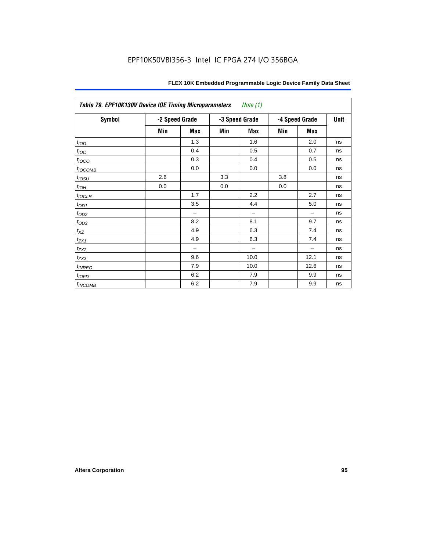| Table 79. EPF10K130V Device IOE Timing Microparameters<br>Note (1) |                |            |     |                |                |            |    |  |  |  |
|--------------------------------------------------------------------|----------------|------------|-----|----------------|----------------|------------|----|--|--|--|
| <b>Symbol</b>                                                      | -2 Speed Grade |            |     | -3 Speed Grade | -4 Speed Grade | Unit       |    |  |  |  |
|                                                                    | Min            | <b>Max</b> | Min | <b>Max</b>     | Min            | <b>Max</b> |    |  |  |  |
| t <sub>IOD</sub>                                                   |                | 1.3        |     | 1.6            |                | 2.0        | ns |  |  |  |
| $t_{\text{IOC}}$                                                   |                | 0.4        |     | 0.5            |                | 0.7        | ns |  |  |  |
| $t_{IOCO}$                                                         |                | 0.3        |     | 0.4            |                | 0.5        | ns |  |  |  |
| $t_{IOCOMB}$                                                       |                | 0.0        |     | 0.0            |                | 0.0        | ns |  |  |  |
| $t_{IOSU}$                                                         | 2.6            |            | 3.3 |                | 3.8            |            | ns |  |  |  |
| $t_{IOH}$                                                          | 0.0            |            | 0.0 |                | 0.0            |            | ns |  |  |  |
| $t_{IOCLR}$                                                        |                | 1.7        |     | 2.2            |                | 2.7        | ns |  |  |  |
| $t_{OD1}$                                                          |                | 3.5        |     | 4.4            |                | 5.0        | ns |  |  |  |
| $t_{OD2}$                                                          |                |            |     |                |                |            | ns |  |  |  |
| $t_{OD3}$                                                          |                | 8.2        |     | 8.1            |                | 9.7        | ns |  |  |  |
| $t_{\mathsf{XZ}}$                                                  |                | 4.9        |     | 6.3            |                | 7.4        | ns |  |  |  |
| $t_{ZX1}$                                                          |                | 4.9        |     | 6.3            |                | 7.4        | ns |  |  |  |
| $t_{ZX2}$                                                          |                | -          |     |                |                |            | ns |  |  |  |
| $t_{ZX3}$                                                          |                | 9.6        |     | 10.0           |                | 12.1       | ns |  |  |  |
| $t_{INREG}$                                                        |                | 7.9        |     | 10.0           |                | 12.6       | ns |  |  |  |
| $t_{IOED}$                                                         |                | 6.2        |     | 7.9            |                | 9.9        | ns |  |  |  |
| $t_{INCOMB}$                                                       |                | 6.2        |     | 7.9            |                | 9.9        | ns |  |  |  |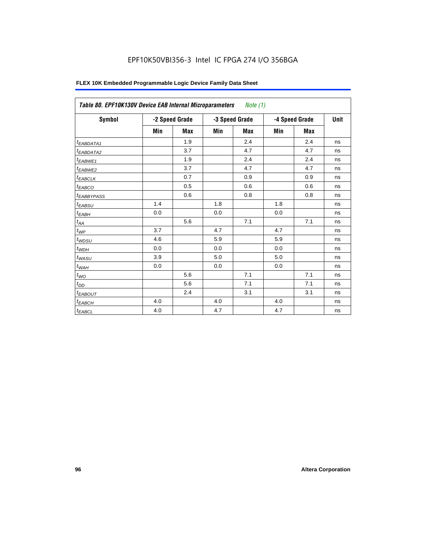| Symbol                 |     | -2 Speed Grade |     | -3 Speed Grade | -4 Speed Grade | <b>Unit</b> |    |
|------------------------|-----|----------------|-----|----------------|----------------|-------------|----|
|                        | Min | <b>Max</b>     | Min | <b>Max</b>     | Min            | <b>Max</b>  |    |
| <sup>t</sup> EABDATA1  |     | 1.9            |     | 2.4            |                | 2.4         | ns |
| <sup>t</sup> EABDATA2  |     | 3.7            |     | 4.7            |                | 4.7         | ns |
| <sup>t</sup> EABWE1    |     | 1.9            |     | 2.4            |                | 2.4         | ns |
| <sup>t</sup> EABWE2    |     | 3.7            |     | 4.7            |                | 4.7         | ns |
| t <sub>EABCLK</sub>    |     | 0.7            |     | 0.9            |                | 0.9         | ns |
| <sup>t</sup> ЕАВСО     |     | 0.5            |     | 0.6            |                | 0.6         | ns |
| <sup>t</sup> EABBYPASS |     | 0.6            |     | 0.8            |                | 0.8         | ns |
| t <sub>EABSU</sub>     | 1.4 |                | 1.8 |                | 1.8            |             | ns |
| t <sub>ЕАВН</sub>      | 0.0 |                | 0.0 |                | 0.0            |             | ns |
| $t_{AA}$               |     | 5.6            |     | 7.1            |                | 7.1         | ns |
| $t_{\mathit{WP}}$      | 3.7 |                | 4.7 |                | 4.7            |             | ns |
| $t_{WDSU}$             | 4.6 |                | 5.9 |                | 5.9            |             | ns |
| $t_{WDH}$              | 0.0 |                | 0.0 |                | 0.0            |             | ns |
| $t_{WASU}$             | 3.9 |                | 5.0 |                | 5.0            |             | ns |
| $t_{\sf WAH}$          | 0.0 |                | 0.0 |                | 0.0            |             | ns |
| $t_{WO}$               |     | 5.6            |     | 7.1            |                | 7.1         | ns |
| $t_{DD}$               |     | 5.6            |     | 7.1            |                | 7.1         | ns |
| <sup>t</sup> EABOUT    |     | 2.4            |     | 3.1            |                | 3.1         | ns |
| $t_{EABCH}$            | 4.0 |                | 4.0 |                | 4.0            |             | ns |
| $t_{EABCL}$            | 4.0 |                | 4.7 |                | 4.7            |             | ns |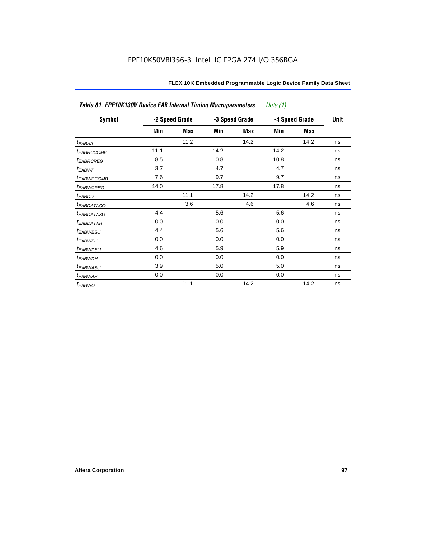| Table 81. EPF10K130V Device EAB Internal Timing Macroparameters |      |                |      |                | Note $(1)$ |                |             |
|-----------------------------------------------------------------|------|----------------|------|----------------|------------|----------------|-------------|
| <b>Symbol</b>                                                   |      | -2 Speed Grade |      | -3 Speed Grade |            | -4 Speed Grade | <b>Unit</b> |
|                                                                 | Min  | Max            | Min  | Max            | Min        | Max            |             |
| <sup>t</sup> EABAA                                              |      | 11.2           |      | 14.2           |            | 14.2           | ns          |
| <b><i>EABRCCOMB</i></b>                                         | 11.1 |                | 14.2 |                | 14.2       |                | ns          |
| <b><i>EABRCREG</i></b>                                          | 8.5  |                | 10.8 |                | 10.8       |                | ns          |
| <i>EABWP</i>                                                    | 3.7  |                | 4.7  |                | 4.7        |                | ns          |
| <b><i>EABWCCOMB</i></b>                                         | 7.6  |                | 9.7  |                | 9.7        |                | ns          |
| <i><b>EABWCREG</b></i>                                          | 14.0 |                | 17.8 |                | 17.8       |                | ns          |
| t <sub>EABDD</sub>                                              |      | 11.1           |      | 14.2           |            | 14.2           | ns          |
| <b><i>EABDATACO</i></b>                                         |      | 3.6            |      | 4.6            |            | 4.6            | ns          |
| <sup>t</sup> EABDATASU                                          | 4.4  |                | 5.6  |                | 5.6        |                | ns          |
| <sup>T</sup> EABDATAH                                           | 0.0  |                | 0.0  |                | 0.0        |                | ns          |
| <i><b>EABWESU</b></i>                                           | 4.4  |                | 5.6  |                | 5.6        |                | ns          |
| <sup>t</sup> EABWEH                                             | 0.0  |                | 0.0  |                | 0.0        |                | ns          |
| <i>t<sub>EABWDSU</sub></i>                                      | 4.6  |                | 5.9  |                | 5.9        |                | ns          |
| <sup>t</sup> EABWDH                                             | 0.0  |                | 0.0  |                | 0.0        |                | ns          |
| <sup>t</sup> EABWASU                                            | 3.9  |                | 5.0  |                | 5.0        |                | ns          |
| <sup>t</sup> EABWAH                                             | 0.0  |                | 0.0  |                | 0.0        |                | ns          |
| <sup>t</sup> EABWO                                              |      | 11.1           |      | 14.2           |            | 14.2           | ns          |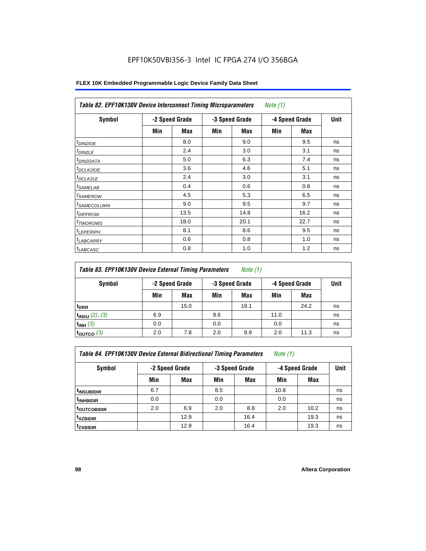| Symbol                     | -2 Speed Grade |            | -3 Speed Grade |            | -4 Speed Grade |      | <b>Unit</b> |  |
|----------------------------|----------------|------------|----------------|------------|----------------|------|-------------|--|
|                            | Min            | <b>Max</b> | Min            | <b>Max</b> | Min            | Max  |             |  |
| $t_{DINZIOE}$              |                | 8.0        |                | 9.0        |                | 9.5  | ns          |  |
| t <sub>DIN2LE</sub>        |                | 2.4        |                | 3.0        |                | 3.1  | ns          |  |
| <sup>t</sup> DIN2DATA      |                | 5.0        |                | 6.3        |                | 7.4  | ns          |  |
| <sup>t</sup> DCLK2IOE      |                | 3.6        |                | 4.6        |                | 5.1  | ns          |  |
| <sup>t</sup> DCLK2LE       |                | 2.4        |                | 3.0        |                | 3.1  | ns          |  |
| <sup>t</sup> SAMELAB       |                | 0.4        |                | 0.6        |                | 0.8  | ns          |  |
| <sup>t</sup> SAMEROW       |                | 4.5        |                | 5.3        |                | 6.5  | ns          |  |
| <sup>t</sup> SAMECOLUMN    |                | 9.0        |                | 9.5        |                | 9.7  | ns          |  |
| <i>t<sub>DIFFROW</sub></i> |                | 13.5       |                | 14.8       |                | 16.2 | ns          |  |
| <sup>t</sup> TWOROWS       |                | 18.0       |                | 20.1       |                | 22.7 | ns          |  |
| <sup>t</sup> LEPERIPH      |                | 8.1        |                | 8.6        |                | 9.5  | ns          |  |
| <sup>I</sup> LABCARRY      |                | 0.6        |                | 0.8        |                | 1.0  | ns          |  |
| <sup>t</sup> LABCASC       |                | 0.8        |                | 1.0        |                | 1.2  | ns          |  |

| Table 83. EPF10K130V Device External Timing Parameters | Note (1) |
|--------------------------------------------------------|----------|
|--------------------------------------------------------|----------|

| Symbol                 |     | -2 Speed Grade |     | -3 Speed Grade |      | -4 Speed Grade | Unit |
|------------------------|-----|----------------|-----|----------------|------|----------------|------|
|                        | Min | Max            | Min | Max            | Min  | Max            |      |
| t <sub>DRR</sub>       |     | 15.0           |     | 19.1           |      | 24.2           | ns   |
| $t_{INSU}$ (2), (3)    | 6.9 |                | 8.6 |                | 11.0 |                | ns   |
| $t_{INH}$ (3)          | 0.0 |                | 0.0 |                | 0.0  |                | ns   |
| $t_{\text{OUTCO}}$ (3) | 2.0 | 7.8            | 2.0 | 9.9            | 2.0  | 11.3           | ns   |

| Table 84. EPF10K130V Device External Bidirectional Timing Parameters | Note (1) |  |  |
|----------------------------------------------------------------------|----------|--|--|
|----------------------------------------------------------------------|----------|--|--|

| Symbol                  | -2 Speed Grade |      | -4 Speed Grade<br>-3 Speed Grade |            |      |            | <b>Unit</b> |
|-------------------------|----------------|------|----------------------------------|------------|------|------------|-------------|
|                         | Min            | Max  | Min                              | <b>Max</b> | Min  | <b>Max</b> |             |
| <sup>t</sup> INSUBIDIR  | 6.7            |      | 8.5                              |            | 10.8 |            | ns          |
| t <sub>INHBIDIR</sub>   | 0.0            |      | 0.0                              |            | 0.0  |            | ns          |
| <sup>t</sup> outcobidir | 2.0            | 6.9  | 2.0                              | 8.8        | 2.0  | 10.2       | ns          |
| <sup>t</sup> xzbidir    |                | 12.9 |                                  | 16.4       |      | 19.3       | ns          |
| <sup>t</sup> zxbidir    |                | 12.9 |                                  | 16.4       |      | 19.3       | ns          |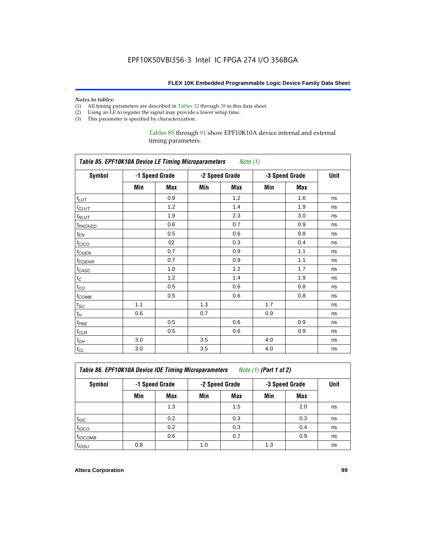# *Notes to tables:*<br>(1) All timing p

- (1) All timing parameters are described in Tables 32 through 38 in this data sheet.<br>(2) Using an LE to register the signal may provide a lower setup time.
- Using an LE to register the signal may provide a lower setup time.
- (3) This parameter is specified by characterization.

#### Tables 85 through 91 show EPF10K10A device internal and external timing parameters.

| <b>Table 85. EPF10K10A Device LE Timing Microparameters</b> Note (1) |     |                |     |                |     |                |      |
|----------------------------------------------------------------------|-----|----------------|-----|----------------|-----|----------------|------|
| <b>Symbol</b>                                                        |     | -1 Speed Grade |     | -2 Speed Grade |     | -3 Speed Grade | Unit |
|                                                                      | Min | Max            | Min | <b>Max</b>     | Min | Max            |      |
| $t_{LUT}$                                                            |     | 0.9            |     | 1.2            |     | 1.6            | ns   |
| $t_{CLUT}$                                                           |     | 1.2            |     | 1.4            |     | 1.9            | ns   |
| $t_{RLUT}$                                                           |     | 1.9            |     | 2.3            |     | 3.0            | ns   |
| <b>t</b> PACKED                                                      |     | 0.6            |     | 0.7            |     | 0.9            | ns   |
| $t_{EN}$                                                             |     | 0.5            |     | 0.6            |     | 0.8            | ns   |
| $t_{CICO}$                                                           |     | 02             |     | 0.3            |     | 0.4            | ns   |
| $t_{GEN}$                                                            |     | 0.7            |     | 0.9            |     | 1.1            | ns   |
| $t_{GENR}$                                                           |     | 0.7            |     | 0.9            |     | 1.1            | ns   |
| $t_{CASC}$                                                           |     | 1.0            |     | 1.2            |     | 1.7            | ns   |
| $t_{\rm C}$                                                          |     | 1.2            |     | 1.4            |     | 1.9            | ns   |
| $t_{CO}$                                                             |     | 0.5            |     | 0.6            |     | 0.8            | ns   |
| $t_{COMB}$                                                           |     | 0.5            |     | 0.6            |     | 0.8            | ns   |
| $t_{\rm SU}$                                                         | 1.1 |                | 1.3 |                | 1.7 |                | ns   |
| $t_H\,$                                                              | 0.6 |                | 0.7 |                | 0.9 |                | ns   |
| $t_{PRE}$                                                            |     | 0.5            |     | 0.6            |     | 0.9            | ns   |
| $t_{CLR}$                                                            |     | 0.5            |     | 0.6            |     | 0.9            | ns   |
| $t_{\mathit{CH}}$                                                    | 3.0 |                | 3.5 |                | 4.0 |                | ns   |
| $t_{\rm CL}$                                                         | 3.0 |                | 3.5 |                | 4.0 |                | ns   |

*Table 86. EPF10K10A Device IOE Timing Microparameters Note (1) (Part 1 of 2)*

| Symbol           | -1 Speed Grade |            |     | -2 Speed Grade |     | -3 Speed Grade |    |  |
|------------------|----------------|------------|-----|----------------|-----|----------------|----|--|
|                  | Min            | <b>Max</b> | Min | Max            | Min | <b>Max</b>     |    |  |
|                  |                | 1.3        |     | 1.5            |     | 2.0            | ns |  |
| $t_{\text{IOC}}$ |                | 0.2        |     | 0.3            |     | 0.3            | ns |  |
| $t_{IOCO}$       |                | 0.2        |     | 0.3            |     | 0.4            | ns |  |
| $t_{IOCOMB}$     |                | 0.6        |     | 0.7            |     | 0.9            | ns |  |
| $t_{IOSU}$       | 0.8            |            | 1.0 |                | 1.3 |                | ns |  |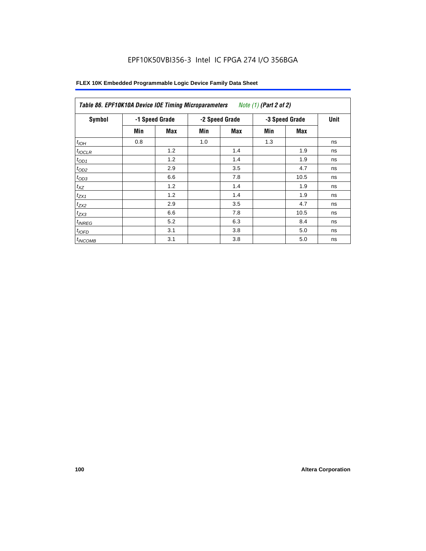| Symbol       |     | -1 Speed Grade |     | -2 Speed Grade | -3 Speed Grade | <b>Unit</b> |    |
|--------------|-----|----------------|-----|----------------|----------------|-------------|----|
|              | Min | Max            | Min | Max            | Min            | Max         |    |
| $t_{IOH}$    | 0.8 |                | 1.0 |                | 1.3            |             | ns |
| $t_{IOCLR}$  |     | 1.2            |     | 1.4            |                | 1.9         | ns |
| $t_{OD1}$    |     | 1.2            |     | 1.4            |                | 1.9         | ns |
| $t_{OD2}$    |     | 2.9            |     | 3.5            |                | 4.7         | ns |
| $t_{OD3}$    |     | 6.6            |     | 7.8            |                | 10.5        | ns |
| $t_{XZ}$     |     | 1.2            |     | 1.4            |                | 1.9         | ns |
| $t_{ZX1}$    |     | 1.2            |     | 1.4            |                | 1.9         | ns |
| $t_{ZX2}$    |     | 2.9            |     | 3.5            |                | 4.7         | ns |
| $t_{ZX3}$    |     | 6.6            |     | 7.8            |                | 10.5        | ns |
| $t_{INREG}$  |     | 5.2            |     | 6.3            |                | 8.4         | ns |
| $t_{IOFD}$   |     | 3.1            |     | 3.8            |                | 5.0         | ns |
| $t_{INCOMB}$ |     | 3.1            |     | 3.8            |                | 5.0         | ns |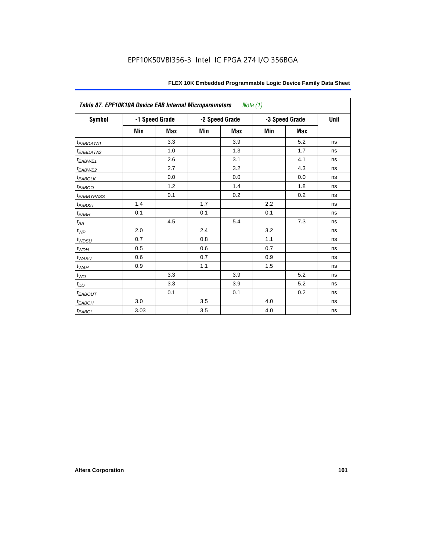| Table 87. EPF10K10A Device EAB Internal Microparameters |      |                |     | Note (1)       |     |                |      |
|---------------------------------------------------------|------|----------------|-----|----------------|-----|----------------|------|
| <b>Symbol</b>                                           |      | -1 Speed Grade |     | -2 Speed Grade |     | -3 Speed Grade | Unit |
|                                                         | Min  | <b>Max</b>     | Min | <b>Max</b>     | Min | <b>Max</b>     |      |
| $t_{EABDATA1}$                                          |      | 3.3            |     | 3.9            |     | 5.2            | ns   |
| $t_{EABDATA2}$                                          |      | 1.0            |     | 1.3            |     | 1.7            | ns   |
| $t_{EABWE1}$                                            |      | 2.6            |     | 3.1            |     | 4.1            | ns   |
| $t_{EABWE2}$                                            |      | 2.7            |     | 3.2            |     | 4.3            | ns   |
| $t_{EABCLK}$                                            |      | 0.0            |     | 0.0            |     | 0.0            | ns   |
| $t_{EABCO}$                                             |      | 1.2            |     | 1.4            |     | 1.8            | ns   |
| <b><i>t<sub>EABBYPASS</sub></i></b>                     |      | 0.1            |     | 0.2            |     | 0.2            | ns   |
| $t_{EABSU}$                                             | 1.4  |                | 1.7 |                | 2.2 |                | ns   |
| $t_{EABH}$                                              | 0.1  |                | 0.1 |                | 0.1 |                | ns   |
| $t_{AA}$                                                |      | 4.5            |     | 5.4            |     | 7.3            | ns   |
| $t_{WP}$                                                | 2.0  |                | 2.4 |                | 3.2 |                | ns   |
| $t_{WDSU}$                                              | 0.7  |                | 0.8 |                | 1.1 |                | ns   |
| $t_{WDH}$                                               | 0.5  |                | 0.6 |                | 0.7 |                | ns   |
| $t_{WASU}$                                              | 0.6  |                | 0.7 |                | 0.9 |                | ns   |
| $t_{WAH}$                                               | 0.9  |                | 1.1 |                | 1.5 |                | ns   |
| $t_{WO}$                                                |      | 3.3            |     | 3.9            |     | 5.2            | ns   |
| $t_{DD}$                                                |      | 3.3            |     | 3.9            |     | 5.2            | ns   |
| $t_{EABOUT}$                                            |      | 0.1            |     | 0.1            |     | 0.2            | ns   |
| $t_{EABCH}$                                             | 3.0  |                | 3.5 |                | 4.0 |                | ns   |
| $t_{EABCL}$                                             | 3.03 |                | 3.5 |                | 4.0 |                | ns   |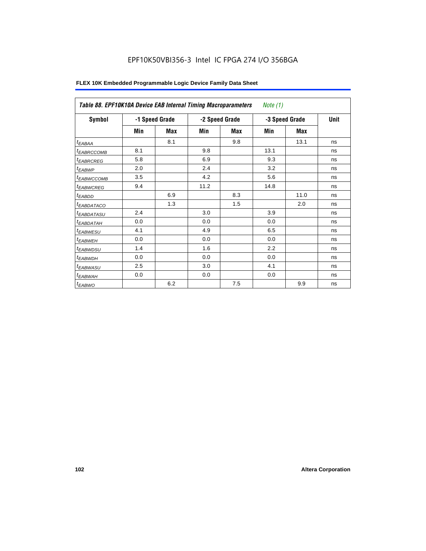| Symbol                 | -1 Speed Grade |            |      | -2 Speed Grade | -3 Speed Grade | Unit |    |
|------------------------|----------------|------------|------|----------------|----------------|------|----|
|                        | Min            | <b>Max</b> | Min  | Max            | Min            | Max  |    |
| $t_{EABA}$             |                | 8.1        |      | 9.8            |                | 13.1 | ns |
| <sup>t</sup> EABRCCOMB | 8.1            |            | 9.8  |                | 13.1           |      | ns |
| <sup>t</sup> EABRCREG  | 5.8            |            | 6.9  |                | 9.3            |      | ns |
| <sup>t</sup> EABWP     | 2.0            |            | 2.4  |                | 3.2            |      | ns |
| <sup>t</sup> EABWCCOMB | 3.5            |            | 4.2  |                | 5.6            |      | ns |
| <sup>t</sup> EABWCREG  | 9.4            |            | 11.2 |                | 14.8           |      | ns |
| <sup>t</sup> EABDD     |                | 6.9        |      | 8.3            |                | 11.0 | ns |
| <sup>t</sup> EABDATACO |                | 1.3        |      | 1.5            |                | 2.0  | ns |
| <sup>t</sup> EABDATASU | 2.4            |            | 3.0  |                | 3.9            |      | ns |
| <sup>t</sup> EABDATAH  | 0.0            |            | 0.0  |                | 0.0            |      | ns |
| <sup>t</sup> EABWESU   | 4.1            |            | 4.9  |                | 6.5            |      | ns |
| <sup>t</sup> EABWEH    | 0.0            |            | 0.0  |                | 0.0            |      | ns |
| <sup>t</sup> EABWDSU   | 1.4            |            | 1.6  |                | 2.2            |      | ns |
| <sup>t</sup> EABWDH    | 0.0            |            | 0.0  |                | 0.0            |      | ns |
| <sup>t</sup> EABWASU   | 2.5            |            | 3.0  |                | 4.1            |      | ns |
| <sup>t</sup> EABWAH    | 0.0            |            | 0.0  |                | 0.0            |      | ns |
| <sup>t</sup> EABWO     |                | 6.2        |      | 7.5            |                | 9.9  | ns |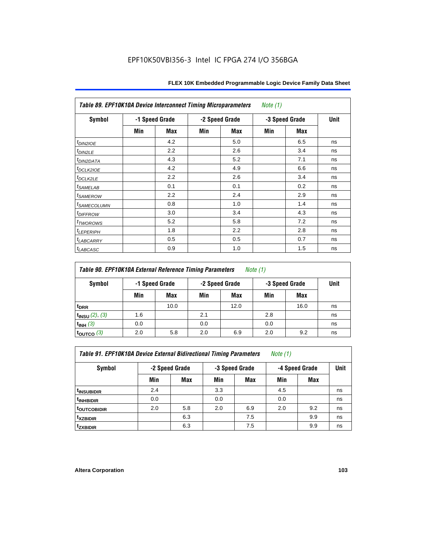| Table 89. EPF10K10A Device Interconnect Timing Microparameters |                |     |                |     | Note $(1)$     |     |      |  |
|----------------------------------------------------------------|----------------|-----|----------------|-----|----------------|-----|------|--|
| Symbol                                                         | -1 Speed Grade |     | -2 Speed Grade |     | -3 Speed Grade |     | Unit |  |
|                                                                | Min            | Max | Min            | Max | Min            | Max |      |  |
| $t_{DINZIOE}$                                                  |                | 4.2 |                | 5.0 |                | 6.5 | ns   |  |
| $t_{DIN2LE}$                                                   |                | 2.2 |                | 2.6 |                | 3.4 | ns   |  |
| <sup>t</sup> DIN2DATA                                          |                | 4.3 |                | 5.2 |                | 7.1 | ns   |  |
| t <sub>DCLK2IOE</sub>                                          |                | 4.2 |                | 4.9 |                | 6.6 | ns   |  |
| $t_{DCLK2LE}$                                                  |                | 2.2 |                | 2.6 |                | 3.4 | ns   |  |
| <i>t</i> SAMELAB                                               |                | 0.1 |                | 0.1 |                | 0.2 | ns   |  |
| <i>t</i> SAMEROW                                               |                | 2.2 |                | 2.4 |                | 2.9 | ns   |  |
| <sup>t</sup> SAMECOLUMN                                        |                | 0.8 |                | 1.0 |                | 1.4 | ns   |  |
| <i>t<sub>DIFFROW</sub></i>                                     |                | 3.0 |                | 3.4 |                | 4.3 | ns   |  |
| t <sub>TWOROWS</sub>                                           |                | 5.2 |                | 5.8 |                | 7.2 | ns   |  |
| <b><i>LEPERIPH</i></b>                                         |                | 1.8 |                | 2.2 |                | 2.8 | ns   |  |
| <sup>t</sup> LABCARRY                                          |                | 0.5 |                | 0.5 |                | 0.7 | ns   |  |
| <sup>t</sup> LABCASC                                           |                | 0.9 |                | 1.0 |                | 1.5 | ns   |  |

| <b>Table 90. EPF10K10A External Reference Timing Parameters</b> | Note (1) |
|-----------------------------------------------------------------|----------|
|-----------------------------------------------------------------|----------|

| Symbol              | -1 Speed Grade |      | -2 Speed Grade |      | -3 Speed Grade | Unit       |    |
|---------------------|----------------|------|----------------|------|----------------|------------|----|
|                     | Min            | Max  | Min            | Max  | Min            | <b>Max</b> |    |
| t <sub>DRR</sub>    |                | 10.0 |                | 12.0 |                | 16.0       | ns |
| $t_{INSU}$ (2), (3) | 1.6            |      | 2.1            |      | 2.8            |            | ns |
| $t_{INH}$ (3)       | 0.0            |      | 0.0            |      | 0.0            |            | ns |
| $\vert$ toutco (3)  | 2.0            | 5.8  | 2.0            | 6.9  | 2.0            | 9.2        | ns |

*Table 91. EPF10K10A Device External Bidirectional Timing Parameters Note (1)*

| Symbol                  | -2 Speed Grade |     |     | -3 Speed Grade | -4 Speed Grade | <b>Unit</b> |    |
|-------------------------|----------------|-----|-----|----------------|----------------|-------------|----|
|                         | Min            | Max | Min | <b>Max</b>     | Min            | Max         |    |
| <sup>t</sup> INSUBIDIR  | 2.4            |     | 3.3 |                | 4.5            |             | ns |
| <sup>T</sup> INHBIDIR   | 0.0            |     | 0.0 |                | 0.0            |             | ns |
| <sup>t</sup> OUTCOBIDIR | 2.0            | 5.8 | 2.0 | 6.9            | 2.0            | 9.2         | ns |
| <sup>t</sup> xzbidir    |                | 6.3 |     | 7.5            |                | 9.9         | ns |
| <sup>t</sup> zxbidir    |                | 6.3 |     | 7.5            |                | 9.9         | ns |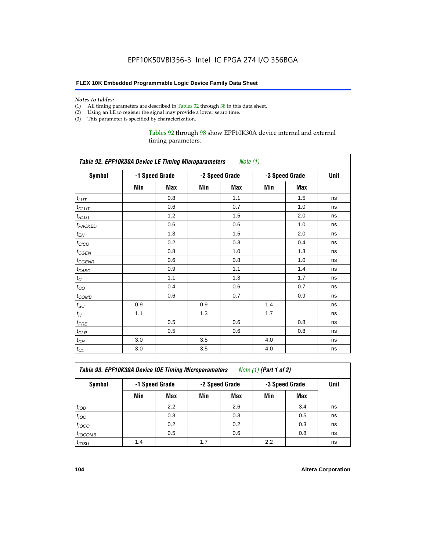#### **FLEX 10K Embedded Programmable Logic Device Family Data Sheet**

#### *Notes to tables:*

- (1) All timing parameters are described in Tables 32 through 38 in this data sheet.
- (2) Using an LE to register the signal may provide a lower setup time.
- (3) This parameter is specified by characterization.

Tables 92 through 98 show EPF10K30A device internal and external timing parameters.

| Table 92. EPF10K30A Device LE Timing Microparameters Note (1) |                |     |                |     |                |      |    |  |  |
|---------------------------------------------------------------|----------------|-----|----------------|-----|----------------|------|----|--|--|
| <b>Symbol</b>                                                 | -1 Speed Grade |     | -2 Speed Grade |     | -3 Speed Grade | Unit |    |  |  |
|                                                               | Min            | Max | Min            | Max | Min            | Max  |    |  |  |
| $t_{LUT}$                                                     |                | 0.8 |                | 1.1 |                | 1.5  | ns |  |  |
| $t_{CLUT}$                                                    |                | 0.6 |                | 0.7 |                | 1.0  | ns |  |  |
| $t_{RLUT}$                                                    |                | 1.2 |                | 1.5 |                | 2.0  | ns |  |  |
| <b><i>t<sub>PACKED</sub></i></b>                              |                | 0.6 |                | 0.6 |                | 1.0  | ns |  |  |
| $t_{EN}$                                                      |                | 1.3 |                | 1.5 |                | 2.0  | ns |  |  |
| $t_{CICO}$                                                    |                | 0.2 |                | 0.3 |                | 0.4  | ns |  |  |
| $t_{\text{GEN}}$                                              |                | 0.8 |                | 1.0 |                | 1.3  | ns |  |  |
| t <sub>CGENR</sub>                                            |                | 0.6 |                | 0.8 |                | 1.0  | ns |  |  |
| $t_{CASC}$                                                    |                | 0.9 |                | 1.1 |                | 1.4  | ns |  |  |
| $t_C$                                                         |                | 1.1 |                | 1.3 |                | 1.7  | ns |  |  |
| $t_{CO}$                                                      |                | 0.4 |                | 0.6 |                | 0.7  | ns |  |  |
| $t_{\text{COMB}}$                                             |                | 0.6 |                | 0.7 |                | 0.9  | ns |  |  |
| $t_{\rm SU}$                                                  | 0.9            |     | 0.9            |     | 1.4            |      | ns |  |  |
| $t_H$                                                         | 1.1            |     | 1.3            |     | 1.7            |      | ns |  |  |
| $t_{PRE}$                                                     |                | 0.5 |                | 0.6 |                | 0.8  | ns |  |  |
| $t_{CLR}$                                                     |                | 0.5 |                | 0.6 |                | 0.8  | ns |  |  |
| $t_{CH}$                                                      | 3.0            |     | 3.5            |     | 4.0            |      | ns |  |  |
| $t_{CL}$                                                      | 3.0            |     | 3.5            |     | 4.0            |      | ns |  |  |

*Table 93. EPF10K30A Device IOE Timing Microparameters Note (1) (Part 1 of 2)*

| Symbol            |     | -1 Speed Grade |     | -2 Speed Grade | -3 Speed Grade |            | Unit |  |
|-------------------|-----|----------------|-----|----------------|----------------|------------|------|--|
|                   | Min | Max            | Min | <b>Max</b>     | Min            | <b>Max</b> |      |  |
| t <sub>IOD</sub>  |     | 2.2            |     | 2.6            |                | 3.4        | ns   |  |
| $t_{\text{IOC}}$  |     | 0.3            |     | 0.3            |                | 0.5        | ns   |  |
| $t_{IOCO}$        |     | 0.2            |     | 0.2            |                | 0.3        | ns   |  |
| $t_{IOCOMB}$      |     | 0.5            |     | 0.6            |                | 0.8        | ns   |  |
| t <sub>IOSU</sub> | 1.4 |                | 1.7 |                | 2.2            |            | ns   |  |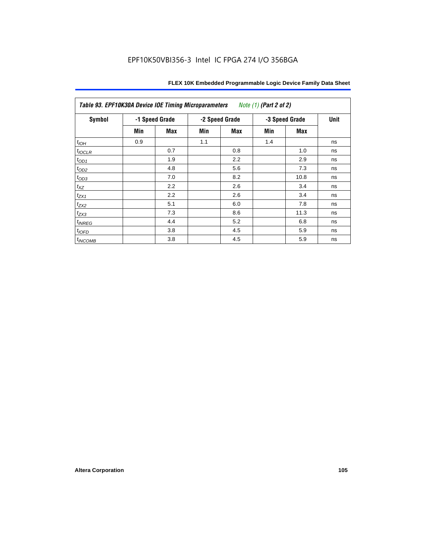| Table 93. EPF10K30A Device IOE Timing Microparameters<br>Note (1) (Part 2 of 2) |     |                |     |                |     |                |    |  |  |
|---------------------------------------------------------------------------------|-----|----------------|-----|----------------|-----|----------------|----|--|--|
| <b>Symbol</b>                                                                   |     | -1 Speed Grade |     | -2 Speed Grade |     | -3 Speed Grade |    |  |  |
|                                                                                 | Min | Max            | Min | Max            | Min | Max            |    |  |  |
| $t_{IOH}$                                                                       | 0.9 |                | 1.1 |                | 1.4 |                | ns |  |  |
| $t_{IOCLR}$                                                                     |     | 0.7            |     | 0.8            |     | 1.0            | ns |  |  |
| $t_{OD1}$                                                                       |     | 1.9            |     | 2.2            |     | 2.9            | ns |  |  |
| $t_{OD2}$                                                                       |     | 4.8            |     | 5.6            |     | 7.3            | ns |  |  |
| $t_{OD3}$                                                                       |     | 7.0            |     | 8.2            |     | 10.8           | ns |  |  |
| $t_{XZ}$                                                                        |     | 2.2            |     | 2.6            |     | 3.4            | ns |  |  |
| $t_{ZX1}$                                                                       |     | 2.2            |     | 2.6            |     | 3.4            | ns |  |  |
| $t_{ZX2}$                                                                       |     | 5.1            |     | 6.0            |     | 7.8            | ns |  |  |
| $t_{ZX3}$                                                                       |     | 7.3            |     | 8.6            |     | 11.3           | ns |  |  |
| $t_{INREG}$                                                                     |     | 4.4            |     | 5.2            |     | 6.8            | ns |  |  |
| $t_{IOFD}$                                                                      |     | 3.8            |     | 4.5            |     | 5.9            | ns |  |  |
| $t_{INCOMB}$                                                                    |     | 3.8            |     | 4.5            |     | 5.9            | ns |  |  |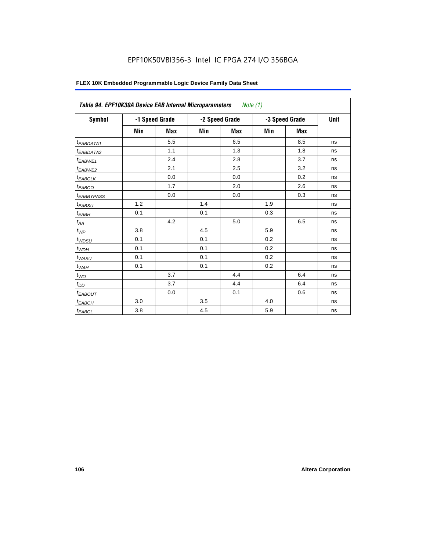| <b>Symbol</b>          |         | -1 Speed Grade |     | -2 Speed Grade | -3 Speed Grade | Unit       |    |
|------------------------|---------|----------------|-----|----------------|----------------|------------|----|
|                        | Min     | <b>Max</b>     | Min | Max            | Min            | <b>Max</b> |    |
| <sup>t</sup> EABDATA1  |         | 5.5            |     | 6.5            |                | 8.5        | ns |
| <sup>t</sup> EABDATA2  |         | 1.1            |     | 1.3            |                | 1.8        | ns |
| t <sub>EABWE1</sub>    |         | 2.4            |     | 2.8            |                | 3.7        | ns |
| <sup>t</sup> EABWE2    |         | 2.1            |     | 2.5            |                | 3.2        | ns |
| <sup>t</sup> EABCLK    |         | 0.0            |     | 0.0            |                | 0.2        | ns |
| t <sub>EABCO</sub>     |         | 1.7            |     | 2.0            |                | 2.6        | ns |
| <sup>t</sup> EABBYPASS |         | 0.0            |     | 0.0            |                | 0.3        | ns |
| t <sub>EABSU</sub>     | 1.2     |                | 1.4 |                | 1.9            |            | ns |
| t <sub>ЕАВН</sub>      | 0.1     |                | 0.1 |                | 0.3            |            | ns |
| $t_{AA}$               |         | 4.2            |     | 5.0            |                | 6.5        | ns |
| $t_{\mathcal{WP}}$     | 3.8     |                | 4.5 |                | 5.9            |            | ns |
| t <sub>WDSU</sub>      | 0.1     |                | 0.1 |                | 0.2            |            | ns |
| $t_{WDH}$              | 0.1     |                | 0.1 |                | 0.2            |            | ns |
| t <sub>WASU</sub>      | 0.1     |                | 0.1 |                | 0.2            |            | ns |
| $t_{WAH}$              | 0.1     |                | 0.1 |                | 0.2            |            | ns |
| $t_{WO}$               |         | 3.7            |     | 4.4            |                | 6.4        | ns |
| $t_{DD}$               |         | 3.7            |     | 4.4            |                | 6.4        | ns |
| <sup>t</sup> EABOUT    |         | 0.0            |     | 0.1            |                | 0.6        | ns |
| $t_{EABCH}$            | 3.0     |                | 3.5 |                | 4.0            |            | ns |
| $t_{EABCL}$            | $3.8\,$ |                | 4.5 |                | 5.9            |            | ns |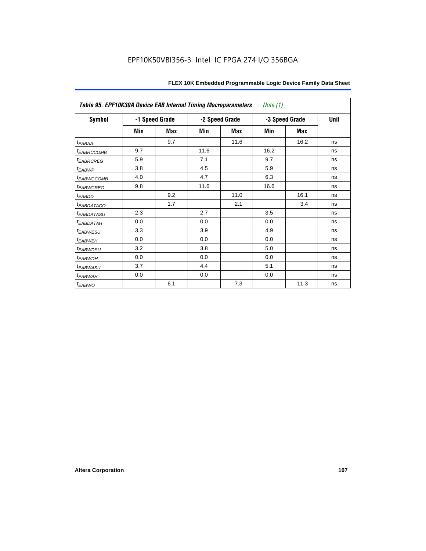| Table 95. EPF10K30A Device EAB Internal Timing Macroparameters<br>Note $(1)$ |                |     |      |                |                |             |    |  |  |
|------------------------------------------------------------------------------|----------------|-----|------|----------------|----------------|-------------|----|--|--|
| <b>Symbol</b>                                                                | -1 Speed Grade |     |      | -2 Speed Grade | -3 Speed Grade | <b>Unit</b> |    |  |  |
|                                                                              | Min            | Max | Min  | Max            | Min            | Max         |    |  |  |
| $t_{EABA}$                                                                   |                | 9.7 |      | 11.6           |                | 16.2        | ns |  |  |
| <i>EABRCCOMB</i>                                                             | 9.7            |     | 11.6 |                | 16.2           |             | ns |  |  |
| <sup>t</sup> EABRCREG                                                        | 5.9            |     | 7.1  |                | 9.7            |             | ns |  |  |
| t <sub>EABWP</sub>                                                           | 3.8            |     | 4.5  |                | 5.9            |             | ns |  |  |
| <sup>t</sup> EABWCCOMB                                                       | 4.0            |     | 4.7  |                | 6.3            |             | ns |  |  |
| <sup>t</sup> EABWCREG                                                        | 9.8            |     | 11.6 |                | 16.6           |             | ns |  |  |
| t <sub>EABDD</sub>                                                           |                | 9.2 |      | 11.0           |                | 16.1        | ns |  |  |
| <sup>t</sup> EABDATACO                                                       |                | 1.7 |      | 2.1            |                | 3.4         | ns |  |  |
| <sup>t</sup> EABDATASU                                                       | 2.3            |     | 2.7  |                | 3.5            |             | ns |  |  |
| t <sub>EABDATAH</sub>                                                        | 0.0            |     | 0.0  |                | 0.0            |             | ns |  |  |
| <sup>t</sup> EABWESU                                                         | 3.3            |     | 3.9  |                | 4.9            |             | ns |  |  |
| <sup>t</sup> EABWEH                                                          | 0.0            |     | 0.0  |                | 0.0            |             | ns |  |  |
| t <sub>EABWDSU</sub>                                                         | 3.2            |     | 3.8  |                | 5.0            |             | ns |  |  |
| t <sub>EABWDH</sub>                                                          | 0.0            |     | 0.0  |                | 0.0            |             | ns |  |  |
| <sup>t</sup> EABWASU                                                         | 3.7            |     | 4.4  |                | 5.1            |             | ns |  |  |
| t <sub>ЕАВWАН</sub>                                                          | 0.0            |     | 0.0  |                | 0.0            |             | ns |  |  |
| $t_{EABWO}$                                                                  |                | 6.1 |      | 7.3            |                | 11.3        | ns |  |  |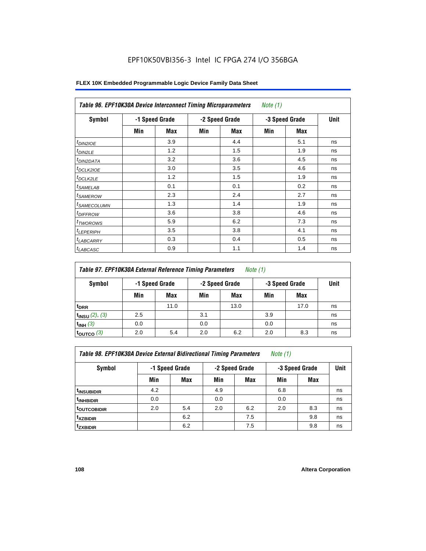| Symbol                  |     | -1 Speed Grade |     | -2 Speed Grade | -3 Speed Grade | Unit |    |
|-------------------------|-----|----------------|-----|----------------|----------------|------|----|
|                         | Min | Max            | Min | Max            | Min            | Max  |    |
| $t_{DINZIOE}$           |     | 3.9            |     | 4.4            |                | 5.1  | ns |
| t <sub>DIN2LE</sub>     |     | 1.2            |     | 1.5            |                | 1.9  | ns |
| <sup>t</sup> DIN2DATA   |     | 3.2            |     | 3.6            |                | 4.5  | ns |
| <sup>t</sup> DCLK2IOE   |     | 3.0            |     | 3.5            |                | 4.6  | ns |
| <sup>t</sup> DCLK2LE    |     | 1.2            |     | 1.5            |                | 1.9  | ns |
| <sup>t</sup> SAMELAB    |     | 0.1            |     | 0.1            |                | 0.2  | ns |
| <sup>t</sup> SAMEROW    |     | 2.3            |     | 2.4            |                | 2.7  | ns |
| <sup>t</sup> SAMECOLUMN |     | 1.3            |     | 1.4            |                | 1.9  | ns |
| <i><b>IDIFFROW</b></i>  |     | 3.6            |     | 3.8            |                | 4.6  | ns |
| <sup>t</sup> TWOROWS    |     | 5.9            |     | 6.2            |                | 7.3  | ns |
| <sup>t</sup> LEPERIPH   |     | 3.5            |     | 3.8            |                | 4.1  | ns |
| <sup>I</sup> LABCARRY   |     | 0.3            |     | 0.4            |                | 0.5  | ns |
| <b><i>LABCASC</i></b>   |     | 0.9            |     | 1.1            |                | 1.4  | ns |

## **FLEX 10K Embedded Programmable Logic Device Family Data Sheet**

| Table 97. EPF10K30A External Reference Timing Parameters<br><i>Note</i> $(1)$ |     |                |     |                |                |             |    |  |  |
|-------------------------------------------------------------------------------|-----|----------------|-----|----------------|----------------|-------------|----|--|--|
| Symbol                                                                        |     | -1 Speed Grade |     | -2 Speed Grade | -3 Speed Grade | <b>Unit</b> |    |  |  |
|                                                                               | Min | Max            | Min | Max            | Min            | Max         |    |  |  |
| t <sub>DRR</sub>                                                              |     | 11.0           |     | 13.0           |                | 17.0        | ns |  |  |
| $t_{INSU}$ (2), (3)                                                           | 2.5 |                | 3.1 |                | 3.9            |             | ns |  |  |
| $t_{INH}$ (3)                                                                 | 0.0 |                | 0.0 |                | 0.0            |             | ns |  |  |
| $t_{\text{OUTCO}}$ $(3)$                                                      | 2.0 | 5.4            | 2.0 | 6.2            | 2.0            | 8.3         | ns |  |  |

*Table 98. EPF10K30A Device External Bidirectional Timing Parameters Note (1)*

| Symbol                 |     | -1 Speed Grade |     | -2 Speed Grade |     | -3 Speed Grade |    |  |
|------------------------|-----|----------------|-----|----------------|-----|----------------|----|--|
|                        | Min | <b>Max</b>     | Min | <b>Max</b>     | Min | <b>Max</b>     |    |  |
| <sup>t</sup> INSUBIDIR | 4.2 |                | 4.9 |                | 6.8 |                | ns |  |
| <sup>t</sup> INHBIDIR  | 0.0 |                | 0.0 |                | 0.0 |                | ns |  |
| <b>toutcobidir</b>     | 2.0 | 5.4            | 2.0 | 6.2            | 2.0 | 8.3            | ns |  |
| <sup>t</sup> xzbidir   |     | 6.2            |     | 7.5            |     | 9.8            | ns |  |
| <i>t</i> zxbidir       |     | 6.2            |     | 7.5            |     | 9.8            | ns |  |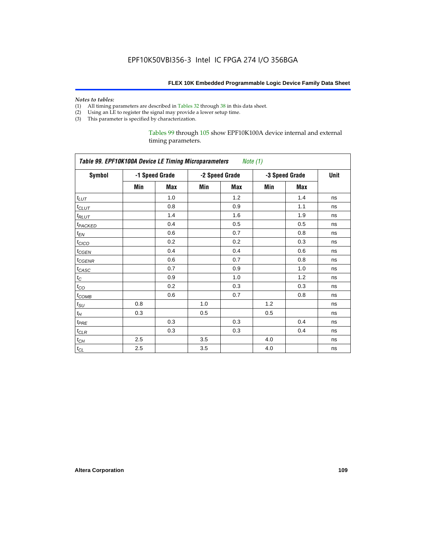#### *Notes to tables:*

- (1) All timing parameters are described in Tables 32 through 38 in this data sheet.
- (2) Using an LE to register the signal may provide a lower setup time.
- (3) This parameter is specified by characterization.

Tables 99 through 105 show EPF10K100A device internal and external timing parameters.

| Table 99. EPF10K100A Device LE Timing Microparameters Note (1) |     |                |     |                |                |     |      |  |  |
|----------------------------------------------------------------|-----|----------------|-----|----------------|----------------|-----|------|--|--|
| <b>Symbol</b>                                                  |     | -1 Speed Grade |     | -2 Speed Grade | -3 Speed Grade |     | Unit |  |  |
|                                                                | Min | Max            | Min | Max            | Min            | Max |      |  |  |
| $t_{LUT}$                                                      |     | 1.0            |     | 1.2            |                | 1.4 | ns   |  |  |
| $t_{CLUT}$                                                     |     | 0.8            |     | 0.9            |                | 1.1 | ns   |  |  |
| $t_{RLUT}$                                                     |     | 1.4            |     | 1.6            |                | 1.9 | ns   |  |  |
| t <sub>PACKED</sub>                                            |     | 0.4            |     | 0.5            |                | 0.5 | ns   |  |  |
| $t_{EN}$                                                       |     | 0.6            |     | 0.7            |                | 0.8 | ns   |  |  |
| $t_{CICO}$                                                     |     | 0.2            |     | 0.2            |                | 0.3 | ns   |  |  |
| $t_{CGEN}$                                                     |     | 0.4            |     | 0.4            |                | 0.6 | ns   |  |  |
| $t_{GENR}$                                                     |     | 0.6            |     | 0.7            |                | 0.8 | ns   |  |  |
| t <sub>CASC</sub>                                              |     | 0.7            |     | 0.9            |                | 1.0 | ns   |  |  |
| $t_{\rm C}$                                                    |     | 0.9            |     | 1.0            |                | 1.2 | ns   |  |  |
| $t_{CO}$                                                       |     | 0.2            |     | 0.3            |                | 0.3 | ns   |  |  |
| $t_{COMB}$                                                     |     | 0.6            |     | 0.7            |                | 0.8 | ns   |  |  |
| $t_{\rm SU}$                                                   | 0.8 |                | 1.0 |                | 1.2            |     | ns   |  |  |
| $t_H\,$                                                        | 0.3 |                | 0.5 |                | 0.5            |     | ns   |  |  |
| $t_{PRE}$                                                      |     | 0.3            |     | 0.3            |                | 0.4 | ns   |  |  |
| $t_{CLR}$                                                      |     | 0.3            |     | 0.3            |                | 0.4 | ns   |  |  |
| $t_{CH}$                                                       | 2.5 |                | 3.5 |                | 4.0            |     | ns   |  |  |
| $t_{CL}$                                                       | 2.5 |                | 3.5 |                | 4.0            |     | ns   |  |  |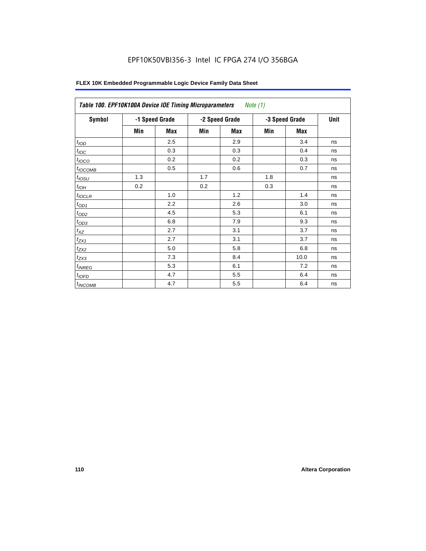| Table 100. EPF10K100A Device IOE Timing Microparameters |                |     |     |                | Note $(1)$     |      |    |
|---------------------------------------------------------|----------------|-----|-----|----------------|----------------|------|----|
| Symbol                                                  | -1 Speed Grade |     |     | -2 Speed Grade | -3 Speed Grade | Unit |    |
|                                                         | Min            | Max | Min | Max            | Min            | Max  |    |
| t <sub>IOD</sub>                                        |                | 2.5 |     | 2.9            |                | 3.4  | ns |
| $t_{\text{IOC}}$                                        |                | 0.3 |     | 0.3            |                | 0.4  | ns |
| $t_{IOCO}$                                              |                | 0.2 |     | 0.2            |                | 0.3  | ns |
| $t_{IOCOMB}$                                            |                | 0.5 |     | 0.6            |                | 0.7  | ns |
| $t_{IOSU}$                                              | 1.3            |     | 1.7 |                | 1.8            |      | ns |
| $t_{IOH}$                                               | 0.2            |     | 0.2 |                | 0.3            |      | ns |
| $t_{IOCLR}$                                             |                | 1.0 |     | 1.2            |                | 1.4  | ns |
| $t_{OD1}$                                               |                | 2.2 |     | 2.6            |                | 3.0  | ns |
| $t_{OD2}$                                               |                | 4.5 |     | 5.3            |                | 6.1  | ns |
| $t_{OD3}$                                               |                | 6.8 |     | 7.9            |                | 9.3  | ns |
| $t_{\mathsf{XZ}}$                                       |                | 2.7 |     | 3.1            |                | 3.7  | ns |
| $t_{ZX1}$                                               |                | 2.7 |     | 3.1            |                | 3.7  | ns |
| $t_{ZX2}$                                               |                | 5.0 |     | 5.8            |                | 6.8  | ns |
| $t_{ZX3}$                                               |                | 7.3 |     | 8.4            |                | 10.0 | ns |
| $t_{INREG}$                                             |                | 5.3 |     | 6.1            |                | 7.2  | ns |
| $t_{IOFD}$                                              |                | 4.7 |     | 5.5            |                | 6.4  | ns |
| $t_{INCOMB}$                                            |                | 4.7 |     | 5.5            |                | 6.4  | ns |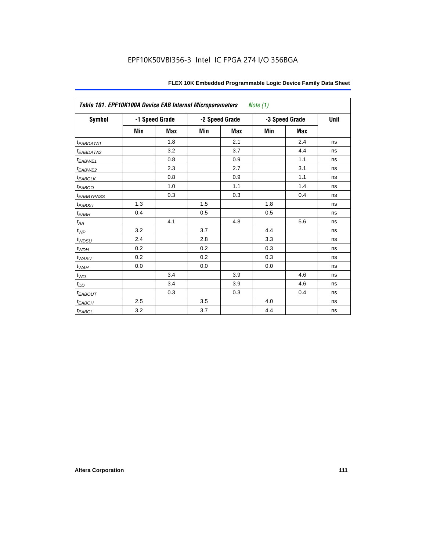| Table 101. EPF10K100A Device EAB Internal Microparameters<br>Note (1) |     |                |     |                |     |                |      |  |  |
|-----------------------------------------------------------------------|-----|----------------|-----|----------------|-----|----------------|------|--|--|
| <b>Symbol</b>                                                         |     | -1 Speed Grade |     | -2 Speed Grade |     | -3 Speed Grade | Unit |  |  |
|                                                                       | Min | <b>Max</b>     | Min | <b>Max</b>     | Min | <b>Max</b>     |      |  |  |
| t <sub>EABDATA1</sub>                                                 |     | 1.8            |     | 2.1            |     | 2.4            | ns   |  |  |
| t <sub>EABDATA2</sub>                                                 |     | 3.2            |     | 3.7            |     | 4.4            | ns   |  |  |
| $t_{EABWE1}$                                                          |     | 0.8            |     | 0.9            |     | 1.1            | ns   |  |  |
| $t_{EABWE2}$                                                          |     | 2.3            |     | 2.7            |     | 3.1            | ns   |  |  |
| $t_{EABCLK}$                                                          |     | 0.8            |     | 0.9            |     | 1.1            | ns   |  |  |
| $t_{EABCO}$                                                           |     | 1.0            |     | 1.1            |     | 1.4            | ns   |  |  |
| <sup>t</sup> EABBYPASS                                                |     | 0.3            |     | 0.3            |     | 0.4            | ns   |  |  |
| $t_{EABSU}$                                                           | 1.3 |                | 1.5 |                | 1.8 |                | ns   |  |  |
| $t_{EABH}$                                                            | 0.4 |                | 0.5 |                | 0.5 |                | ns   |  |  |
| $t_{AA}$                                                              |     | 4.1            |     | 4.8            |     | 5.6            | ns   |  |  |
| $t_{WP}$                                                              | 3.2 |                | 3.7 |                | 4.4 |                | ns   |  |  |
| $t_{WDSU}$                                                            | 2.4 |                | 2.8 |                | 3.3 |                | ns   |  |  |
| $t_{WDH}$                                                             | 0.2 |                | 0.2 |                | 0.3 |                | ns   |  |  |
| $t_{WASU}$                                                            | 0.2 |                | 0.2 |                | 0.3 |                | ns   |  |  |
| $t_{\textit{WAH}}$                                                    | 0.0 |                | 0.0 |                | 0.0 |                | ns   |  |  |
| $t_{WO}$                                                              |     | 3.4            |     | 3.9            |     | 4.6            | ns   |  |  |
| $t_{DD}$                                                              |     | 3.4            |     | 3.9            |     | 4.6            | ns   |  |  |
| $t_{EABOUT}$                                                          |     | 0.3            |     | 0.3            |     | 0.4            | ns   |  |  |
| $t_{EABCH}$                                                           | 2.5 |                | 3.5 |                | 4.0 |                | ns   |  |  |
| $t_{EABCL}$                                                           | 3.2 |                | 3.7 |                | 4.4 |                | ns   |  |  |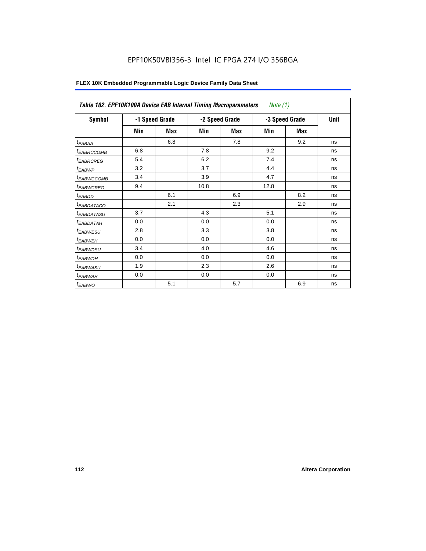|                        | Table 102. EPF10K100A Device EAB Internal Timing Macroparameters<br>Note $(1)$ |     |      |                |                |      |    |  |  |  |  |
|------------------------|--------------------------------------------------------------------------------|-----|------|----------------|----------------|------|----|--|--|--|--|
| Symbol                 | -1 Speed Grade                                                                 |     |      | -2 Speed Grade | -3 Speed Grade | Unit |    |  |  |  |  |
|                        | Min                                                                            | Max | Min  | Max            | Min            | Max  |    |  |  |  |  |
| t <sub>EABAA</sub>     |                                                                                | 6.8 |      | 7.8            |                | 9.2  | ns |  |  |  |  |
| <sup>t</sup> EABRCCOMB | 6.8                                                                            |     | 7.8  |                | 9.2            |      | ns |  |  |  |  |
| <sup>t</sup> EABRCREG  | 5.4                                                                            |     | 6.2  |                | 7.4            |      | ns |  |  |  |  |
| <sup>t</sup> EABWP     | 3.2                                                                            |     | 3.7  |                | 4.4            |      | ns |  |  |  |  |
| <sup>t</sup> EABWCCOMB | 3.4                                                                            |     | 3.9  |                | 4.7            |      | ns |  |  |  |  |
| <sup>t</sup> EABWCREG  | 9.4                                                                            |     | 10.8 |                | 12.8           |      | ns |  |  |  |  |
| <sup>t</sup> EABDD     |                                                                                | 6.1 |      | 6.9            |                | 8.2  | ns |  |  |  |  |
| <sup>t</sup> EABDATACO |                                                                                | 2.1 |      | 2.3            |                | 2.9  | ns |  |  |  |  |
| <sup>t</sup> EABDATASU | 3.7                                                                            |     | 4.3  |                | 5.1            |      | ns |  |  |  |  |
| <sup>t</sup> EABDATAH  | 0.0                                                                            |     | 0.0  |                | 0.0            |      | ns |  |  |  |  |
| <sup>t</sup> EABWESU   | 2.8                                                                            |     | 3.3  |                | 3.8            |      | ns |  |  |  |  |
| <sup>t</sup> EABWEH    | 0.0                                                                            |     | 0.0  |                | 0.0            |      | ns |  |  |  |  |
| <sup>t</sup> EABWDSU   | 3.4                                                                            |     | 4.0  |                | 4.6            |      | ns |  |  |  |  |
| <sup>t</sup> EABWDH    | 0.0                                                                            |     | 0.0  |                | 0.0            |      | ns |  |  |  |  |
| <sup>t</sup> EABWASU   | 1.9                                                                            |     | 2.3  |                | 2.6            |      | ns |  |  |  |  |
| <sup>t</sup> EABWAH    | 0.0                                                                            |     | 0.0  |                | 0.0            |      | ns |  |  |  |  |
| <sup>t</sup> EABWO     |                                                                                | 5.1 |      | 5.7            |                | 6.9  | ns |  |  |  |  |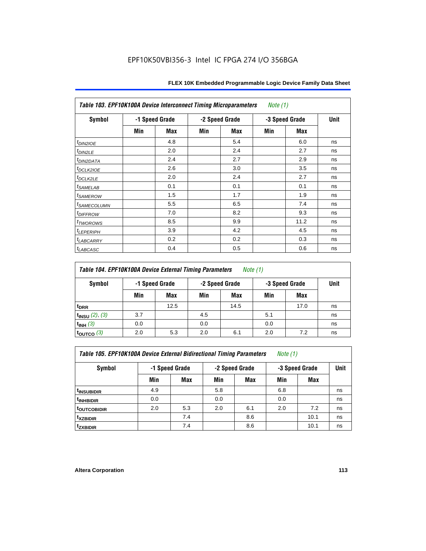| Table 103. EPF10K100A Device Interconnect Timing Microparameters<br>Note $(1)$ |                |     |     |                |                |            |    |  |  |
|--------------------------------------------------------------------------------|----------------|-----|-----|----------------|----------------|------------|----|--|--|
| <b>Symbol</b>                                                                  | -1 Speed Grade |     |     | -2 Speed Grade | -3 Speed Grade | Unit       |    |  |  |
|                                                                                | Min            | Max | Min | Max            | Min            | <b>Max</b> |    |  |  |
| $t_{DINZIOE}$                                                                  |                | 4.8 |     | 5.4            |                | 6.0        | ns |  |  |
| t <sub>DIN2LE</sub>                                                            |                | 2.0 |     | 2.4            |                | 2.7        | ns |  |  |
| <sup>t</sup> DIN2DATA                                                          |                | 2.4 |     | 2.7            |                | 2.9        | ns |  |  |
| t <sub>DCLK2IOE</sub>                                                          |                | 2.6 |     | 3.0            |                | 3.5        | ns |  |  |
| t <sub>DCLK2LE</sub>                                                           |                | 2.0 |     | 2.4            |                | 2.7        | ns |  |  |
| <i>t</i> SAMELAB                                                               |                | 0.1 |     | 0.1            |                | 0.1        | ns |  |  |
| <i>t<sub>SAMEROW</sub></i>                                                     |                | 1.5 |     | 1.7            |                | 1.9        | ns |  |  |
| <sup>t</sup> SAMECOLUMN                                                        |                | 5.5 |     | 6.5            |                | 7.4        | ns |  |  |
| t <sub>DIFFROW</sub>                                                           |                | 7.0 |     | 8.2            |                | 9.3        | ns |  |  |
| <i>t</i> <sub>TWOROWS</sub>                                                    |                | 8.5 |     | 9.9            |                | 11.2       | ns |  |  |
| <b><i>LEPERIPH</i></b>                                                         |                | 3.9 |     | 4.2            |                | 4.5        | ns |  |  |
| t <sub>LABCARRY</sub>                                                          |                | 0.2 |     | 0.2            |                | 0.3        | ns |  |  |
| $t_{LABCASC}$                                                                  |                | 0.4 |     | 0.5            |                | 0.6        | ns |  |  |

| Table 104. EPF10K100A Device External Timing Parameters | Note (1) |
|---------------------------------------------------------|----------|
|---------------------------------------------------------|----------|

| Symbol                 | -1 Speed Grade |      | -2 Speed Grade |      | -3 Speed Grade | Unit |    |
|------------------------|----------------|------|----------------|------|----------------|------|----|
|                        | Min            | Max  | Min            | Max  | Min            | Max  |    |
| t <sub>DRR</sub>       |                | 12.5 |                | 14.5 |                | 17.0 | ns |
| $t_{INSU}$ (2), (3)    | 3.7            |      | 4.5            |      | 5.1            |      | ns |
| $t_{INH}$ (3)          | 0.0            |      | 0.0            |      | 0.0            |      | ns |
| $t_{\text{OUTCO}}$ (3) | 2.0            | 5.3  | 2.0            | 6.1  | 2.0            | 7.2  | ns |

| Table 105. EPF10K100A Device External Bidirectional Timing Parameters | Note (1) |  |  |
|-----------------------------------------------------------------------|----------|--|--|
|-----------------------------------------------------------------------|----------|--|--|

| Symbol                  | -1 Speed Grade |     |     | -2 Speed Grade | -3 Speed Grade | <b>Unit</b> |    |
|-------------------------|----------------|-----|-----|----------------|----------------|-------------|----|
|                         | Min            | Max | Min | <b>Max</b>     | Min            | Max         |    |
| <sup>t</sup> insubidir  | 4.9            |     | 5.8 |                | 6.8            |             | ns |
| <sup>T</sup> INHBIDIR   | 0.0            |     | 0.0 |                | 0.0            |             | ns |
| <sup>t</sup> OUTCOBIDIR | 2.0            | 5.3 | 2.0 | 6.1            | 2.0            | 7.2         | ns |
| <sup>t</sup> xzbidir    |                | 7.4 |     | 8.6            |                | 10.1        | ns |
| <sup>t</sup> zxbidir    |                | 7.4 |     | 8.6            |                | 10.1        | ns |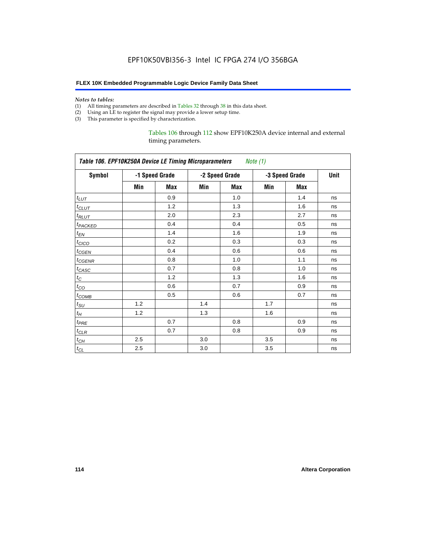#### **FLEX 10K Embedded Programmable Logic Device Family Data Sheet**

#### *Notes to tables:*

- (1) All timing parameters are described in Tables 32 through 38 in this data sheet.
- (2) Using an LE to register the signal may provide a lower setup time.
- (3) This parameter is specified by characterization.

### Tables 106 through 112 show EPF10K250A device internal and external timing parameters.

| Table 106. EPF10K250A Device LE Timing Microparameters<br>Note (1) |     |                |     |                |     |                |    |  |
|--------------------------------------------------------------------|-----|----------------|-----|----------------|-----|----------------|----|--|
| <b>Symbol</b>                                                      |     | -1 Speed Grade |     | -2 Speed Grade |     | -3 Speed Grade |    |  |
|                                                                    | Min | <b>Max</b>     | Min | <b>Max</b>     | Min | <b>Max</b>     |    |  |
| $t_{LUT}$                                                          |     | 0.9            |     | 1.0            |     | 1.4            | ns |  |
| $t_{CLUT}$                                                         |     | 1.2            |     | 1.3            |     | 1.6            | ns |  |
| $t_{RLUT}$                                                         |     | 2.0            |     | 2.3            |     | 2.7            | ns |  |
| t <sub>PACKED</sub>                                                |     | 0.4            |     | 0.4            |     | 0.5            | ns |  |
| $t_{EN}$                                                           |     | 1.4            |     | 1.6            |     | 1.9            | ns |  |
| $t_{CICO}$                                                         |     | 0.2            |     | 0.3            |     | 0.3            | ns |  |
| $t_{CSEN}$                                                         |     | 0.4            |     | 0.6            |     | 0.6            | ns |  |
| t <sub>CGENR</sub>                                                 |     | 0.8            |     | 1.0            |     | 1.1            | ns |  |
| $t_{CASC}$                                                         |     | 0.7            |     | 0.8            |     | 1.0            | ns |  |
| $t_C$                                                              |     | 1.2            |     | 1.3            |     | 1.6            | ns |  |
| $t_{CO}$                                                           |     | 0.6            |     | 0.7            |     | 0.9            | ns |  |
| $t_{\mathsf{COMB}}$                                                |     | 0.5            |     | 0.6            |     | 0.7            | ns |  |
| $t_{\rm SU}$                                                       | 1.2 |                | 1.4 |                | 1.7 |                | ns |  |
| $t_H$                                                              | 1.2 |                | 1.3 |                | 1.6 |                | ns |  |
| $t_{PRE}$                                                          |     | 0.7            |     | 0.8            |     | 0.9            | ns |  |
| $t_{CLR}$                                                          |     | 0.7            |     | 0.8            |     | 0.9            | ns |  |
| $t_{CH}$                                                           | 2.5 |                | 3.0 |                | 3.5 |                | ns |  |
| $t_{CL}$                                                           | 2.5 |                | 3.0 |                | 3.5 |                | ns |  |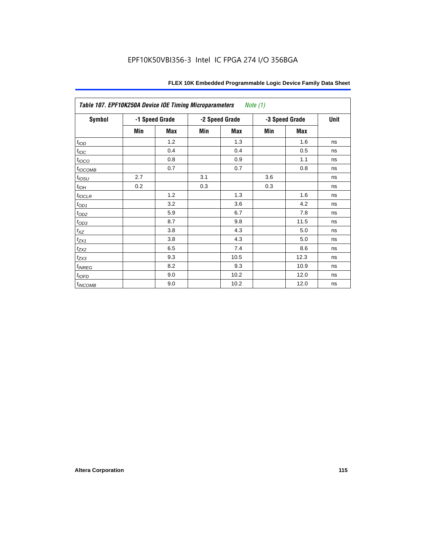| Table 107. EPF10K250A Device IOE Timing Microparameters<br>Note (1) |     |                |     |                |                |      |    |
|---------------------------------------------------------------------|-----|----------------|-----|----------------|----------------|------|----|
| Symbol                                                              |     | -1 Speed Grade |     | -2 Speed Grade | -3 Speed Grade | Unit |    |
|                                                                     | Min | Max            | Min | Max            | Min            | Max  |    |
| t <sub>IOD</sub>                                                    |     | 1.2            |     | 1.3            |                | 1.6  | ns |
| $t_{\text{IOC}}$                                                    |     | 0.4            |     | 0.4            |                | 0.5  | ns |
| $t_{IOCO}$                                                          |     | 0.8            |     | 0.9            |                | 1.1  | ns |
| $t_{IOCOMB}$                                                        |     | 0.7            |     | 0.7            |                | 0.8  | ns |
| $t_{IOSU}$                                                          | 2.7 |                | 3.1 |                | 3.6            |      | ns |
| $t_{IOH}$                                                           | 0.2 |                | 0.3 |                | 0.3            |      | ns |
| $t_{IOCLR}$                                                         |     | 1.2            |     | 1.3            |                | 1.6  | ns |
| $t_{OD1}$                                                           |     | 3.2            |     | 3.6            |                | 4.2  | ns |
| $t_{OD2}$                                                           |     | 5.9            |     | 6.7            |                | 7.8  | ns |
| $t_{OD3}$                                                           |     | 8.7            |     | 9.8            |                | 11.5 | ns |
| $t_{\mathsf{XZ}}$                                                   |     | 3.8            |     | 4.3            |                | 5.0  | ns |
| $t_{ZX1}$                                                           |     | 3.8            |     | 4.3            |                | 5.0  | ns |
| $t_{ZX2}$                                                           |     | 6.5            |     | 7.4            |                | 8.6  | ns |
| $t_{ZX3}$                                                           |     | 9.3            |     | 10.5           |                | 12.3 | ns |
| $t_{INREG}$                                                         |     | 8.2            |     | 9.3            |                | 10.9 | ns |
| $t_{IOFD}$                                                          |     | 9.0            |     | 10.2           |                | 12.0 | ns |
| t <sub>INCOMB</sub>                                                 |     | 9.0            |     | 10.2           |                | 12.0 | ns |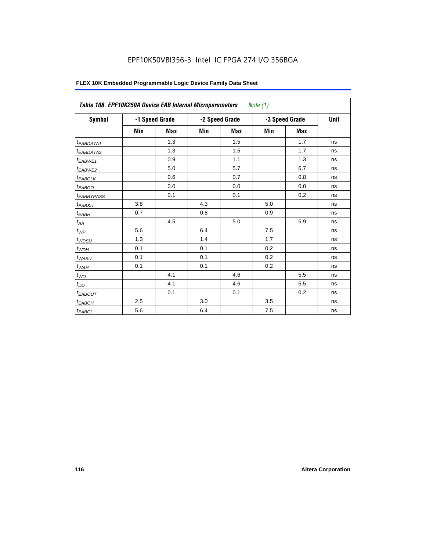| <b>Symbol</b>                |     | -1 Speed Grade |     | -2 Speed Grade | -3 Speed Grade | Unit       |    |
|------------------------------|-----|----------------|-----|----------------|----------------|------------|----|
|                              | Min | Max            | Min | <b>Max</b>     | Min            | <b>Max</b> |    |
| <sup>t</sup> EABDATA1        |     | 1.3            |     | 1.5            |                | 1.7        | ns |
| <sup>t</sup> EABDATA2        |     | 1.3            |     | 1.5            |                | 1.7        | ns |
| <sup>t</sup> EABWE1          |     | 0.9            |     | 1.1            |                | 1.3        | ns |
| <sup>t</sup> EABWE2          |     | 5.0            |     | 5.7            |                | 6.7        | ns |
| <sup>t</sup> EABCLK          |     | 0.6            |     | 0.7            |                | 0.8        | ns |
| <sup>t</sup> EABCO           |     | 0.0            |     | 0.0            |                | 0.0        | ns |
| <sup>t</sup> EABBYPASS       |     | 0.1            |     | 0.1            |                | 0.2        | ns |
| <sup>t</sup> EABSU           | 3.8 |                | 4.3 |                | 5.0            |            | ns |
| t <sub>EABH</sub>            | 0.7 |                | 0.8 |                | 0.9            |            | ns |
| $t_{\mathcal{A}\mathcal{A}}$ |     | 4.5            |     | 5.0            |                | 5.9        | ns |
| $t_{\mathcal{WP}}$           | 5.6 |                | 6.4 |                | 7.5            |            | ns |
| $t_{W\!D\!S\!U}$             | 1.3 |                | 1.4 |                | 1.7            |            | ns |
| $t_{WDH}$                    | 0.1 |                | 0.1 |                | 0.2            |            | ns |
| $t_{WASU}$                   | 0.1 |                | 0.1 |                | 0.2            |            | ns |
| $t_{W\!\!AH}$                | 0.1 |                | 0.1 |                | 0.2            |            | ns |
| $t_{WO}$                     |     | 4.1            |     | 4.6            |                | 5.5        | ns |
| $t_{DD}$                     |     | 4.1            |     | 4.6            |                | 5.5        | ns |
| <b><i>EABOUT</i></b>         |     | 0.1            |     | 0.1            |                | 0.2        | ns |
| <sup>t</sup> ЕАВСН           | 2.5 |                | 3.0 |                | 3.5            |            | ns |
| $t_{EABCL}$                  | 5.6 |                | 6.4 |                | 7.5            |            | ns |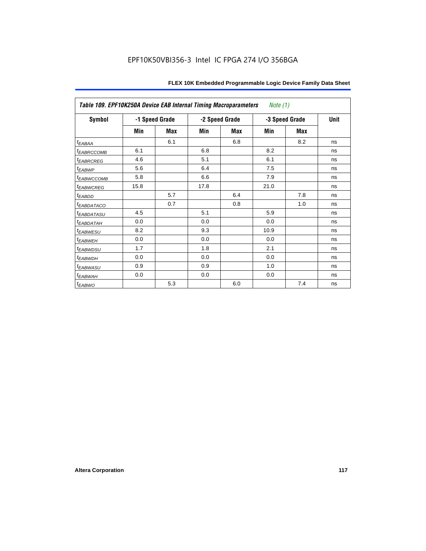| Table 109. EPF10K250A Device EAB Internal Timing Macroparameters<br>Note $(1)$ |      |                |      |                |      |                |    |  |
|--------------------------------------------------------------------------------|------|----------------|------|----------------|------|----------------|----|--|
| Symbol                                                                         |      | -1 Speed Grade |      | -2 Speed Grade |      | -3 Speed Grade |    |  |
|                                                                                | Min  | Max            | Min  | Max            | Min  | Max            |    |  |
| $t_{EABA}$                                                                     |      | 6.1            |      | 6.8            |      | 8.2            | ns |  |
| <i>EABRCCOMB</i>                                                               | 6.1  |                | 6.8  |                | 8.2  |                | ns |  |
| <sup>t</sup> EABRCREG                                                          | 4.6  |                | 5.1  |                | 6.1  |                | ns |  |
| t <sub>EABWP</sub>                                                             | 5.6  |                | 6.4  |                | 7.5  |                | ns |  |
| <sup>t</sup> EABWCCOMB                                                         | 5.8  |                | 6.6  |                | 7.9  |                | ns |  |
| <sup>t</sup> EABWCREG                                                          | 15.8 |                | 17.8 |                | 21.0 |                | ns |  |
| t <sub>EABDD</sub>                                                             |      | 5.7            |      | 6.4            |      | 7.8            | ns |  |
| <sup>t</sup> EABDATACO                                                         |      | 0.7            |      | 0.8            |      | 1.0            | ns |  |
| <sup>t</sup> EABDATASU                                                         | 4.5  |                | 5.1  |                | 5.9  |                | ns |  |
| t <sub>ЕАВDАТАН</sub>                                                          | 0.0  |                | 0.0  |                | 0.0  |                | ns |  |
| <sup>t</sup> EABWESU                                                           | 8.2  |                | 9.3  |                | 10.9 |                | ns |  |
| <sup>t</sup> EABWEH                                                            | 0.0  |                | 0.0  |                | 0.0  |                | ns |  |
| t <sub>EABWDSU</sub>                                                           | 1.7  |                | 1.8  |                | 2.1  |                | ns |  |
| t <sub>EABWDH</sub>                                                            | 0.0  |                | 0.0  |                | 0.0  |                | ns |  |
| <sup>t</sup> EABWASU                                                           | 0.9  |                | 0.9  |                | 1.0  |                | ns |  |
| t <sub>ЕАВWАН</sub>                                                            | 0.0  |                | 0.0  |                | 0.0  |                | ns |  |
| $t_{EABWO}$                                                                    |      | 5.3            |      | 6.0            |      | 7.4            | ns |  |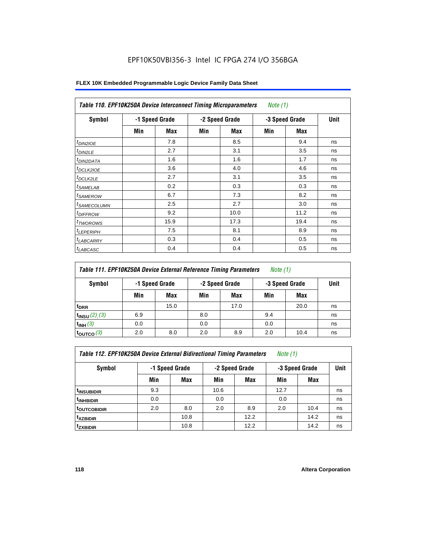| <b>Symbol</b>              |     | -1 Speed Grade |     | -2 Speed Grade |     | -3 Speed Grade | Unit |
|----------------------------|-----|----------------|-----|----------------|-----|----------------|------|
|                            | Min | Max            | Min | Max            | Min | Max            |      |
| $t_{DINZIOE}$              |     | 7.8            |     | 8.5            |     | 9.4            | ns   |
| t <sub>DIN2LE</sub>        |     | 2.7            |     | 3.1            |     | 3.5            | ns   |
| <sup>t</sup> DIN2DATA      |     | 1.6            |     | 1.6            |     | 1.7            | ns   |
| <sup>t</sup> DCLK2IOE      |     | 3.6            |     | 4.0            |     | 4.6            | ns   |
| <sup>t</sup> DCLK2LE       |     | 2.7            |     | 3.1            |     | 3.5            | ns   |
| <sup>t</sup> SAMELAB       |     | 0.2            |     | 0.3            |     | 0.3            | ns   |
| <sup>t</sup> SAMEROW       |     | 6.7            |     | 7.3            |     | 8.2            | ns   |
| <sup>t</sup> SAMECOLUMN    |     | 2.5            |     | 2.7            |     | 3.0            | ns   |
| <i>t<sub>DIFFROW</sub></i> |     | 9.2            |     | 10.0           |     | 11.2           | ns   |
| <sup>t</sup> TWOROWS       |     | 15.9           |     | 17.3           |     | 19.4           | ns   |
| <sup>t</sup> LEPERIPH      |     | 7.5            |     | 8.1            |     | 8.9            | ns   |
| <sup>I</sup> LABCARRY      |     | 0.3            |     | 0.4            |     | 0.5            | ns   |
| <sup>t</sup> LABCASC       |     | 0.4            |     | 0.4            |     | 0.5            | ns   |

| Table 111. EPF10K250A Device External Reference Timing Parameters<br>Note (1) |     |                |                |      |                |      |             |
|-------------------------------------------------------------------------------|-----|----------------|----------------|------|----------------|------|-------------|
| Symbol                                                                        |     | -1 Speed Grade | -2 Speed Grade |      | -3 Speed Grade |      | <b>Unit</b> |
|                                                                               | Min | Max            | Min            | Max  | Min            | Max  |             |
| <sup>t</sup> DRR                                                              |     | 15.0           |                | 17.0 |                | 20.0 | ns          |
| $t_{INSU} (2) (3)$                                                            | 6.9 |                | 8.0            |      | 9.4            |      | ns          |
| $t_{INH}$ (3)                                                                 | 0.0 |                | 0.0            |      | 0.0            |      | ns          |
| $t_{\text{OUTCO}}(3)$                                                         | 2.0 | 8.0            | 2.0            | 8.9  | 2.0            | 10.4 | ns          |

| Table 112. EPF10K250A Device External Bidirectional Timing Parameters |  |  | Note (1) |  |
|-----------------------------------------------------------------------|--|--|----------|--|
|-----------------------------------------------------------------------|--|--|----------|--|

| Symbol                  | -1 Speed Grade |      |      | -2 Speed Grade | -3 Speed Grade | Unit |    |
|-------------------------|----------------|------|------|----------------|----------------|------|----|
|                         | Min            | Max  | Min  | <b>Max</b>     | Min            | Max  |    |
| <sup>t</sup> INSUBIDIR  | 9.3            |      | 10.6 |                | 12.7           |      | ns |
| <sup>t</sup> INHBIDIR   | 0.0            |      | 0.0  |                | 0.0            |      | ns |
| <sup>t</sup> OUTCOBIDIR | 2.0            | 8.0  | 2.0  | 8.9            | 2.0            | 10.4 | ns |
| <sup>t</sup> xzbidir    |                | 10.8 |      | 12.2           |                | 14.2 | ns |
| <sup>t</sup> zxbidir    |                | 10.8 |      | 12.2           |                | 14.2 | ns |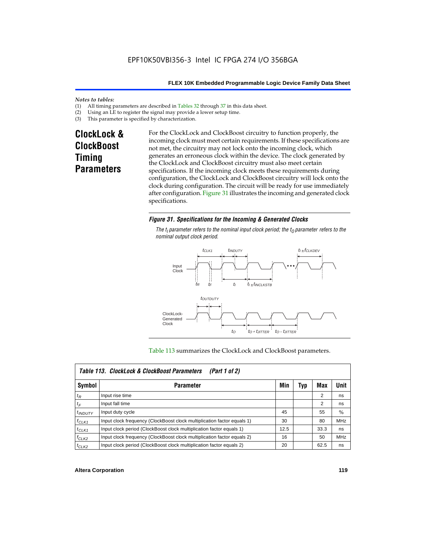#### *Notes to tables:*

- (1) All timing parameters are described in Tables  $32$  through  $37$  in this data sheet.<br>(2) Using an LE to register the signal may provide a lower setup time.
- (2) Using an LE to register the signal may provide a lower setup time.<br>(3) This parameter is specified by characterization.
- This parameter is specified by characterization.

# **ClockLock & ClockBoost Timing Parameters**

For the ClockLock and ClockBoost circuitry to function properly, the incoming clock must meet certain requirements. If these specifications are not met, the circuitry may not lock onto the incoming clock, which generates an erroneous clock within the device. The clock generated by the ClockLock and ClockBoost circuitry must also meet certain specifications. If the incoming clock meets these requirements during configuration, the ClockLock and ClockBoost circuitry will lock onto the clock during configuration. The circuit will be ready for use immediately after configuration. Figure 31 illustrates the incoming and generated clock specifications.

#### *Figure 31. Specifications for the Incoming & Generated Clocks*

The  $t_i$  parameter refers to the nominal input clock period; the  $t_0$  parameter refers to the *nominal output clock period.*



#### Table 113 summarizes the ClockLock and ClockBoost parameters.

|              | Table 113. ClockLock & ClockBoost Parameters<br>(Part 1 of 2)           |      |     |      |               |  |  |  |  |
|--------------|-------------------------------------------------------------------------|------|-----|------|---------------|--|--|--|--|
| Symbol       | <b>Parameter</b>                                                        | Min  | Typ | Max  | Unit          |  |  |  |  |
| $t_{R}$      | Input rise time                                                         |      |     | 2    | ns            |  |  |  |  |
| $t_F$        | Input fall time                                                         |      |     | 2    | ns            |  |  |  |  |
| $t_{INDUTY}$ | Input duty cycle                                                        | 45   |     | 55   | $\frac{0}{0}$ |  |  |  |  |
| $f_{CLK1}$   | Input clock frequency (ClockBoost clock multiplication factor equals 1) | 30   |     | 80   | <b>MHz</b>    |  |  |  |  |
| $t$ CLK1     | Input clock period (ClockBoost clock multiplication factor equals 1)    | 12.5 |     | 33.3 | ns            |  |  |  |  |
| $f_{CLK2}$   | Input clock frequency (ClockBoost clock multiplication factor equals 2) | 16   |     | 50   | <b>MHz</b>    |  |  |  |  |
| $t_{CLK2}$   | Input clock period (ClockBoost clock multiplication factor equals 2)    | 20   |     | 62.5 | ns            |  |  |  |  |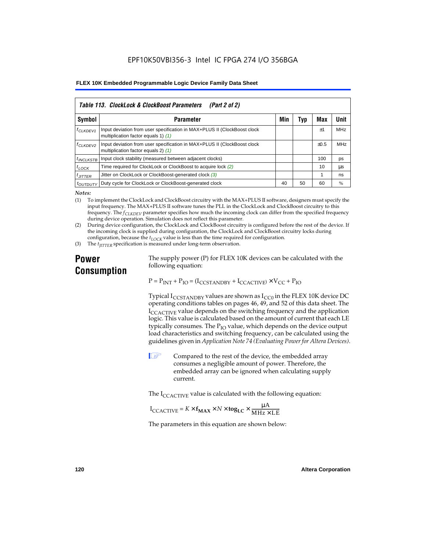|                       | Table 113. ClockLock & ClockBoost Parameters<br>(Part 2 of 2)                                                   |     |     |           |            |  |  |  |  |
|-----------------------|-----------------------------------------------------------------------------------------------------------------|-----|-----|-----------|------------|--|--|--|--|
| Symbol                | <b>Parameter</b>                                                                                                | Min | Typ | Max       | Unit       |  |  |  |  |
| f <sub>CLKDEV1</sub>  | Input deviation from user specification in MAX+PLUS II (ClockBoost clock<br>multiplication factor equals 1) (1) |     |     | $+1$      | <b>MHz</b> |  |  |  |  |
| <sup>f</sup> CLKDEV2  | Input deviation from user specification in MAX+PLUS II (ClockBoost clock<br>multiplication factor equals 2) (1) |     |     | $\pm 0.5$ | MHz        |  |  |  |  |
| <sup>t</sup> INCLKSTB | Input clock stability (measured between adjacent clocks)                                                        |     |     | 100       | ps         |  |  |  |  |
| $t_{LOCK}$            | Time required for ClockLock or ClockBoost to acquire lock (2)                                                   |     |     | 10        | μs         |  |  |  |  |
| $t_{JITTER}$          | Jitter on ClockLock or ClockBoost-generated clock (3)                                                           |     |     |           | ns         |  |  |  |  |
| <i>toutbuty</i>       | Duty cycle for ClockLock or ClockBoost-generated clock                                                          | 40  | 50  | 60        | %          |  |  |  |  |

*Notes:*

(1) To implement the ClockLock and ClockBoost circuitry with the MAX+PLUS II software, designers must specify the input frequency. The MAX+PLUS II software tunes the PLL in the ClockLock and ClockBoost circuitry to this frequency. The *fCLKDEV* parameter specifies how much the incoming clock can differ from the specified frequency during device operation. Simulation does not reflect this parameter.

(2) During device configuration, the ClockLock and ClockBoost circuitry is configured before the rest of the device. If the incoming clock is supplied during configuration, the ClockLock and ClockBoost circuitry locks during configuration, because the  $t_{LOCK}$  value is less than the time required for configuration.

(3) The *t<sub>IITTER</sub>* specification is measured under long-term observation.

# **Power Consumption**

The supply power (P) for FLEX 10K devices can be calculated with the following equation:

 $P = P_{INT} + P_{IO} = (I_{CCSTANDBY} + I_{CCACTIVE}) \times V_{CC} + P_{IO}$ 

Typical  $I_{CCSTANDBY}$  values are shown as  $I_{CC0}$  in the FLEX 10K device DC operating conditions tables on pages 46, 49, and 52 of this data sheet. The  $I_{\text{CCACTIVE}}$  value depends on the switching frequency and the application logic. This value is calculated based on the amount of current that each LE typically consumes. The  $P_{IO}$  value, which depends on the device output load characteristics and switching frequency, can be calculated using the guidelines given in *Application Note 74 (Evaluating Power for Altera Devices)*.

 $\Box$  Compared to the rest of the device, the embedded array consumes a negligible amount of power. Therefore, the embedded array can be ignored when calculating supply current.

The  $I_{\text{CCACTIVE}}$  value is calculated with the following equation:

$$
I_{\text{CCACTIVE}} = K \times f_{\text{MAX}} \times N \times \text{tog}_{\text{LC}} \times \frac{\mu A}{\text{MHz} \times \text{LE}}
$$

The parameters in this equation are shown below: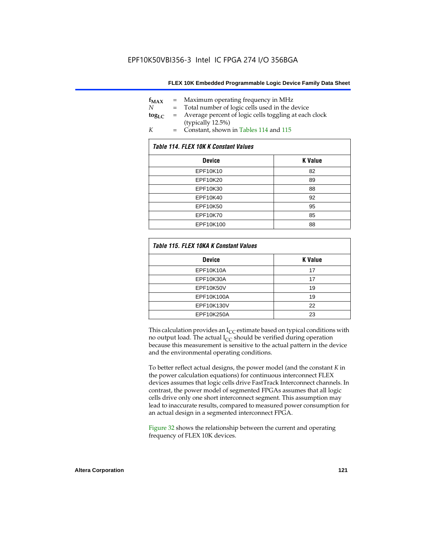| $f_{MAX}$  | $=$ | Maximum operating frequency in MHz                    |
|------------|-----|-------------------------------------------------------|
| N          |     | Total number of logic cells used in the device        |
| $log_{LC}$ | $=$ | Average percent of logic cells toggling at each clock |
|            |     | (typically 12.5%)                                     |
| K          | $=$ | Constant, shown in Tables 114 and 115                 |

| Table 114. FLEX 10K K Constant Values |                |  |  |  |  |
|---------------------------------------|----------------|--|--|--|--|
| <b>Device</b>                         | <b>K</b> Value |  |  |  |  |
| EPF10K10                              | 82             |  |  |  |  |
| EPF10K20                              | 89             |  |  |  |  |
| EPF10K30                              | 88             |  |  |  |  |
| EPF10K40                              | 92             |  |  |  |  |
| EPF10K50                              | 95             |  |  |  |  |
| EPF10K70                              | 85             |  |  |  |  |
| EPF10K100                             | 88             |  |  |  |  |

| Table 115. FLEX 10KA K Constant Values |                |
|----------------------------------------|----------------|
| <b>Device</b>                          | <b>K</b> Value |
| <b>EPF10K10A</b>                       | 17             |
| EPF10K30A                              | 17             |
| EPF10K50V                              | 19             |
| EPF10K100A                             | 19             |
| EPF10K130V                             | 22             |
| EPF10K250A                             | 23             |

This calculation provides an  $I_{CC}$  estimate based on typical conditions with no output load. The actual  $I_{CC}$  should be verified during operation because this measurement is sensitive to the actual pattern in the device and the environmental operating conditions.

To better reflect actual designs, the power model (and the constant *K* in the power calculation equations) for continuous interconnect FLEX devices assumes that logic cells drive FastTrack Interconnect channels. In contrast, the power model of segmented FPGAs assumes that all logic cells drive only one short interconnect segment. This assumption may lead to inaccurate results, compared to measured power consumption for an actual design in a segmented interconnect FPGA.

Figure 32 shows the relationship between the current and operating frequency of FLEX 10K devices.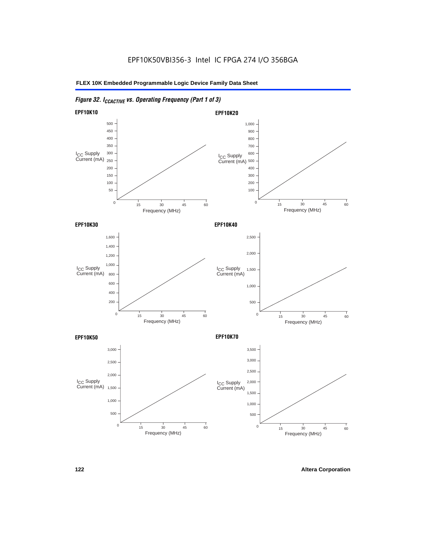# *Figure 32. ICCACTIVE vs. Operating Frequency (Part 1 of 3)*

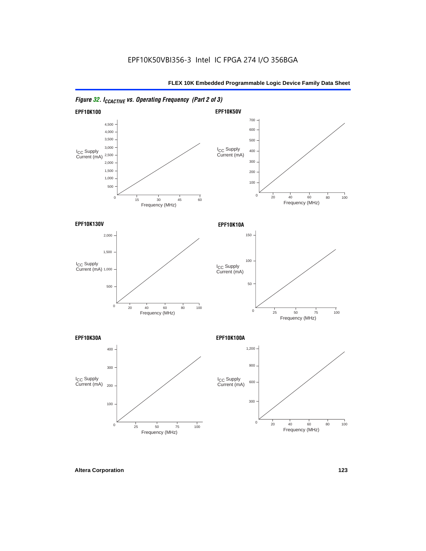

## *Figure 32. ICCACTIVE vs. Operating Frequency (Part 2 of 3)*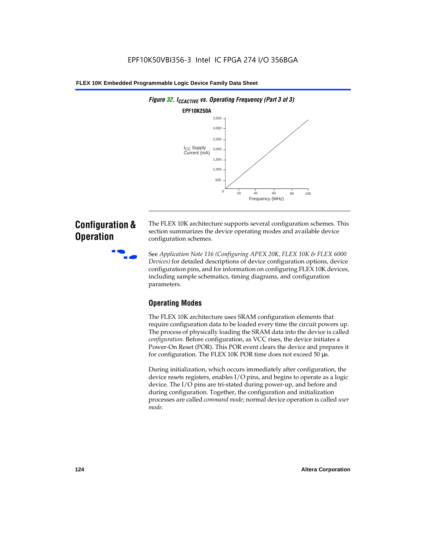

# **Configuration & Operation**

The FLEX 10K architecture supports several configuration schemes. This section summarizes the device operating modes and available device configuration schemes.

f See *Application Note 116 (Configuring APEX 20K, FLEX 10K & FLEX 6000 Devices)* for detailed descriptions of device configuration options, device configuration pins, and for information on configuring FLEX 10K devices, including sample schematics, timing diagrams, and configuration parameters.

# **Operating Modes**

The FLEX 10K architecture uses SRAM configuration elements that require configuration data to be loaded every time the circuit powers up. The process of physically loading the SRAM data into the device is called *configuration*. Before configuration, as VCC rises, the device initiates a Power-On Reset (POR). This POR event clears the device and prepares it for configuration. The FLEX 10K POR time does not exceed 50 µs.

During initialization, which occurs immediately after configuration, the device resets registers, enables I/O pins, and begins to operate as a logic device. The I/O pins are tri-stated during power-up, and before and during configuration. Together, the configuration and initialization processes are called *command mode*; normal device operation is called *user mode*.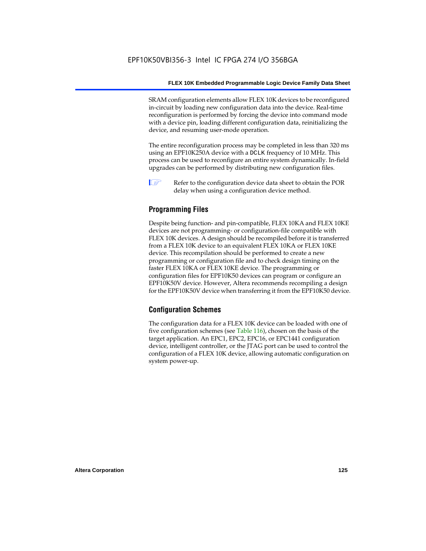SRAM configuration elements allow FLEX 10K devices to be reconfigured in-circuit by loading new configuration data into the device. Real-time reconfiguration is performed by forcing the device into command mode with a device pin, loading different configuration data, reinitializing the device, and resuming user-mode operation.

The entire reconfiguration process may be completed in less than 320 ms using an EPF10K250A device with a DCLK frequency of 10 MHz. This process can be used to reconfigure an entire system dynamically. In-field upgrades can be performed by distributing new configuration files.

 $\Box$  Refer to the configuration device data sheet to obtain the POR delay when using a configuration device method.

## **Programming Files**

Despite being function- and pin-compatible, FLEX 10KA and FLEX 10KE devices are not programming- or configuration-file compatible with FLEX 10K devices. A design should be recompiled before it is transferred from a FLEX 10K device to an equivalent FLEX 10KA or FLEX 10KE device. This recompilation should be performed to create a new programming or configuration file and to check design timing on the faster FLEX 10KA or FLEX 10KE device. The programming or configuration files for EPF10K50 devices can program or configure an EPF10K50V device. However, Altera recommends recompiling a design for the EPF10K50V device when transferring it from the EPF10K50 device.

#### **Configuration Schemes**

The configuration data for a FLEX 10K device can be loaded with one of five configuration schemes (see Table 116), chosen on the basis of the target application. An EPC1, EPC2, EPC16, or EPC1441 configuration device, intelligent controller, or the JTAG port can be used to control the configuration of a FLEX 10K device, allowing automatic configuration on system power-up.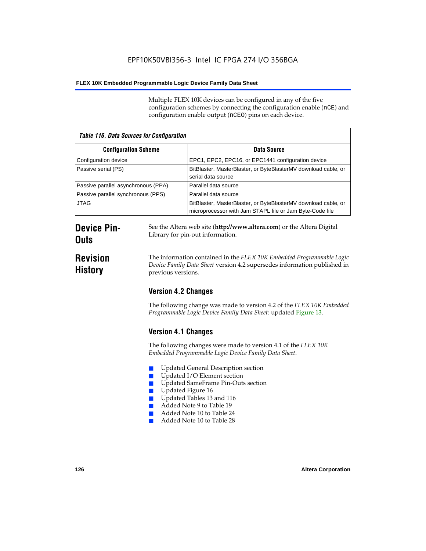Multiple FLEX 10K devices can be configured in any of the five configuration schemes by connecting the configuration enable (nCE) and configuration enable output (nCEO) pins on each device.

| <b>Table 116. Data Sources for Configuration</b> |                                                                                                                            |  |
|--------------------------------------------------|----------------------------------------------------------------------------------------------------------------------------|--|
| <b>Configuration Scheme</b>                      | Data Source                                                                                                                |  |
| Configuration device                             | EPC1, EPC2, EPC16, or EPC1441 configuration device                                                                         |  |
| Passive serial (PS)                              | BitBlaster, MasterBlaster, or ByteBlasterMV download cable, or<br>serial data source                                       |  |
| Passive parallel asynchronous (PPA)              | Parallel data source                                                                                                       |  |
| Passive parallel synchronous (PPS)               | Parallel data source                                                                                                       |  |
| <b>JTAG</b>                                      | BitBlaster, MasterBlaster, or ByteBlasterMV download cable, or<br>microprocessor with Jam STAPL file or Jam Byte-Code file |  |

# **Device Pin-Outs**

# **Revision History**

The information contained in the *FLEX 10K Embedded Programmable Logic Device Family Data Sheet* version 4.2 supersedes information published in

See the Altera web site (**http://www.altera.com**) or the Altera Digital

# **Version 4.2 Changes**

previous versions.

Library for pin-out information.

The following change was made to version 4.2 of the *FLEX 10K Embedded Programmable Logic Device Family Data Sheet*: updated Figure 13.

# **Version 4.1 Changes**

The following changes were made to version 4.1 of the *FLEX 10K Embedded Programmable Logic Device Family Data Sheet*.

- Updated General Description section
- Updated I/O Element section
- Updated SameFrame Pin-Outs section
- Updated Figure 16
- Updated Tables 13 and 116
- Added Note 9 to Table 19
- Added Note 10 to Table 24
- Added Note 10 to Table 28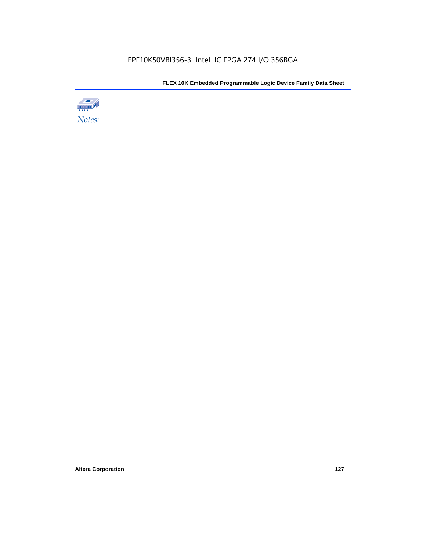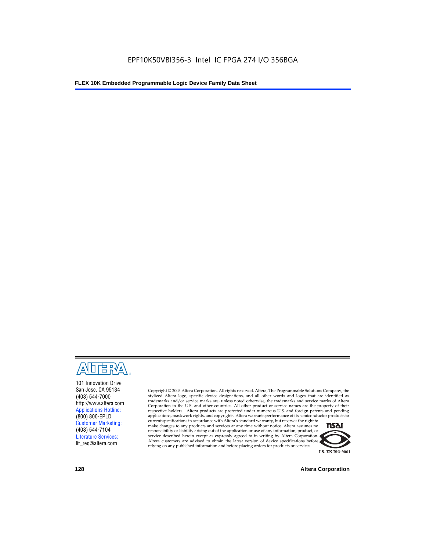

101 Innovation Drive San Jose, CA 95134 (408) 544-7000 http://www.altera.com Applications Hotline: (800) 800-EPLD Customer Marketing: (408) 544-7104 Literature Services: lit\_req@altera.com

Copyright © 2003 Altera Corporation. All rights reserved. Altera, The Programmable Solutions Company, the stylized Altera logo, specific device designations, and all other words and logos that are identified as trademarks and/or service marks are, unless noted otherwise, the trademarks and service marks of Altera Corporation in the U.S. and other countries. All other product or service names are the property of their respective holders. Altera products are protected under numerous U.S. and foreign patents and pending applications, maskwork rights, and copyrights. Altera warrants performance of its semiconductor products to

current specifications in accordance with Altera's standard warranty, but reserves the right to make changes to any products and services at any time without notice. Altera assumes no responsibility or liability arising out of the application or use of any information, product, or service described herein except as expressly agreed to in writing by Altera Corporation. Altera customers are advised to obtain the latest version of device specifications before relying on any published information and before placing orders for products or services.